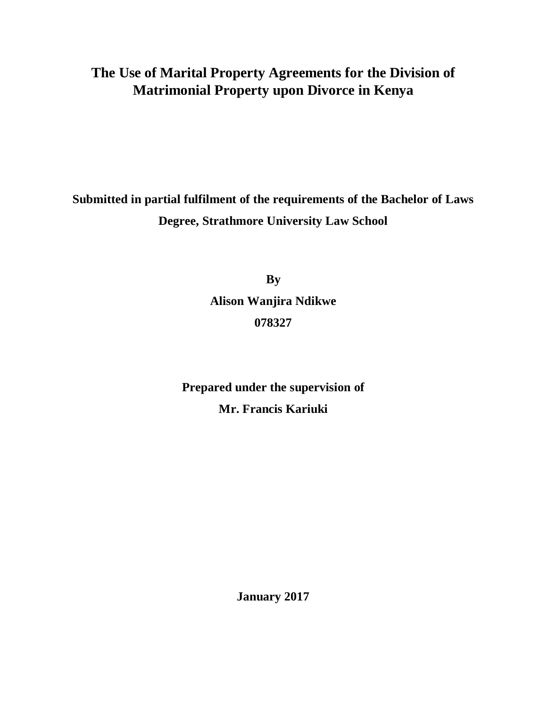# **The Use of Marital Property Agreements for the Division of Matrimonial Property upon Divorce in Kenya**

**Submitted in partial fulfilment of the requirements of the Bachelor of Laws Degree, Strathmore University Law School**

> **By Alison Wanjira Ndikwe 078327**

**Prepared under the supervision of Mr. Francis Kariuki**

**January 2017**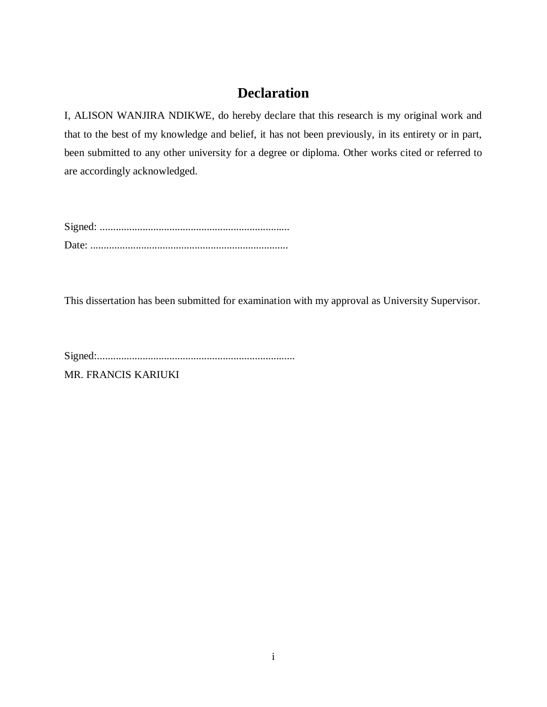# **Declaration**

I, ALISON WANJIRA NDIKWE, do hereby declare that this research is my original work and that to the best of my knowledge and belief, it has not been previously, in its entirety or in part, been submitted to any other university for a degree or diploma. Other works cited or referred to are accordingly acknowledged.

This dissertation has been submitted for examination with my approval as University Supervisor.

Signed:..........................................................................

MR. FRANCIS KARIUKI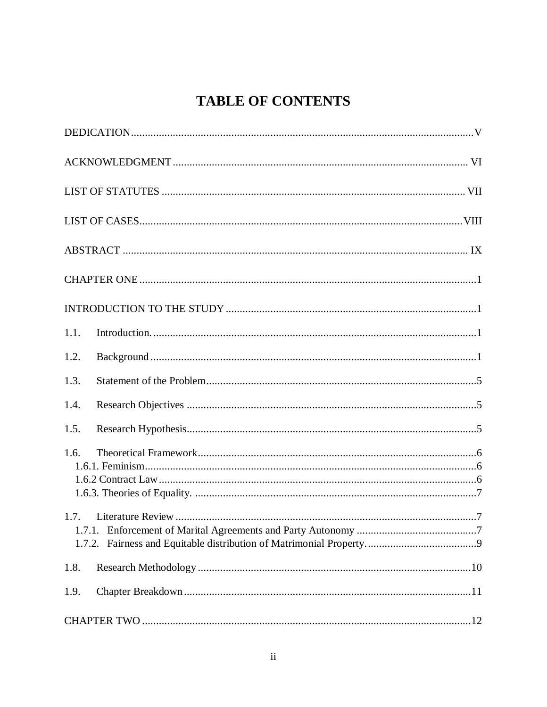# **TABLE OF CONTENTS**

| 1.1.           |
|----------------|
| 1.2.           |
| 1.3.           |
| 1.4.           |
| 1.5.           |
| 1.6.           |
| 1.7.<br>1.7.2. |
| 1.8.           |
| 1.9.           |
|                |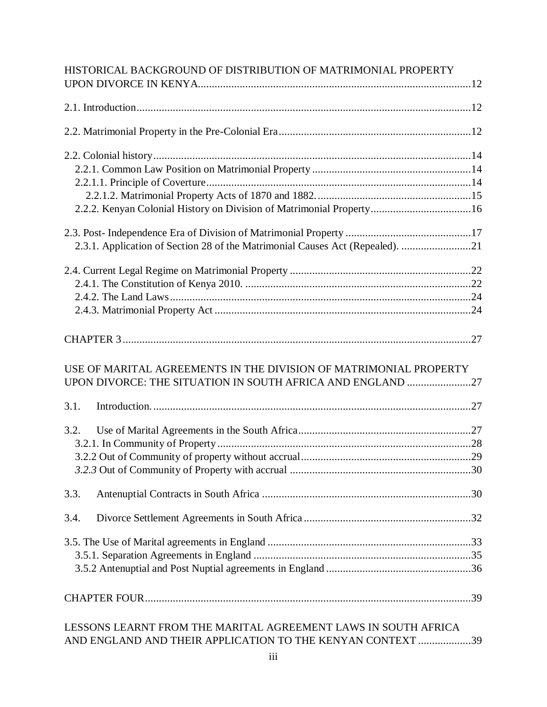|      | HISTORICAL BACKGROUND OF DISTRIBUTION OF MATRIMONIAL PROPERTY                                                                   |  |
|------|---------------------------------------------------------------------------------------------------------------------------------|--|
|      |                                                                                                                                 |  |
|      |                                                                                                                                 |  |
|      |                                                                                                                                 |  |
|      |                                                                                                                                 |  |
|      |                                                                                                                                 |  |
|      |                                                                                                                                 |  |
|      | 2.2.2. Kenyan Colonial History on Division of Matrimonial Property16                                                            |  |
|      |                                                                                                                                 |  |
|      | 2.3.1. Application of Section 28 of the Matrimonial Causes Act (Repealed). 21                                                   |  |
|      |                                                                                                                                 |  |
|      |                                                                                                                                 |  |
|      |                                                                                                                                 |  |
|      |                                                                                                                                 |  |
|      |                                                                                                                                 |  |
| 3.1. | USE OF MARITAL AGREEMENTS IN THE DIVISION OF MATRIMONIAL PROPERTY<br>UPON DIVORCE: THE SITUATION IN SOUTH AFRICA AND ENGLAND 27 |  |
|      |                                                                                                                                 |  |
|      |                                                                                                                                 |  |
| 3.2. |                                                                                                                                 |  |
|      |                                                                                                                                 |  |
|      |                                                                                                                                 |  |
|      |                                                                                                                                 |  |
| 3.3. |                                                                                                                                 |  |
| 3.4. |                                                                                                                                 |  |
|      |                                                                                                                                 |  |
|      |                                                                                                                                 |  |
|      |                                                                                                                                 |  |
|      |                                                                                                                                 |  |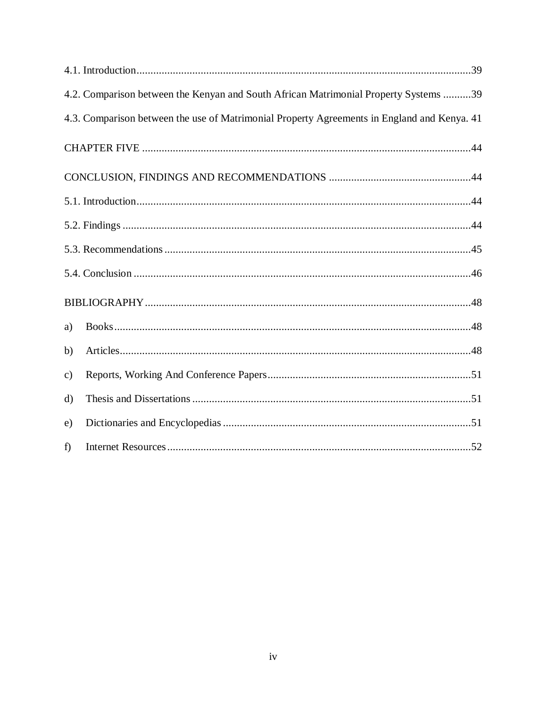|               | 4.2. Comparison between the Kenyan and South African Matrimonial Property Systems 39        |
|---------------|---------------------------------------------------------------------------------------------|
|               | 4.3. Comparison between the use of Matrimonial Property Agreements in England and Kenya. 41 |
|               |                                                                                             |
|               |                                                                                             |
|               |                                                                                             |
|               |                                                                                             |
|               |                                                                                             |
|               |                                                                                             |
|               |                                                                                             |
| a)            |                                                                                             |
| b)            |                                                                                             |
| $\mathbf{c})$ |                                                                                             |
| $\rm d)$      |                                                                                             |
| e)            |                                                                                             |
| f)            |                                                                                             |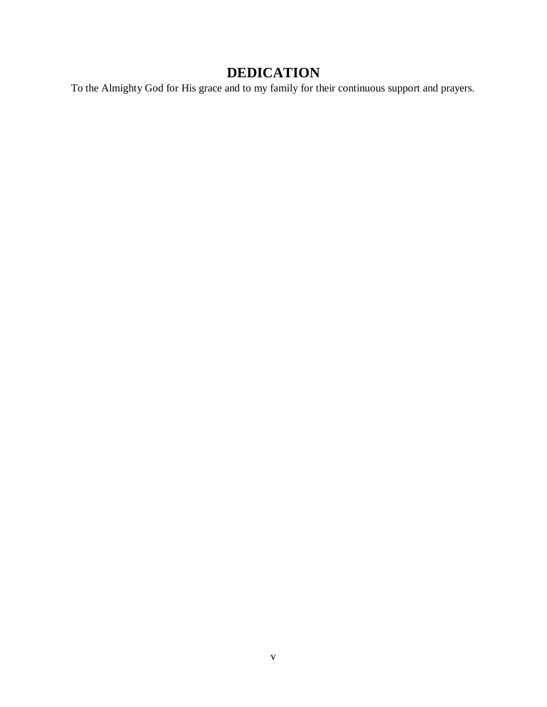# **DEDICATION**

<span id="page-5-0"></span>To the Almighty God for His grace and to my family for their continuous support and prayers.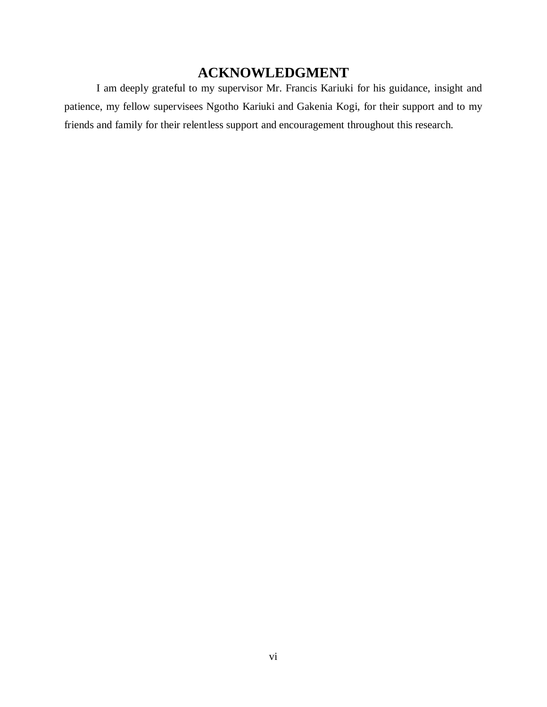# **ACKNOWLEDGMENT**

<span id="page-6-0"></span>I am deeply grateful to my supervisor Mr. Francis Kariuki for his guidance, insight and patience, my fellow supervisees Ngotho Kariuki and Gakenia Kogi, for their support and to my friends and family for their relentless support and encouragement throughout this research.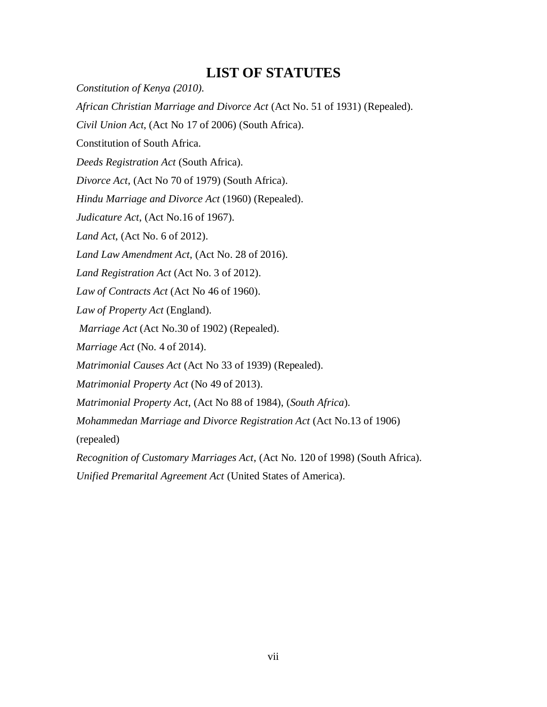# **LIST OF STATUTES**

<span id="page-7-0"></span>*Constitution of Kenya (2010). African Christian Marriage and Divorce Act* (Act No. 51 of 1931) (Repealed). *Civil Union Act*, (Act No 17 of 2006) (South Africa). Constitution of South Africa. *Deeds Registration Act* (South Africa). *Divorce Act*, (Act No 70 of 1979) (South Africa). *Hindu Marriage and Divorce Act* (1960) (Repealed). *Judicature Act*, (Act No.16 of 1967). *Land Act*, (Act No. 6 of 2012). *Land Law Amendment Act*, (Act No. 28 of 2016). *Land Registration Act* (Act No. 3 of 2012). *Law of Contracts Act* (Act No 46 of 1960). *Law of Property Act* (England). *Marriage Act* (Act No.30 of 1902) (Repealed). *Marriage Act* (No. 4 of 2014). *Matrimonial Causes Act* (Act No 33 of 1939) (Repealed). *Matrimonial Property Act* (No 49 of 2013). *Matrimonial Property Act*, (Act No 88 of 1984), (*South Africa*). *Mohammedan Marriage and Divorce Registration Act* (Act No.13 of 1906) (repealed) *Recognition of Customary Marriages Act*, (Act No. 120 of 1998) (South Africa). *Unified Premarital Agreement Act* (United States of America).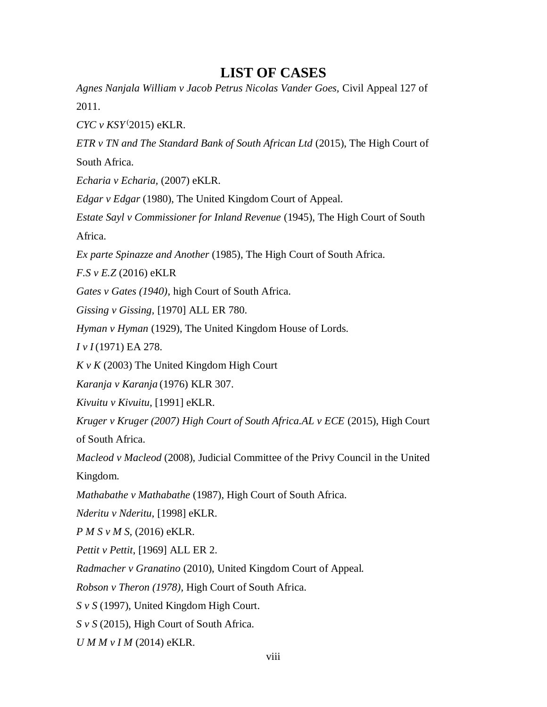# **LIST OF CASES**

<span id="page-8-0"></span>*Agnes Nanjala William v Jacob Petrus Nicolas Vander Goes,* Civil Appeal 127 of 2011.

*CYC v KSY* ( 2015) eKLR.

*ETR v TN and The Standard Bank of South African Ltd* (2015), The High Court of South Africa.

*Echaria v Echaria,* (2007) eKLR.

*Edgar v Edgar* (1980), The United Kingdom Court of Appeal.

*Estate Sayl v Commissioner for Inland Revenue* (1945), The High Court of South Africa.

*Ex parte Spinazze and Another* (1985), The High Court of South Africa.

*F.S v E.Z* (2016) eKLR

*Gates v Gates (1940),* high Court of South Africa.

*Gissing v Gissing,* [1970] ALL ER 780.

*Hyman v Hyman* (1929), The United Kingdom House of Lords.

*I v I* (1971) EA 278.

*K v K* (2003) The United Kingdom High Court

*Karanja v Karanja* (1976) KLR 307.

*Kivuitu v Kivuitu*, [1991] eKLR.

*Kruger v Kruger (2007) High Court of South Africa.AL v ECE* (2015), High Court of South Africa.

*Macleod v Macleod* (2008), Judicial Committee of the Privy Council in the United Kingdom.

*Mathabathe v Mathabathe* (1987), High Court of South Africa.

*Nderitu v Nderitu*, [1998] eKLR.

*P M S v M S,* (2016) eKLR.

*Pettit v Pettit*, [1969] ALL ER 2.

*Radmacher v Granatino* (2010), United Kingdom Court of Appeal.

*Robson v Theron (1978),* High Court of South Africa.

*S v S* (1997), United Kingdom High Court.

*S v S* (2015), High Court of South Africa.

*U M M v I M* (2014) eKLR.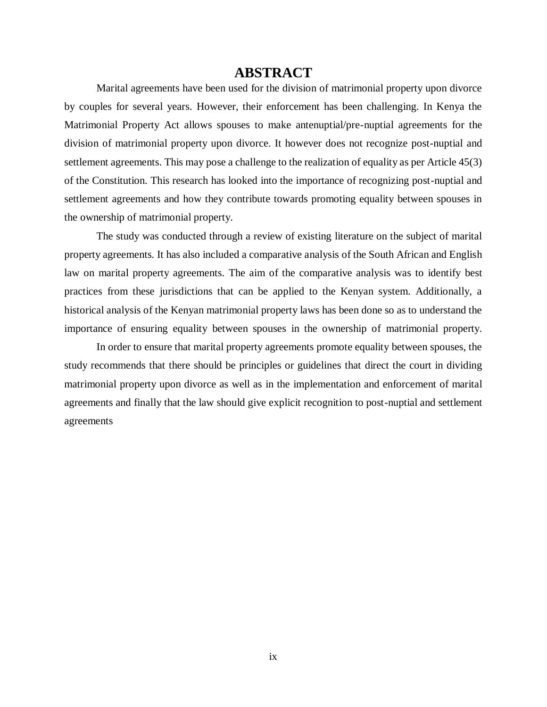# **ABSTRACT**

<span id="page-9-0"></span>Marital agreements have been used for the division of matrimonial property upon divorce by couples for several years. However, their enforcement has been challenging. In Kenya the Matrimonial Property Act allows spouses to make antenuptial/pre-nuptial agreements for the division of matrimonial property upon divorce. It however does not recognize post-nuptial and settlement agreements. This may pose a challenge to the realization of equality as per Article 45(3) of the Constitution. This research has looked into the importance of recognizing post-nuptial and settlement agreements and how they contribute towards promoting equality between spouses in the ownership of matrimonial property.

The study was conducted through a review of existing literature on the subject of marital property agreements. It has also included a comparative analysis of the South African and English law on marital property agreements. The aim of the comparative analysis was to identify best practices from these jurisdictions that can be applied to the Kenyan system. Additionally, a historical analysis of the Kenyan matrimonial property laws has been done so as to understand the importance of ensuring equality between spouses in the ownership of matrimonial property.

In order to ensure that marital property agreements promote equality between spouses, the study recommends that there should be principles or guidelines that direct the court in dividing matrimonial property upon divorce as well as in the implementation and enforcement of marital agreements and finally that the law should give explicit recognition to post-nuptial and settlement agreements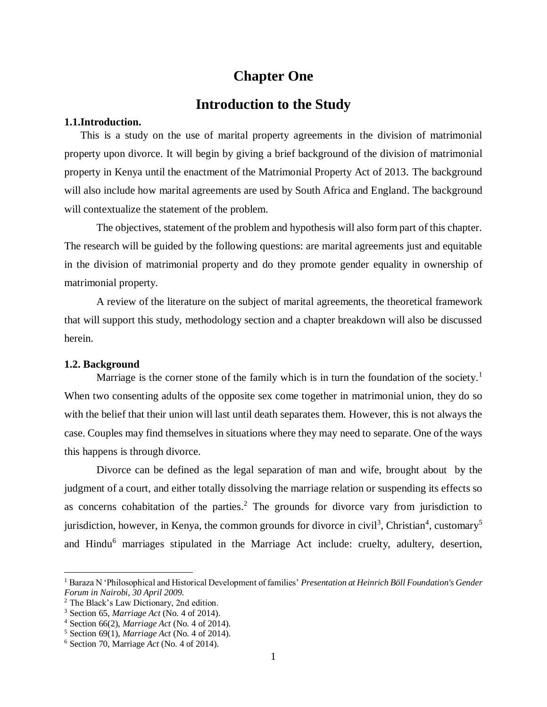# **Chapter One**

# **Introduction to the Study**

## <span id="page-10-2"></span><span id="page-10-1"></span><span id="page-10-0"></span>**1.1.Introduction.**

This is a study on the use of marital property agreements in the division of matrimonial property upon divorce. It will begin by giving a brief background of the division of matrimonial property in Kenya until the enactment of the Matrimonial Property Act of 2013. The background will also include how marital agreements are used by South Africa and England. The background will contextualize the statement of the problem.

The objectives, statement of the problem and hypothesis will also form part of this chapter. The research will be guided by the following questions: are marital agreements just and equitable in the division of matrimonial property and do they promote gender equality in ownership of matrimonial property.

A review of the literature on the subject of marital agreements, the theoretical framework that will support this study, methodology section and a chapter breakdown will also be discussed herein.

#### <span id="page-10-3"></span>**1.2. Background**

 $\overline{a}$ 

Marriage is the corner stone of the family which is in turn the foundation of the society.<sup>1</sup> When two consenting adults of the opposite sex come together in matrimonial union, they do so with the belief that their union will last until death separates them. However, this is not always the case. Couples may find themselves in situations where they may need to separate. One of the ways this happens is through divorce.

Divorce can be defined as the legal separation of man and wife, brought about by the judgment of a court, and either totally dissolving the marriage relation or suspending its effects so as concerns cohabitation of the parties.<sup>2</sup> The grounds for divorce vary from jurisdiction to jurisdiction, however, in Kenya, the common grounds for divorce in civil<sup>3</sup>, Christian<sup>4</sup>, customary<sup>5</sup> and Hindu<sup>6</sup> marriages stipulated in the Marriage Act include: cruelty, adultery, desertion,

<sup>1</sup> Baraza N 'Philosophical and Historical Development of families' *Presentation at Heinrich Böll Foundation's Gender Forum in Nairobi, 30 April 2009.*

<sup>2</sup> The Black's Law Dictionary, 2nd edition.

<sup>3</sup> Section 65, *Marriage Act* (No. 4 of 2014).

<sup>4</sup> Section 66(2), *Marriage Act* (No. 4 of 2014).

<sup>5</sup> Section 69(1), *Marriage Act* (No. 4 of 2014).

<sup>6</sup> Section 70, Marriage *Act* (No. 4 of 2014).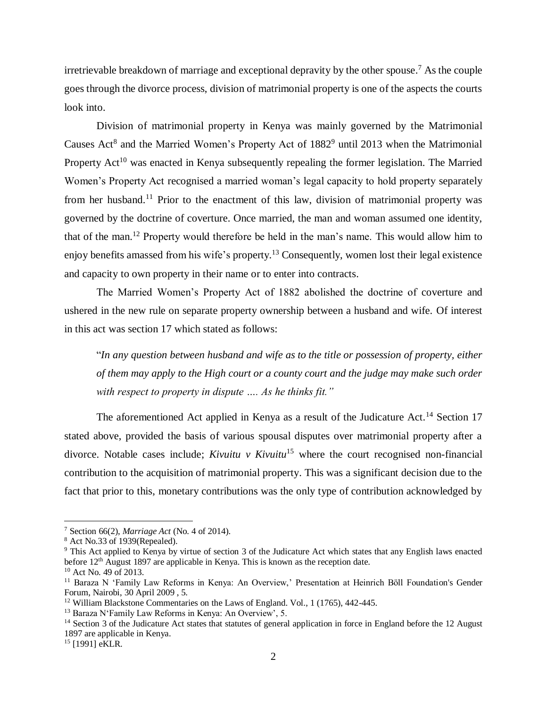irretrievable breakdown of marriage and exceptional depravity by the other spouse. <sup>7</sup> As the couple goes through the divorce process, division of matrimonial property is one of the aspects the courts look into.

Division of matrimonial property in Kenya was mainly governed by the Matrimonial Causes Act<sup>8</sup> and the Married Women's Property Act of  $1882<sup>9</sup>$  until 2013 when the Matrimonial Property  $Act^{10}$  was enacted in Kenya subsequently repealing the former legislation. The Married Women's Property Act recognised a married woman's legal capacity to hold property separately from her husband.<sup>11</sup> Prior to the enactment of this law, division of matrimonial property was governed by the doctrine of coverture. Once married, the man and woman assumed one identity, that of the man.<sup>12</sup> Property would therefore be held in the man's name. This would allow him to enjoy benefits amassed from his wife's property.<sup>13</sup> Consequently, women lost their legal existence and capacity to own property in their name or to enter into contracts.

The Married Women's Property Act of 1882 abolished the doctrine of coverture and ushered in the new rule on separate property ownership between a husband and wife. Of interest in this act was section 17 which stated as follows:

"*In any question between husband and wife as to the title or possession of property, either of them may apply to the High court or a county court and the judge may make such order with respect to property in dispute …. As he thinks fit."*

The aforementioned Act applied in Kenya as a result of the Judicature Act.<sup>14</sup> Section 17 stated above, provided the basis of various spousal disputes over matrimonial property after a divorce. Notable cases include; *Kivuitu v Kivuitu*<sup>15</sup> where the court recognised non-financial contribution to the acquisition of matrimonial property. This was a significant decision due to the fact that prior to this, monetary contributions was the only type of contribution acknowledged by

<sup>7</sup> Section 66(2), *Marriage Act* (No. 4 of 2014).

<sup>8</sup> Act No.33 of 1939(Repealed).

<sup>&</sup>lt;sup>9</sup> This Act applied to Kenya by virtue of section 3 of the Judicature Act which states that any English laws enacted before 12<sup>th</sup> August 1897 are applicable in Kenya. This is known as the reception date.

<sup>10</sup> Act No. 49 of 2013.

<sup>11</sup> Baraza N 'Family Law Reforms in Kenya: An Overview,' Presentation at Heinrich Böll Foundation's Gender Forum, Nairobi, 30 April 2009 , 5.

<sup>&</sup>lt;sup>12</sup> William Blackstone Commentaries on the Laws of England. Vol., 1 (1765), 442-445.

<sup>13</sup> Baraza N'Family Law Reforms in Kenya: An Overview', 5.

<sup>&</sup>lt;sup>14</sup> Section 3 of the Judicature Act states that statutes of general application in force in England before the 12 August 1897 are applicable in Kenya.

<sup>&</sup>lt;sup>15</sup> [1991] eKLR.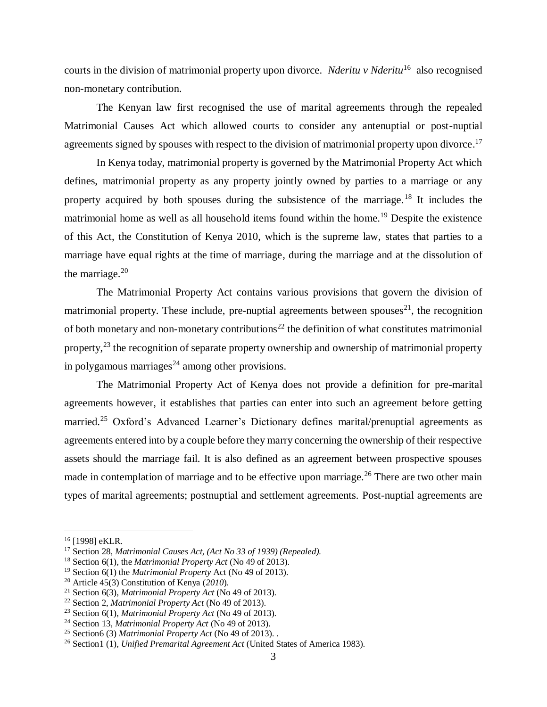courts in the division of matrimonial property upon divorce. *Nderitu v Nderitu*<sup>16</sup> also recognised non-monetary contribution.

The Kenyan law first recognised the use of marital agreements through the repealed Matrimonial Causes Act which allowed courts to consider any antenuptial or post-nuptial agreements signed by spouses with respect to the division of matrimonial property upon divorce.<sup>17</sup>

In Kenya today, matrimonial property is governed by the Matrimonial Property Act which defines, matrimonial property as any property jointly owned by parties to a marriage or any property acquired by both spouses during the subsistence of the marriage.<sup>18</sup> It includes the matrimonial home as well as all household items found within the home.<sup>19</sup> Despite the existence of this Act, the Constitution of Kenya 2010, which is the supreme law, states that parties to a marriage have equal rights at the time of marriage, during the marriage and at the dissolution of the marriage. $20$ 

The Matrimonial Property Act contains various provisions that govern the division of matrimonial property. These include, pre-nuptial agreements between spouses<sup>21</sup>, the recognition of both monetary and non-monetary contributions<sup>22</sup> the definition of what constitutes matrimonial property,<sup>23</sup> the recognition of separate property ownership and ownership of matrimonial property in polygamous marriages<sup>24</sup> among other provisions.

The Matrimonial Property Act of Kenya does not provide a definition for pre-marital agreements however, it establishes that parties can enter into such an agreement before getting married.<sup>25</sup> Oxford's Advanced Learner's Dictionary defines marital/prenuptial agreements as agreements entered into by a couple before they marry concerning the ownership of their respective assets should the marriage fail. It is also defined as an agreement between prospective spouses made in contemplation of marriage and to be effective upon marriage.<sup>26</sup> There are two other main types of marital agreements; postnuptial and settlement agreements. Post-nuptial agreements are

<sup>&</sup>lt;sup>16</sup> [1998] eKLR.

<sup>17</sup> Section 28, *Matrimonial Causes Act, (Act No 33 of 1939) (Repealed).*

<sup>18</sup> Section 6(1), the *Matrimonial Property Act* (No 49 of 2013).

<sup>19</sup> Section 6(1) the *Matrimonial Property* Act (No 49 of 2013).

<sup>20</sup> Article 45(3) Constitution of Kenya (*2010*).

<sup>21</sup> Section 6(3), *Matrimonial Property Act* (No 49 of 2013).

<sup>22</sup> Section 2, *Matrimonial Property Act* (No 49 of 2013).

<sup>23</sup> Section 6(1), *Matrimonial Property Act* (No 49 of 2013).

<sup>24</sup> Section 13, *Matrimonial Property Act* (No 49 of 2013).

<sup>25</sup> Section6 (3) *Matrimonial Property Act* (No 49 of 2013). .

<sup>26</sup> Section1 (1), *Unified Premarital Agreement Act* (United States of America 1983).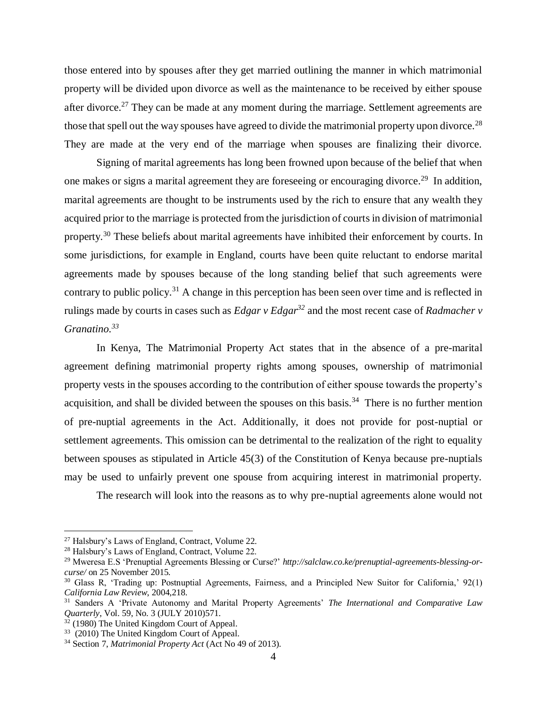those entered into by spouses after they get married outlining the manner in which matrimonial property will be divided upon divorce as well as the maintenance to be received by either spouse after divorce.<sup>27</sup> They can be made at any moment during the marriage. Settlement agreements are those that spell out the way spouses have agreed to divide the matrimonial property upon divorce.<sup>28</sup> They are made at the very end of the marriage when spouses are finalizing their divorce.

Signing of marital agreements has long been frowned upon because of the belief that when one makes or signs a marital agreement they are foreseeing or encouraging divorce.<sup>29</sup> In addition, marital agreements are thought to be instruments used by the rich to ensure that any wealth they acquired prior to the marriage is protected from the jurisdiction of courts in division of matrimonial property.<sup>30</sup> These beliefs about marital agreements have inhibited their enforcement by courts. In some jurisdictions, for example in England, courts have been quite reluctant to endorse marital agreements made by spouses because of the long standing belief that such agreements were contrary to public policy.<sup>31</sup> A change in this perception has been seen over time and is reflected in rulings made by courts in cases such as *Edgar v Edgar<sup>32</sup>* and the most recent case of *Radmacher v Granatino. 33*

In Kenya, The Matrimonial Property Act states that in the absence of a pre-marital agreement defining matrimonial property rights among spouses, ownership of matrimonial property vests in the spouses according to the contribution of either spouse towards the property's acquisition, and shall be divided between the spouses on this basis.<sup>34</sup> There is no further mention of pre-nuptial agreements in the Act. Additionally, it does not provide for post-nuptial or settlement agreements. This omission can be detrimental to the realization of the right to equality between spouses as stipulated in Article 45(3) of the Constitution of Kenya because pre-nuptials may be used to unfairly prevent one spouse from acquiring interest in matrimonial property.

The research will look into the reasons as to why pre-nuptial agreements alone would not

<sup>27</sup> Halsbury's Laws of England, Contract, Volume 22.

<sup>28</sup> Halsbury's Laws of England, Contract, Volume 22.

<sup>29</sup> Mweresa E.S 'Prenuptial Agreements Blessing or Curse?' *http://salclaw.co.ke/prenuptial-agreements-blessing-orcurse/* on 25 November 2015*.*

<sup>30</sup> Glass R, 'Trading up: Postnuptial Agreements, Fairness, and a Principled New Suitor for California,' 92(1) *California Law Review*, 2004,218.

<sup>31</sup> Sanders A 'Private Autonomy and Marital Property Agreements' *The International and Comparative Law Quarterly*, Vol. 59, No. 3 (JULY 2010)571.

<sup>32</sup> (1980) The United Kingdom Court of Appeal.

<sup>&</sup>lt;sup>33</sup> (2010) The United Kingdom Court of Appeal.

<sup>34</sup> Section 7, *Matrimonial Property Act* (Act No 49 of 2013).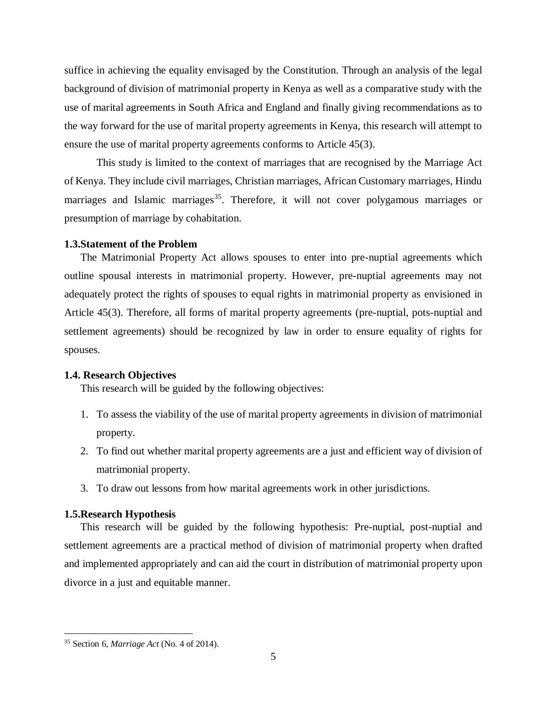suffice in achieving the equality envisaged by the Constitution. Through an analysis of the legal background of division of matrimonial property in Kenya as well as a comparative study with the use of marital agreements in South Africa and England and finally giving recommendations as to the way forward for the use of marital property agreements in Kenya, this research will attempt to ensure the use of marital property agreements conforms to Article 45(3).

This study is limited to the context of marriages that are recognised by the Marriage Act of Kenya. They include civil marriages, Christian marriages, African Customary marriages, Hindu marriages and Islamic marriages<sup>35</sup>. Therefore, it will not cover polygamous marriages or presumption of marriage by cohabitation.

#### <span id="page-14-0"></span>**1.3.Statement of the Problem**

The Matrimonial Property Act allows spouses to enter into pre-nuptial agreements which outline spousal interests in matrimonial property. However, pre-nuptial agreements may not adequately protect the rights of spouses to equal rights in matrimonial property as envisioned in Article 45(3). Therefore, all forms of marital property agreements (pre-nuptial, pots-nuptial and settlement agreements) should be recognized by law in order to ensure equality of rights for spouses.

#### **1.4. Research Objectives**

<span id="page-14-1"></span>This research will be guided by the following objectives:

- 1. To assess the viability of the use of marital property agreements in division of matrimonial property.
- 2. To find out whether marital property agreements are a just and efficient way of division of matrimonial property.
- 3. To draw out lessons from how marital agreements work in other jurisdictions.

### <span id="page-14-2"></span>**1.5.Research Hypothesis**

This research will be guided by the following hypothesis: Pre-nuptial, post-nuptial and settlement agreements are a practical method of division of matrimonial property when drafted and implemented appropriately and can aid the court in distribution of matrimonial property upon divorce in a just and equitable manner.

<sup>35</sup> Section 6, *Marriage Act* (No. 4 of 2014).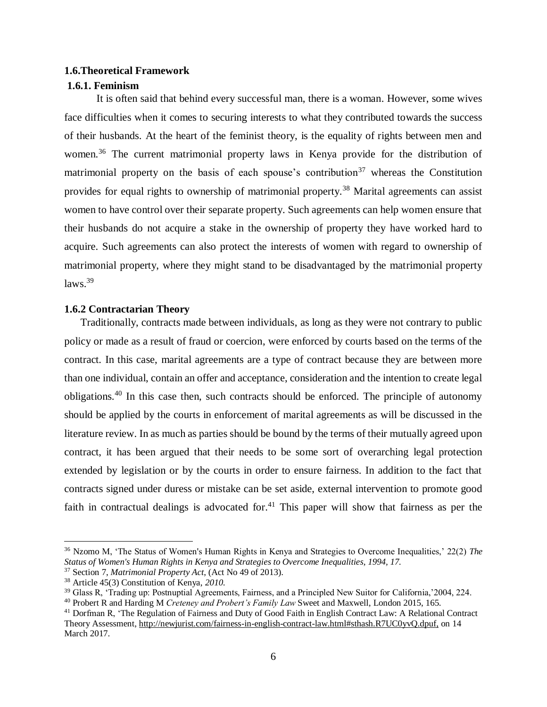### <span id="page-15-0"></span>**1.6.Theoretical Framework**

### <span id="page-15-1"></span>**1.6.1. Feminism**

It is often said that behind every successful man, there is a woman. However, some wives face difficulties when it comes to securing interests to what they contributed towards the success of their husbands. At the heart of the feminist theory, is the equality of rights between men and women.<sup>36</sup> The current matrimonial property laws in Kenya provide for the distribution of matrimonial property on the basis of each spouse's contribution<sup>37</sup> whereas the Constitution provides for equal rights to ownership of matrimonial property.<sup>38</sup> Marital agreements can assist women to have control over their separate property. Such agreements can help women ensure that their husbands do not acquire a stake in the ownership of property they have worked hard to acquire. Such agreements can also protect the interests of women with regard to ownership of matrimonial property, where they might stand to be disadvantaged by the matrimonial property  $laws.<sup>39</sup>$ 

#### <span id="page-15-2"></span>**1.6.2 Contractarian Theory**

Traditionally, contracts made between individuals, as long as they were not contrary to public policy or made as a result of fraud or coercion, were enforced by courts based on the terms of the contract. In this case, marital agreements are a type of contract because they are between more than one individual, contain an offer and acceptance, consideration and the intention to create legal obligations.<sup>40</sup> In this case then, such contracts should be enforced. The principle of autonomy should be applied by the courts in enforcement of marital agreements as will be discussed in the literature review. In as much as parties should be bound by the terms of their mutually agreed upon contract, it has been argued that their needs to be some sort of overarching legal protection extended by legislation or by the courts in order to ensure fairness. In addition to the fact that contracts signed under duress or mistake can be set aside, external intervention to promote good faith in contractual dealings is advocated for.<sup>41</sup> This paper will show that fairness as per the

<sup>36</sup> Nzomo M, 'The Status of Women's Human Rights in Kenya and Strategies to Overcome Inequalities,' 22(2) *The Status of Women's Human Rights in Kenya and Strategies to Overcome Inequalities, 1994, 17.*

<sup>37</sup> Section 7, *Matrimonial Property Act*, (Act No 49 of 2013).

<sup>38</sup> Article 45(3) Constitution of Kenya, *2010*.

<sup>&</sup>lt;sup>39</sup> Glass R, 'Trading up: Postnuptial Agreements, Fairness, and a Principled New Suitor for California, 2004, 224.

<sup>40</sup> Probert R and Harding M *Creteney and Probert's Family Law* Sweet and Maxwell, London 2015, 165.

<sup>&</sup>lt;sup>41</sup> Dorfman R, 'The Regulation of Fairness and Duty of Good Faith in English Contract Law: A Relational Contract Theory Assessment[, http://newjurist.com/fairness-in-english-contract-law.html#sthash.R7UC0yvQ.dpuf,](http://newjurist.com/fairness-in-english-contract-law.html#sthash.R7UC0yvQ.dpuf) on 14 March 2017.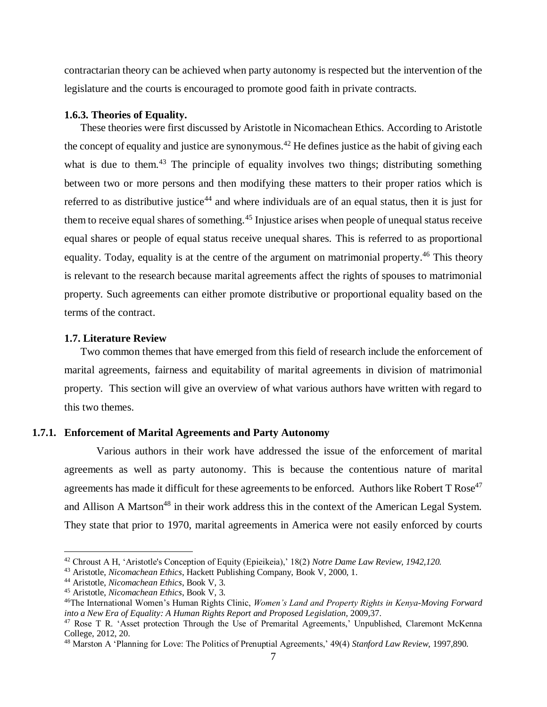contractarian theory can be achieved when party autonomy is respected but the intervention of the legislature and the courts is encouraged to promote good faith in private contracts.

#### <span id="page-16-0"></span>**1.6.3. Theories of Equality.**

These theories were first discussed by Aristotle in Nicomachean Ethics. According to Aristotle the concept of equality and justice are synonymous.<sup>42</sup> He defines justice as the habit of giving each what is due to them.<sup>43</sup> The principle of equality involves two things; distributing something between two or more persons and then modifying these matters to their proper ratios which is referred to as distributive justice<sup>44</sup> and where individuals are of an equal status, then it is just for them to receive equal shares of something.<sup>45</sup> Injustice arises when people of unequal status receive equal shares or people of equal status receive unequal shares. This is referred to as proportional equality. Today, equality is at the centre of the argument on matrimonial property.<sup>46</sup> This theory is relevant to the research because marital agreements affect the rights of spouses to matrimonial property. Such agreements can either promote distributive or proportional equality based on the terms of the contract.

#### <span id="page-16-1"></span>**1.7. Literature Review**

Two common themes that have emerged from this field of research include the enforcement of marital agreements, fairness and equitability of marital agreements in division of matrimonial property. This section will give an overview of what various authors have written with regard to this two themes.

### **1.7.1. Enforcement of Marital Agreements and Party Autonomy**

<span id="page-16-2"></span>Various authors in their work have addressed the issue of the enforcement of marital agreements as well as party autonomy. This is because the contentious nature of marital agreements has made it difficult for these agreements to be enforced. Authors like Robert T Rose<sup>47</sup> and Allison A Martson<sup>48</sup> in their work address this in the context of the American Legal System. They state that prior to 1970, marital agreements in America were not easily enforced by courts

<sup>42</sup> Chroust A H, 'Aristotle's Conception of Equity (Epieikeia),' 18(2) *Notre Dame Law Review, 1942,120.*

<sup>43</sup> Aristotle, *Nicomachean Ethics*, Hackett Publishing Company, Book V, 2000, 1.

<sup>44</sup> Aristotle, *Nicomachean Ethics*, Book V, 3.

<sup>45</sup> Aristotle, *Nicomachean Ethics*, Book V, 3.

<sup>46</sup>The International Women's Human Rights Clinic, *Women's Land and Property Rights in Kenya-Moving Forward*  into a New Era of Equality: A Human Rights Report and Proposed Legislation, 2009,37.

<sup>&</sup>lt;sup>47</sup> Rose T R. 'Asset protection Through the Use of Premarital Agreements,' Unpublished, Claremont McKenna College, 2012, 20.

<sup>48</sup> Marston A 'Planning for Love: The Politics of Prenuptial Agreements,' 49(4) *Stanford Law Review*, 1997,890.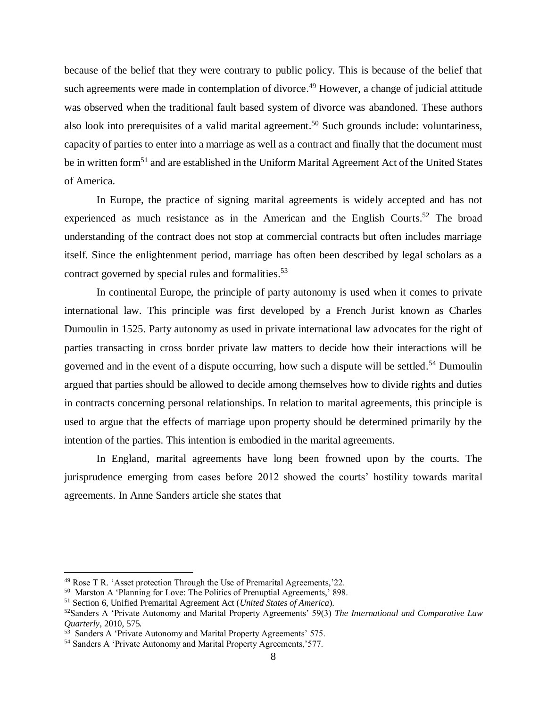because of the belief that they were contrary to public policy. This is because of the belief that such agreements were made in contemplation of divorce.<sup>49</sup> However, a change of judicial attitude was observed when the traditional fault based system of divorce was abandoned. These authors also look into prerequisites of a valid marital agreement.<sup>50</sup> Such grounds include: voluntariness, capacity of parties to enter into a marriage as well as a contract and finally that the document must be in written form<sup>51</sup> and are established in the Uniform Marital Agreement Act of the United States of America.

In Europe, the practice of signing marital agreements is widely accepted and has not experienced as much resistance as in the American and the English Courts.<sup>52</sup> The broad understanding of the contract does not stop at commercial contracts but often includes marriage itself. Since the enlightenment period, marriage has often been described by legal scholars as a contract governed by special rules and formalities.<sup>53</sup>

In continental Europe, the principle of party autonomy is used when it comes to private international law. This principle was first developed by a French Jurist known as Charles Dumoulin in 1525. Party autonomy as used in private international law advocates for the right of parties transacting in cross border private law matters to decide how their interactions will be governed and in the event of a dispute occurring, how such a dispute will be settled.<sup>54</sup> Dumoulin argued that parties should be allowed to decide among themselves how to divide rights and duties in contracts concerning personal relationships. In relation to marital agreements, this principle is used to argue that the effects of marriage upon property should be determined primarily by the intention of the parties. This intention is embodied in the marital agreements.

In England, marital agreements have long been frowned upon by the courts. The jurisprudence emerging from cases before 2012 showed the courts' hostility towards marital agreements. In Anne Sanders article she states that

 $49$  Rose T R. 'Asset protection Through the Use of Premarital Agreements,  $22$ .

<sup>50</sup> Marston A 'Planning for Love: The Politics of Prenuptial Agreements,' 898.

<sup>51</sup> Section 6, Unified Premarital Agreement Act (*United States of America*).

<sup>52</sup>Sanders A 'Private Autonomy and Marital Property Agreements' 59(3) *The International and Comparative Law Quarterly,* 2010, 575*.*

<sup>&</sup>lt;sup>53</sup> Sanders A 'Private Autonomy and Marital Property Agreements' 575.

<sup>54</sup> Sanders A 'Private Autonomy and Marital Property Agreements,'577.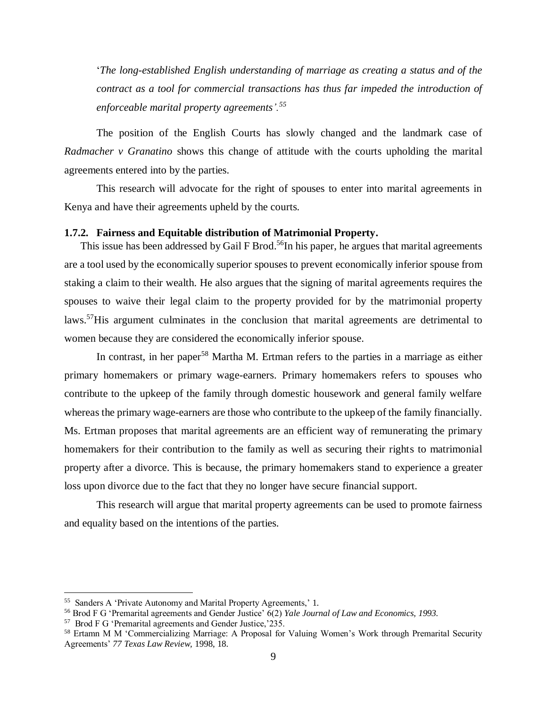'*The long-established English understanding of marriage as creating a status and of the contract as a tool for commercial transactions has thus far impeded the introduction of enforceable marital property agreements'.<sup>55</sup>*

The position of the English Courts has slowly changed and the landmark case of *Radmacher v Granatino* shows this change of attitude with the courts upholding the marital agreements entered into by the parties.

This research will advocate for the right of spouses to enter into marital agreements in Kenya and have their agreements upheld by the courts.

## <span id="page-18-0"></span>**1.7.2. Fairness and Equitable distribution of Matrimonial Property.**

This issue has been addressed by Gail F Brod.<sup>56</sup>In his paper, he argues that marital agreements are a tool used by the economically superior spouses to prevent economically inferior spouse from staking a claim to their wealth. He also argues that the signing of marital agreements requires the spouses to waive their legal claim to the property provided for by the matrimonial property laws.<sup>57</sup>His argument culminates in the conclusion that marital agreements are detrimental to women because they are considered the economically inferior spouse.

In contrast, in her paper<sup>58</sup> Martha M. Ertman refers to the parties in a marriage as either primary homemakers or primary wage-earners. Primary homemakers refers to spouses who contribute to the upkeep of the family through domestic housework and general family welfare whereas the primary wage-earners are those who contribute to the upkeep of the family financially. Ms. Ertman proposes that marital agreements are an efficient way of remunerating the primary homemakers for their contribution to the family as well as securing their rights to matrimonial property after a divorce. This is because, the primary homemakers stand to experience a greater loss upon divorce due to the fact that they no longer have secure financial support.

This research will argue that marital property agreements can be used to promote fairness and equality based on the intentions of the parties.

<sup>55</sup> Sanders A 'Private Autonomy and Marital Property Agreements,' 1.

<sup>56</sup> Brod F G 'Premarital agreements and Gender Justice' 6(2) *Yale Journal of Law and Economics, 1993.*

<sup>57</sup> Brod F G 'Premarital agreements and Gender Justice,'235.

<sup>58</sup> Ertamn M M 'Commercializing Marriage: A Proposal for Valuing Women's Work through Premarital Security Agreements' *77 Texas Law Review,* 1998, 18.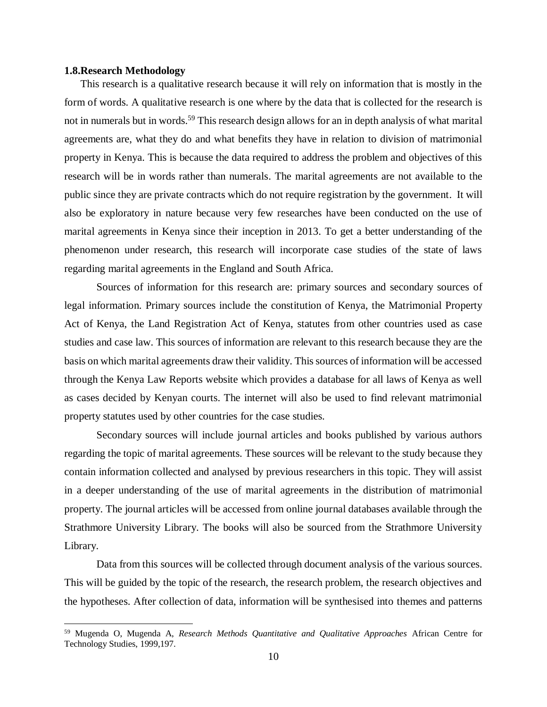## <span id="page-19-0"></span>**1.8.Research Methodology**

 $\overline{a}$ 

This research is a qualitative research because it will rely on information that is mostly in the form of words. A qualitative research is one where by the data that is collected for the research is not in numerals but in words.<sup>59</sup> This research design allows for an in depth analysis of what marital agreements are, what they do and what benefits they have in relation to division of matrimonial property in Kenya. This is because the data required to address the problem and objectives of this research will be in words rather than numerals. The marital agreements are not available to the public since they are private contracts which do not require registration by the government. It will also be exploratory in nature because very few researches have been conducted on the use of marital agreements in Kenya since their inception in 2013. To get a better understanding of the phenomenon under research, this research will incorporate case studies of the state of laws regarding marital agreements in the England and South Africa.

Sources of information for this research are: primary sources and secondary sources of legal information. Primary sources include the constitution of Kenya, the Matrimonial Property Act of Kenya, the Land Registration Act of Kenya, statutes from other countries used as case studies and case law. This sources of information are relevant to this research because they are the basis on which marital agreements draw their validity. This sources of information will be accessed through the Kenya Law Reports website which provides a database for all laws of Kenya as well as cases decided by Kenyan courts. The internet will also be used to find relevant matrimonial property statutes used by other countries for the case studies.

Secondary sources will include journal articles and books published by various authors regarding the topic of marital agreements. These sources will be relevant to the study because they contain information collected and analysed by previous researchers in this topic. They will assist in a deeper understanding of the use of marital agreements in the distribution of matrimonial property. The journal articles will be accessed from online journal databases available through the Strathmore University Library. The books will also be sourced from the Strathmore University Library.

Data from this sources will be collected through document analysis of the various sources. This will be guided by the topic of the research, the research problem, the research objectives and the hypotheses. After collection of data, information will be synthesised into themes and patterns

<sup>59</sup> Mugenda O, Mugenda A, *Research Methods Quantitative and Qualitative Approaches* African Centre for Technology Studies, 1999,197.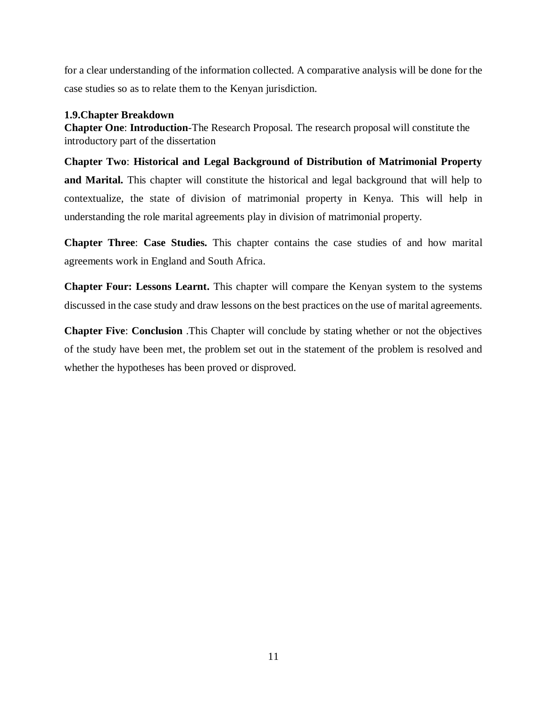for a clear understanding of the information collected. A comparative analysis will be done for the case studies so as to relate them to the Kenyan jurisdiction.

# <span id="page-20-0"></span>**1.9.Chapter Breakdown**

**Chapter One**: **Introduction**-The Research Proposal. The research proposal will constitute the introductory part of the dissertation

**Chapter Two**: **Historical and Legal Background of Distribution of Matrimonial Property and Marital.** This chapter will constitute the historical and legal background that will help to contextualize, the state of division of matrimonial property in Kenya. This will help in understanding the role marital agreements play in division of matrimonial property.

**Chapter Three**: **Case Studies.** This chapter contains the case studies of and how marital agreements work in England and South Africa.

**Chapter Four: Lessons Learnt.** This chapter will compare the Kenyan system to the systems discussed in the case study and draw lessons on the best practices on the use of marital agreements.

**Chapter Five**: **Conclusion** .This Chapter will conclude by stating whether or not the objectives of the study have been met, the problem set out in the statement of the problem is resolved and whether the hypotheses has been proved or disproved.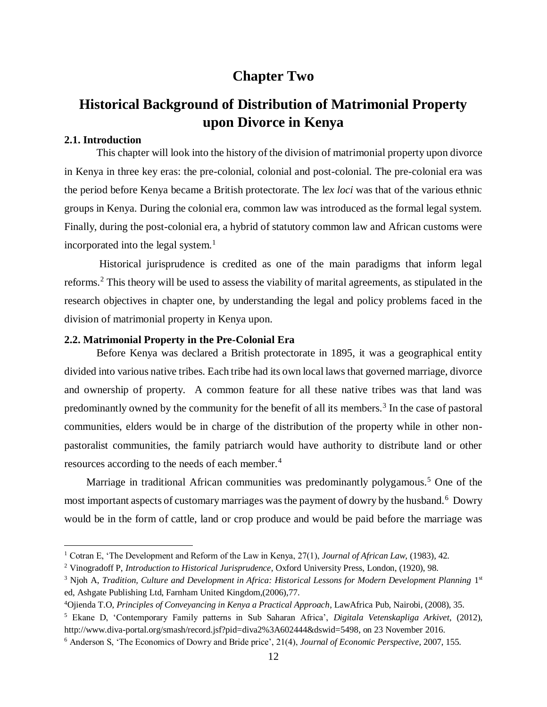# **Chapter Two**

# <span id="page-21-1"></span><span id="page-21-0"></span>**Historical Background of Distribution of Matrimonial Property upon Divorce in Kenya**

# <span id="page-21-2"></span>**2.1. Introduction**

 $\overline{a}$ 

This chapter will look into the history of the division of matrimonial property upon divorce in Kenya in three key eras: the pre-colonial, colonial and post-colonial. The pre-colonial era was the period before Kenya became a British protectorate. The l*ex loci* was that of the various ethnic groups in Kenya. During the colonial era, common law was introduced as the formal legal system. Finally, during the post-colonial era, a hybrid of statutory common law and African customs were incorporated into the legal system. $<sup>1</sup>$ </sup>

Historical jurisprudence is credited as one of the main paradigms that inform legal reforms.<sup>2</sup> This theory will be used to assess the viability of marital agreements, as stipulated in the research objectives in chapter one, by understanding the legal and policy problems faced in the division of matrimonial property in Kenya upon.

## <span id="page-21-3"></span>**2.2. Matrimonial Property in the Pre-Colonial Era**

Before Kenya was declared a British protectorate in 1895, it was a geographical entity divided into various native tribes. Each tribe had its own local laws that governed marriage, divorce and ownership of property. A common feature for all these native tribes was that land was predominantly owned by the community for the benefit of all its members.<sup>3</sup> In the case of pastoral communities, elders would be in charge of the distribution of the property while in other nonpastoralist communities, the family patriarch would have authority to distribute land or other resources according to the needs of each member.<sup>4</sup>

Marriage in traditional African communities was predominantly polygamous.<sup>5</sup> One of the most important aspects of customary marriages was the payment of dowry by the husband.<sup>6</sup> Dowry would be in the form of cattle, land or crop produce and would be paid before the marriage was

<sup>1</sup> Cotran E, 'The Development and Reform of the Law in Kenya, 27(1), *Journal of African Law*, (1983), 42.

<sup>2</sup> Vinogradoff P, *Introduction to Historical Jurisprudence*, Oxford University Press, London, (1920), 98.

<sup>&</sup>lt;sup>3</sup> Njoh A, *Tradition, Culture and Development in Africa: Historical Lessons for Modern Development Planning 1<sup>st</sup>* ed, Ashgate Publishing Ltd, Farnham United Kingdom,(2006),77.

<sup>4</sup>Ojienda T.O, *Principles of Conveyancing in Kenya a Practical Approach*, LawAfrica Pub, Nairobi, (2008), 35.

<sup>5</sup> Ekane D, 'Contemporary Family patterns in Sub Saharan Africa', *Digitala Vetenskapliga Arkivet*, (2012), [http://www.diva-portal.org/smash/record.jsf?pid=diva2%3A602444&dswid=5498,](http://www.diva-portal.org/smash/record.jsf?pid=diva2%3A602444&dswid=5498) on 23 November 2016.

<sup>6</sup> Anderson S, 'The Economics of Dowry and Bride price', 21(4), *Journal of Economic Perspective*, 2007, 155.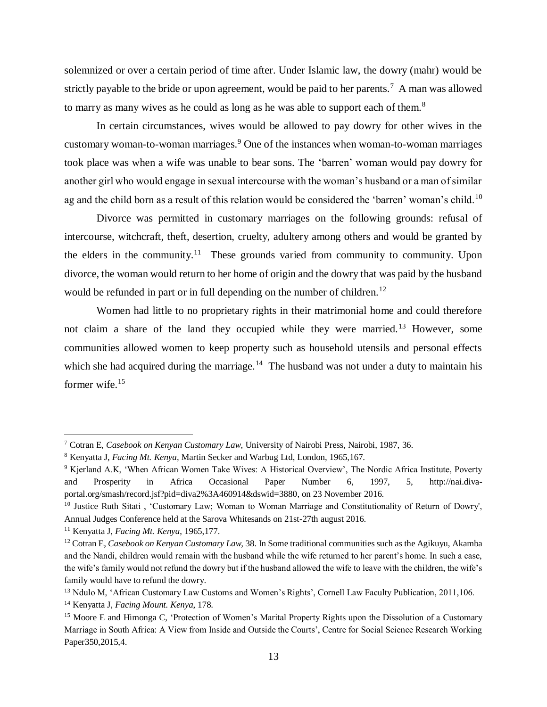solemnized or over a certain period of time after. Under Islamic law, the dowry (mahr) would be strictly payable to the bride or upon agreement, would be paid to her parents.<sup>7</sup> A man was allowed to marry as many wives as he could as long as he was able to support each of them.<sup>8</sup>

In certain circumstances, wives would be allowed to pay dowry for other wives in the customary woman-to-woman marriages.<sup>9</sup> One of the instances when woman-to-woman marriages took place was when a wife was unable to bear sons. The 'barren' woman would pay dowry for another girl who would engage in sexual intercourse with the woman's husband or a man of similar ag and the child born as a result of this relation would be considered the 'barren' woman's child.<sup>10</sup>

Divorce was permitted in customary marriages on the following grounds: refusal of intercourse, witchcraft, theft, desertion, cruelty, adultery among others and would be granted by the elders in the community.<sup>11</sup> These grounds varied from community to community. Upon divorce, the woman would return to her home of origin and the dowry that was paid by the husband would be refunded in part or in full depending on the number of children.<sup>12</sup>

Women had little to no proprietary rights in their matrimonial home and could therefore not claim a share of the land they occupied while they were married.<sup>13</sup> However, some communities allowed women to keep property such as household utensils and personal effects which she had acquired during the marriage.<sup>14</sup> The husband was not under a duty to maintain his former wife.<sup>15</sup>

<sup>7</sup> Cotran E, *Casebook on Kenyan Customary Law*, University of Nairobi Press, Nairobi, 1987, 36.

<sup>8</sup> Kenyatta J, *Facing Mt. Kenya*, Martin Secker and Warbug Ltd, London, 1965,167.

<sup>9</sup> Kjerland A.K, 'When African Women Take Wives: A Historical Overview', The Nordic Africa Institute, Poverty and Prosperity in Africa Occasional Paper Number 6, 1997, 5, [http://nai.diva](http://nai.diva-portal.org/smash/record.jsf?pid=diva2%3A460914&dswid=3880)[portal.org/smash/record.jsf?pid=diva2%3A460914&dswid=3880,](http://nai.diva-portal.org/smash/record.jsf?pid=diva2%3A460914&dswid=3880) on 23 November 2016.

<sup>&</sup>lt;sup>10</sup> Justice Ruth Sitati, 'Customary Law; Woman to Woman Marriage and Constitutionality of Return of Dowry', Annual Judges Conference held at the Sarova Whitesands on 21st-27th august 2016.

<sup>11</sup> Kenyatta J, *Facing Mt. Kenya*, 1965,177.

<sup>12</sup> Cotran E, *Casebook on Kenyan Customary Law,* 38. In Some traditional communities such as the Agikuyu, Akamba and the Nandi, children would remain with the husband while the wife returned to her parent's home. In such a case, the wife's family would not refund the dowry but if the husband allowed the wife to leave with the children, the wife's family would have to refund the dowry.

<sup>&</sup>lt;sup>13</sup> Ndulo M, 'African Customary Law Customs and Women's Rights', Cornell Law Faculty Publication, 2011,106.

<sup>14</sup> Kenyatta J, *Facing Mount. Kenya*, 178.

<sup>15</sup> Moore E and Himonga C, 'Protection of Women's Marital Property Rights upon the Dissolution of a Customary Marriage in South Africa: A View from Inside and Outside the Courts', Centre for Social Science Research Working Paper350,2015,4.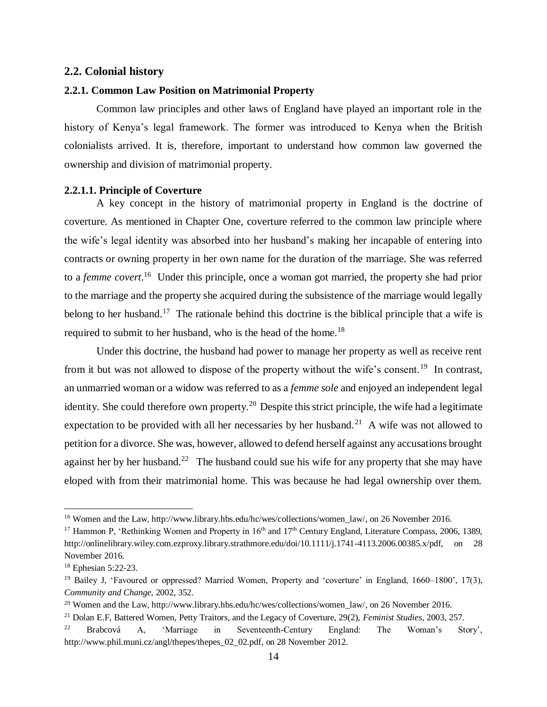### <span id="page-23-0"></span>**2.2. Colonial history**

#### <span id="page-23-1"></span>**2.2.1. Common Law Position on Matrimonial Property**

Common law principles and other laws of England have played an important role in the history of Kenya's legal framework. The former was introduced to Kenya when the British colonialists arrived. It is, therefore, important to understand how common law governed the ownership and division of matrimonial property.

#### <span id="page-23-2"></span>**2.2.1.1. Principle of Coverture**

A key concept in the history of matrimonial property in England is the doctrine of coverture. As mentioned in Chapter One, coverture referred to the common law principle where the wife's legal identity was absorbed into her husband's making her incapable of entering into contracts or owning property in her own name for the duration of the marriage. She was referred to a *femme covert*.<sup>16</sup> Under this principle, once a woman got married, the property she had prior to the marriage and the property she acquired during the subsistence of the marriage would legally belong to her husband.<sup>17</sup> The rationale behind this doctrine is the biblical principle that a wife is required to submit to her husband, who is the head of the home.<sup>18</sup>

Under this doctrine, the husband had power to manage her property as well as receive rent from it but was not allowed to dispose of the property without the wife's consent.<sup>19</sup> In contrast, an unmarried woman or a widow was referred to as a *femme sole* and enjoyed an independent legal identity. She could therefore own property.<sup>20</sup> Despite this strict principle, the wife had a legitimate expectation to be provided with all her necessaries by her husband.<sup>21</sup> A wife was not allowed to petition for a divorce. She was, however, allowed to defend herself against any accusations brought against her by her husband.<sup>22</sup> The husband could sue his wife for any property that she may have eloped with from their matrimonial home. This was because he had legal ownership over them.

<sup>&</sup>lt;sup>16</sup> Women and the Law[, http://www.library.hbs.edu/hc/wes/collections/women\\_law/,](http://www.library.hbs.edu/hc/wes/collections/women_law/) on 26 November 2016.

<sup>&</sup>lt;sup>17</sup> Hammon P, 'Rethinking Women and Property in 16<sup>th</sup> and 17<sup>th</sup> Century England, Literature Compass, 2006, 1389, [http://onlinelibrary.wiley.com.ezproxy.library.strathmore.edu/doi/10.1111/j.1741-4113.2006.00385.x/pdf, on](http://onlinelibrary.wiley.com.ezproxy.library.strathmore.edu/doi/10.1111/j.1741-4113.2006.00385.x/pdf,%20on) 28 November 2016.

<sup>18</sup> Ephesian 5:22-23.

<sup>19</sup> Bailey J, 'Favoured or oppressed? Married Women, Property and 'coverture' in England, 1660–1800', 17(3), *Community and Change,* 2002, 352.

<sup>&</sup>lt;sup>20</sup> Women and the Law[, http://www.library.hbs.edu/hc/wes/collections/women\\_law/,](http://www.library.hbs.edu/hc/wes/collections/women_law/) on 26 November 2016.

<sup>21</sup> Dolan E.F, Battered Women, Petty Traitors, and the Legacy of Coverture, 29(2), *Feminist Studies*, 2003, 257.

<sup>22</sup> Brabcová A, 'Marriage in Seventeenth-Century England: The Woman's Story', [http://www.phil.muni.cz/angl/thepes/thepes\\_02\\_02.pdf,](http://www.phil.muni.cz/angl/thepes/thepes_02_02.pdf) on 28 November 2012.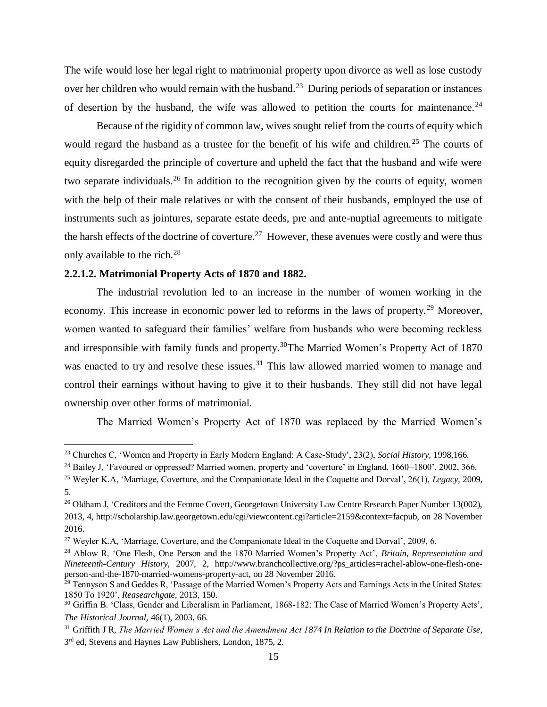The wife would lose her legal right to matrimonial property upon divorce as well as lose custody over her children who would remain with the husband.<sup>23</sup> During periods of separation or instances of desertion by the husband, the wife was allowed to petition the courts for maintenance.<sup>24</sup>

Because of the rigidity of common law, wives sought relief from the courts of equity which would regard the husband as a trustee for the benefit of his wife and children.<sup>25</sup> The courts of equity disregarded the principle of coverture and upheld the fact that the husband and wife were two separate individuals.<sup>26</sup> In addition to the recognition given by the courts of equity, women with the help of their male relatives or with the consent of their husbands, employed the use of instruments such as jointures, separate estate deeds, pre and ante-nuptial agreements to mitigate the harsh effects of the doctrine of coverture.<sup>27</sup> However, these avenues were costly and were thus only available to the rich. $^{28}$ 

### <span id="page-24-0"></span>**2.2.1.2. Matrimonial Property Acts of 1870 and 1882.**

 $\overline{a}$ 

The industrial revolution led to an increase in the number of women working in the economy. This increase in economic power led to reforms in the laws of property.<sup>29</sup> Moreover, women wanted to safeguard their families' welfare from husbands who were becoming reckless and irresponsible with family funds and property.<sup>30</sup>The Married Women's Property Act of 1870 was enacted to try and resolve these issues.<sup>31</sup> This law allowed married women to manage and control their earnings without having to give it to their husbands. They still did not have legal ownership over other forms of matrimonial.

The Married Women's Property Act of 1870 was replaced by the Married Women's

<sup>23</sup> Churches C, 'Women and Property in Early Modern England: A Case-Study', 23(2), *Social History,* 1998,166.

<sup>&</sup>lt;sup>24</sup> Bailey J, 'Favoured or oppressed? Married women, property and 'coverture' in England, 1660–1800', 2002, 366.

<sup>25</sup> Weyler K.A, 'Marriage, Coverture, and the Companionate Ideal in the Coquette and Dorval', 26(1), *Legacy,* 2009, 5.

<sup>&</sup>lt;sup>26</sup> Oldham J, 'Creditors and the Femme Covert, Georgetown University Law Centre Research Paper Number 13(002), 2013, 4, [http://scholarship.law.georgetown.edu/cgi/viewcontent.cgi?article=2159&context=facpub,](http://scholarship.law.georgetown.edu/cgi/viewcontent.cgi?article=2159&context=facpub) on 28 November 2016.

<sup>&</sup>lt;sup>27</sup> Weyler K.A, 'Marriage, Coverture, and the Companionate Ideal in the Coquette and Dorval', 2009, 6.

<sup>28</sup> Ablow R, 'One Flesh, One Person and the 1870 Married Women's Property Act', *Britain, Representation and Nineteenth-Century History,* 2007, 2, [http://www.branchcollective.org/?ps\\_articles=rachel-ablow-one-flesh-one](http://www.branchcollective.org/?ps_articles=rachel-ablow-one-flesh-one-person-and-the-1870-married-womens-property-act)[person-and-the-1870-married-womens-property-act,](http://www.branchcollective.org/?ps_articles=rachel-ablow-one-flesh-one-person-and-the-1870-married-womens-property-act) on 28 November 2016.

<sup>&</sup>lt;sup>29</sup> Tennyson S and Geddes R, 'Passage of the Married Women's Property Acts and Earnings Acts in the United States: 1850 To 1920', *Reasearchgate,* 2013, 150.

<sup>&</sup>lt;sup>30</sup> Griffin B. 'Class, Gender and Liberalism in Parliament, 1868-182: The Case of Married Women's Property Acts', *The Historical Journal,* 46(1), 2003, 66.

<sup>31</sup> Griffith J R, *The Married Women's Act and the Amendment Act 1874 In Relation to the Doctrine of Separate Use*, 3<sup>rd</sup> ed, Stevens and Haynes Law Publishers, London, 1875, 2.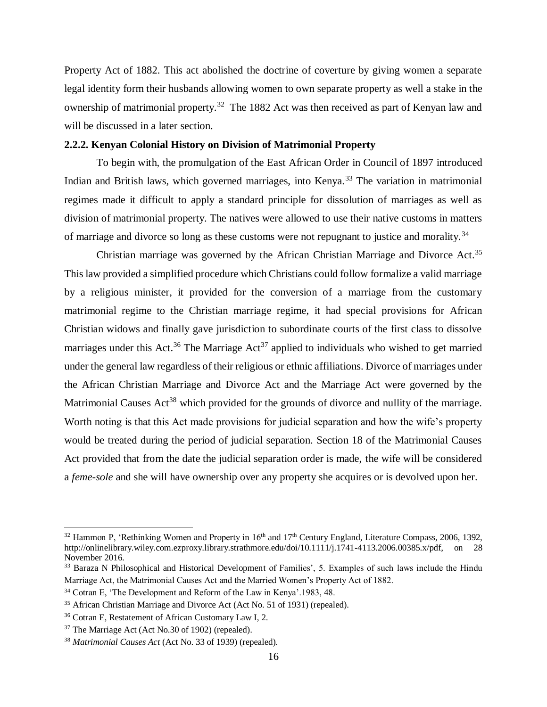Property Act of 1882. This act abolished the doctrine of coverture by giving women a separate legal identity form their husbands allowing women to own separate property as well a stake in the ownership of matrimonial property.<sup>32</sup> The 1882 Act was then received as part of Kenyan law and will be discussed in a later section.

### <span id="page-25-0"></span>**2.2.2. Kenyan Colonial History on Division of Matrimonial Property**

To begin with, the promulgation of the East African Order in Council of 1897 introduced Indian and British laws, which governed marriages, into Kenya.<sup>33</sup> The variation in matrimonial regimes made it difficult to apply a standard principle for dissolution of marriages as well as division of matrimonial property. The natives were allowed to use their native customs in matters of marriage and divorce so long as these customs were not repugnant to justice and morality.<sup>34</sup>

Christian marriage was governed by the African Christian Marriage and Divorce Act.<sup>35</sup> This law provided a simplified procedure which Christians could follow formalize a valid marriage by a religious minister, it provided for the conversion of a marriage from the customary matrimonial regime to the Christian marriage regime, it had special provisions for African Christian widows and finally gave jurisdiction to subordinate courts of the first class to dissolve marriages under this Act.<sup>36</sup> The Marriage Act<sup>37</sup> applied to individuals who wished to get married under the general law regardless of their religious or ethnic affiliations. Divorce of marriages under the African Christian Marriage and Divorce Act and the Marriage Act were governed by the Matrimonial Causes Act<sup>38</sup> which provided for the grounds of divorce and nullity of the marriage. Worth noting is that this Act made provisions for judicial separation and how the wife's property would be treated during the period of judicial separation. Section 18 of the Matrimonial Causes Act provided that from the date the judicial separation order is made, the wife will be considered a *feme-sole* and she will have ownership over any property she acquires or is devolved upon her.

 $32$  Hammon P, 'Rethinking Women and Property in  $16<sup>th</sup>$  and  $17<sup>th</sup>$  Century England, Literature Compass, 2006, 1392, [http://onlinelibrary.wiley.com.ezproxy.library.strathmore.edu/doi/10.1111/j.1741-4113.2006.00385.x/pdf,](http://onlinelibrary.wiley.com.ezproxy.library.strathmore.edu/doi/10.1111/j.1741-4113.2006.00385.x/pdf) on 28 November 2016.

<sup>&</sup>lt;sup>33</sup> Baraza N Philosophical and Historical Development of Families', 5. Examples of such laws include the Hindu Marriage Act, the Matrimonial Causes Act and the Married Women's Property Act of 1882.

<sup>34</sup> Cotran E, 'The Development and Reform of the Law in Kenya'.1983, 48.

<sup>35</sup> African Christian Marriage and Divorce Act (Act No. 51 of 1931) (repealed).

<sup>36</sup> Cotran E, Restatement of African Customary Law I, 2.

<sup>37</sup> The Marriage Act (Act No.30 of 1902) (repealed).

<sup>38</sup> *Matrimonial Causes Act* (Act No. 33 of 1939) (repealed).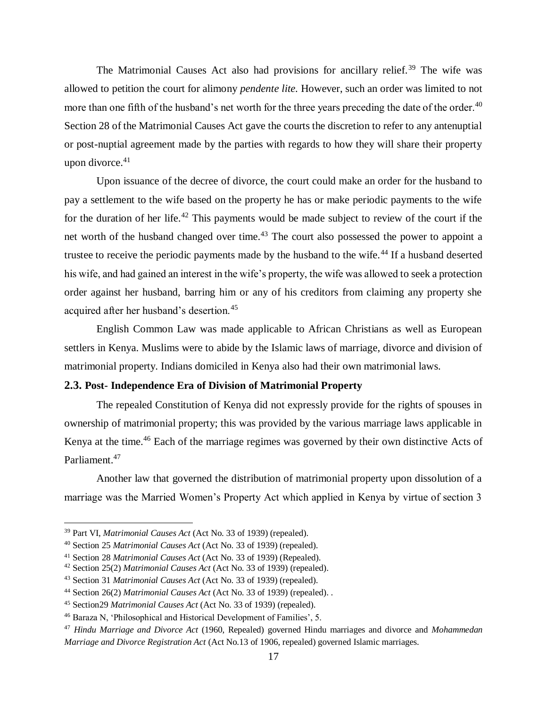The Matrimonial Causes Act also had provisions for ancillary relief.<sup>39</sup> The wife was allowed to petition the court for alimony *pendente lite.* However, such an order was limited to not more than one fifth of the husband's net worth for the three years preceding the date of the order.<sup>40</sup> Section 28 of the Matrimonial Causes Act gave the courts the discretion to refer to any antenuptial or post-nuptial agreement made by the parties with regards to how they will share their property upon divorce.<sup>41</sup>

Upon issuance of the decree of divorce, the court could make an order for the husband to pay a settlement to the wife based on the property he has or make periodic payments to the wife for the duration of her life.<sup>42</sup> This payments would be made subject to review of the court if the net worth of the husband changed over time.<sup>43</sup> The court also possessed the power to appoint a trustee to receive the periodic payments made by the husband to the wife.<sup>44</sup> If a husband deserted his wife, and had gained an interest in the wife's property, the wife was allowed to seek a protection order against her husband, barring him or any of his creditors from claiming any property she acquired after her husband's desertion.<sup>45</sup>

English Common Law was made applicable to African Christians as well as European settlers in Kenya. Muslims were to abide by the Islamic laws of marriage, divorce and division of matrimonial property. Indians domiciled in Kenya also had their own matrimonial laws.

# <span id="page-26-0"></span>**2.3. Post- Independence Era of Division of Matrimonial Property**

The repealed Constitution of Kenya did not expressly provide for the rights of spouses in ownership of matrimonial property; this was provided by the various marriage laws applicable in Kenya at the time.<sup>46</sup> Each of the marriage regimes was governed by their own distinctive Acts of Parliament.<sup>47</sup>

Another law that governed the distribution of matrimonial property upon dissolution of a marriage was the Married Women's Property Act which applied in Kenya by virtue of section 3

<sup>39</sup> Part VI, *Matrimonial Causes Act* (Act No. 33 of 1939) (repealed).

<sup>40</sup> Section 25 *Matrimonial Causes Act* (Act No. 33 of 1939) (repealed).

<sup>41</sup> Section 28 *Matrimonial Causes Act* (Act No. 33 of 1939) (Repealed).

<sup>42</sup> Section 25(2) *Matrimonial Causes Act* (Act No. 33 of 1939) (repealed).

<sup>43</sup> Section 31 *Matrimonial Causes Act* (Act No. 33 of 1939) (repealed).

<sup>44</sup> Section 26(2) *Matrimonial Causes Act* (Act No. 33 of 1939) (repealed). .

<sup>45</sup> Section29 *Matrimonial Causes Act* (Act No. 33 of 1939) (repealed).

<sup>46</sup> Baraza N, 'Philosophical and Historical Development of Families', 5.

<sup>47</sup> *Hindu Marriage and Divorce Act* (1960, Repealed) governed Hindu marriages and divorce and *Mohammedan Marriage and Divorce Registration Act* (Act No.13 of 1906, repealed) governed Islamic marriages.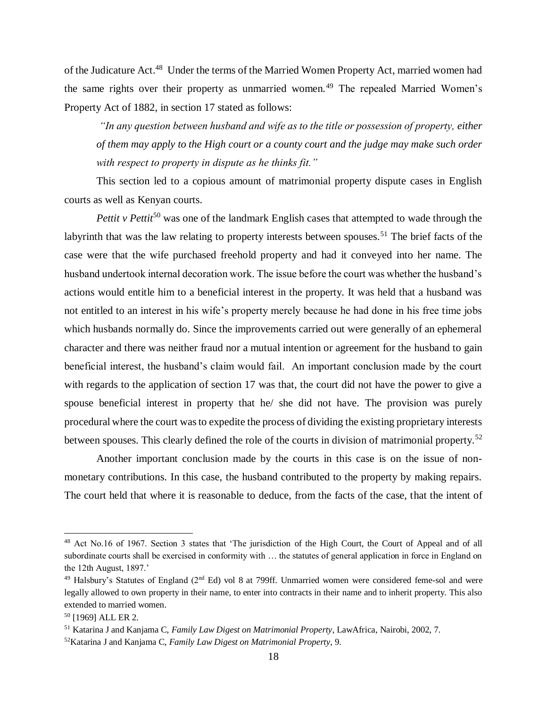of the Judicature Act.<sup>48</sup> Under the terms of the Married Women Property Act, married women had the same rights over their property as unmarried women.<sup>49</sup> The repealed Married Women's Property Act of 1882, in section 17 stated as follows:

*"In any question between husband and wife as to the title or possession of property, either of them may apply to the High court or a county court and the judge may make such order with respect to property in dispute as he thinks fit."* 

This section led to a copious amount of matrimonial property dispute cases in English courts as well as Kenyan courts.

*Pettit v Pettit*<sup>50</sup> was one of the landmark English cases that attempted to wade through the labyrinth that was the law relating to property interests between spouses.<sup>51</sup> The brief facts of the case were that the wife purchased freehold property and had it conveyed into her name. The husband undertook internal decoration work. The issue before the court was whether the husband's actions would entitle him to a beneficial interest in the property. It was held that a husband was not entitled to an interest in his wife's property merely because he had done in his free time jobs which husbands normally do. Since the improvements carried out were generally of an ephemeral character and there was neither fraud nor a mutual intention or agreement for the husband to gain beneficial interest, the husband's claim would fail. An important conclusion made by the court with regards to the application of section 17 was that, the court did not have the power to give a spouse beneficial interest in property that he/ she did not have. The provision was purely procedural where the court was to expedite the process of dividing the existing proprietary interests between spouses. This clearly defined the role of the courts in division of matrimonial property.<sup>52</sup>

Another important conclusion made by the courts in this case is on the issue of nonmonetary contributions. In this case, the husband contributed to the property by making repairs. The court held that where it is reasonable to deduce, from the facts of the case, that the intent of

<sup>48</sup> Act No.16 of 1967. Section 3 states that 'The jurisdiction of the High Court, the Court of Appeal and of all subordinate courts shall be exercised in conformity with … the statutes of general application in force in England on the 12th August, 1897.'

 $49$  Halsbury's Statutes of England ( $2<sup>nd</sup>$  Ed) vol 8 at 799ff. Unmarried women were considered feme-sol and were legally allowed to own property in their name, to enter into contracts in their name and to inherit property. This also extended to married women.

<sup>50</sup> [1969] ALL ER 2.

<sup>51</sup> Katarina J and Kanjama C, *Family Law Digest on Matrimonial Property*, LawAfrica, Nairobi, 2002, 7.

<sup>52</sup>Katarina J and Kanjama C, *Family Law Digest on Matrimonial Property*, 9.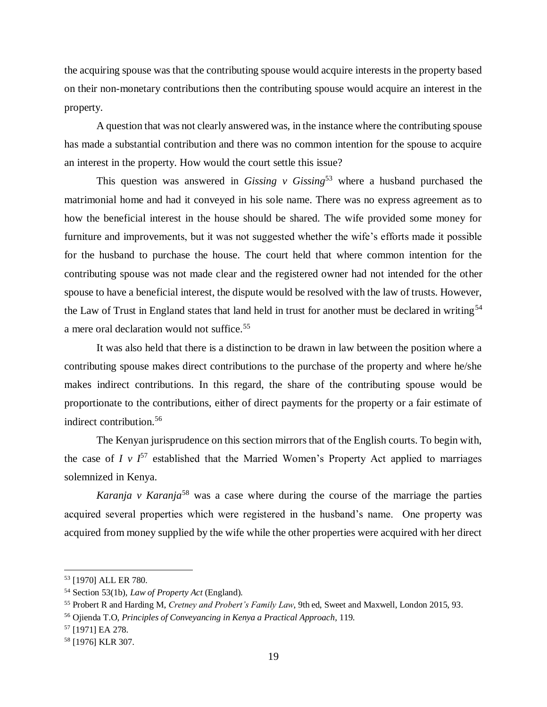the acquiring spouse was that the contributing spouse would acquire interests in the property based on their non-monetary contributions then the contributing spouse would acquire an interest in the property.

A question that was not clearly answered was, in the instance where the contributing spouse has made a substantial contribution and there was no common intention for the spouse to acquire an interest in the property. How would the court settle this issue?

This question was answered in *Gissing v Gissing*<sup>53</sup> where a husband purchased the matrimonial home and had it conveyed in his sole name. There was no express agreement as to how the beneficial interest in the house should be shared. The wife provided some money for furniture and improvements, but it was not suggested whether the wife's efforts made it possible for the husband to purchase the house. The court held that where common intention for the contributing spouse was not made clear and the registered owner had not intended for the other spouse to have a beneficial interest, the dispute would be resolved with the law of trusts. However, the Law of Trust in England states that land held in trust for another must be declared in writing<sup>54</sup> a mere oral declaration would not suffice.<sup>55</sup>

It was also held that there is a distinction to be drawn in law between the position where a contributing spouse makes direct contributions to the purchase of the property and where he/she makes indirect contributions. In this regard, the share of the contributing spouse would be proportionate to the contributions, either of direct payments for the property or a fair estimate of indirect contribution.<sup>56</sup>

The Kenyan jurisprudence on this section mirrors that of the English courts. To begin with, the case of *I v*  $I^{57}$  established that the Married Women's Property Act applied to marriages solemnized in Kenya.

*Karanja v Karanja*<sup>58</sup> was a case where during the course of the marriage the parties acquired several properties which were registered in the husband's name. One property was acquired from money supplied by the wife while the other properties were acquired with her direct

<sup>53</sup> [1970] ALL ER 780.

<sup>54</sup> Section 53(1b), *Law of Property Act* (England).

<sup>55</sup> Probert R and Harding M, *Cretney and Probert's Family Law*, 9th ed, Sweet and Maxwell, London 2015, 93.

<sup>56</sup> Ojienda T.O, *Principles of Conveyancing in Kenya a Practical Approach*, 119.

<sup>57</sup> [1971] EA 278.

<sup>58</sup> [1976] KLR 307.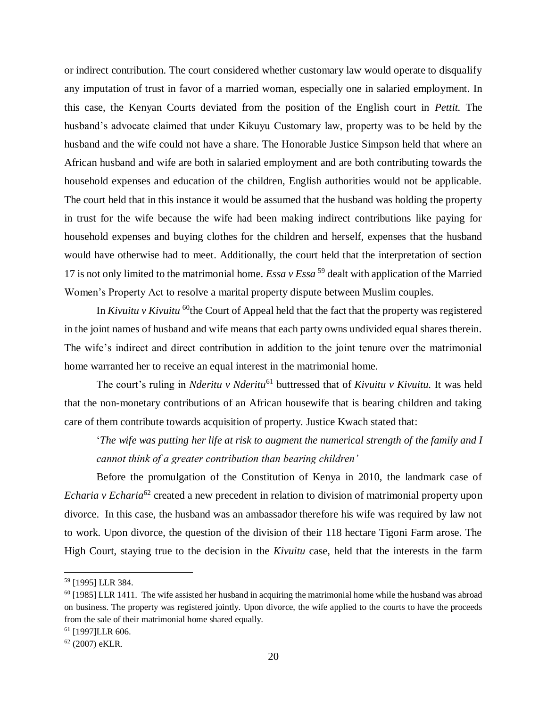or indirect contribution. The court considered whether customary law would operate to disqualify any imputation of trust in favor of a married woman, especially one in salaried employment. In this case, the Kenyan Courts deviated from the position of the English court in *Pettit.* The husband's advocate claimed that under Kikuyu Customary law, property was to be held by the husband and the wife could not have a share. The Honorable Justice Simpson held that where an African husband and wife are both in salaried employment and are both contributing towards the household expenses and education of the children, English authorities would not be applicable. The court held that in this instance it would be assumed that the husband was holding the property in trust for the wife because the wife had been making indirect contributions like paying for household expenses and buying clothes for the children and herself, expenses that the husband would have otherwise had to meet. Additionally, the court held that the interpretation of section 17 is not only limited to the matrimonial home. *Essa v Essa*<sup>59</sup> dealt with application of the Married Women's Property Act to resolve a marital property dispute between Muslim couples.

In *Kivuitu v Kivuitu* <sup>60</sup>the Court of Appeal held that the fact that the property was registered in the joint names of husband and wife means that each party owns undivided equal shares therein. The wife's indirect and direct contribution in addition to the joint tenure over the matrimonial home warranted her to receive an equal interest in the matrimonial home.

The court's ruling in *Nderitu v Nderitu*<sup>61</sup> buttressed that of *Kivuitu v Kivuitu*. It was held that the non-monetary contributions of an African housewife that is bearing children and taking care of them contribute towards acquisition of property. Justice Kwach stated that:

'*The wife was putting her life at risk to augment the numerical strength of the family and I cannot think of a greater contribution than bearing children'*

Before the promulgation of the Constitution of Kenya in 2010, the landmark case of *Echaria v Echaria*<sup>62</sup> created a new precedent in relation to division of matrimonial property upon divorce. In this case, the husband was an ambassador therefore his wife was required by law not to work. Upon divorce, the question of the division of their 118 hectare Tigoni Farm arose. The High Court, staying true to the decision in the *Kivuitu* case, held that the interests in the farm

<sup>59</sup> [1995] LLR 384.

 $60$  [1985] LLR 1411. The wife assisted her husband in acquiring the matrimonial home while the husband was abroad on business. The property was registered jointly. Upon divorce, the wife applied to the courts to have the proceeds from the sale of their matrimonial home shared equally.

<sup>61</sup> [1997]LLR 606.

<sup>62</sup> (2007) eKLR.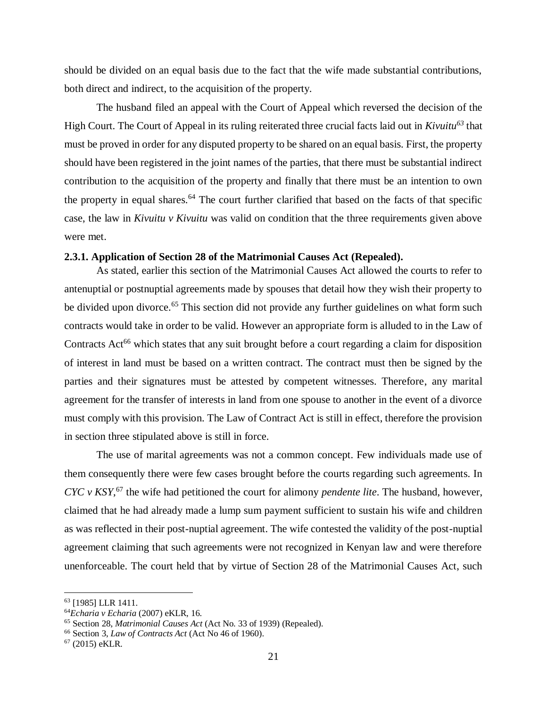should be divided on an equal basis due to the fact that the wife made substantial contributions, both direct and indirect, to the acquisition of the property.

The husband filed an appeal with the Court of Appeal which reversed the decision of the High Court. The Court of Appeal in its ruling reiterated three crucial facts laid out in *Kivuitu<sup>63</sup>* that must be proved in order for any disputed property to be shared on an equal basis. First, the property should have been registered in the joint names of the parties, that there must be substantial indirect contribution to the acquisition of the property and finally that there must be an intention to own the property in equal shares.<sup>64</sup> The court further clarified that based on the facts of that specific case, the law in *Kivuitu v Kivuitu* was valid on condition that the three requirements given above were met.

## <span id="page-30-0"></span>**2.3.1. Application of Section 28 of the Matrimonial Causes Act (Repealed).**

As stated, earlier this section of the Matrimonial Causes Act allowed the courts to refer to antenuptial or postnuptial agreements made by spouses that detail how they wish their property to be divided upon divorce.<sup>65</sup> This section did not provide any further guidelines on what form such contracts would take in order to be valid. However an appropriate form is alluded to in the Law of Contracts Act<sup>66</sup> which states that any suit brought before a court regarding a claim for disposition of interest in land must be based on a written contract. The contract must then be signed by the parties and their signatures must be attested by competent witnesses. Therefore, any marital agreement for the transfer of interests in land from one spouse to another in the event of a divorce must comply with this provision. The Law of Contract Act is still in effect, therefore the provision in section three stipulated above is still in force.

The use of marital agreements was not a common concept. Few individuals made use of them consequently there were few cases brought before the courts regarding such agreements. In *CYC v KSY*,<sup>67</sup> the wife had petitioned the court for alimony *pendente lite*. The husband, however, claimed that he had already made a lump sum payment sufficient to sustain his wife and children as was reflected in their post-nuptial agreement. The wife contested the validity of the post-nuptial agreement claiming that such agreements were not recognized in Kenyan law and were therefore unenforceable. The court held that by virtue of Section 28 of the Matrimonial Causes Act, such

<sup>63</sup> [1985] LLR 1411.

<sup>64</sup>*Echaria v Echaria* (2007) eKLR, 16.

<sup>65</sup> Section 28, *Matrimonial Causes Act* (Act No. 33 of 1939) (Repealed).

<sup>66</sup> Section 3, *Law of Contracts Act* (Act No 46 of 1960).

 $67$  (2015) eKLR.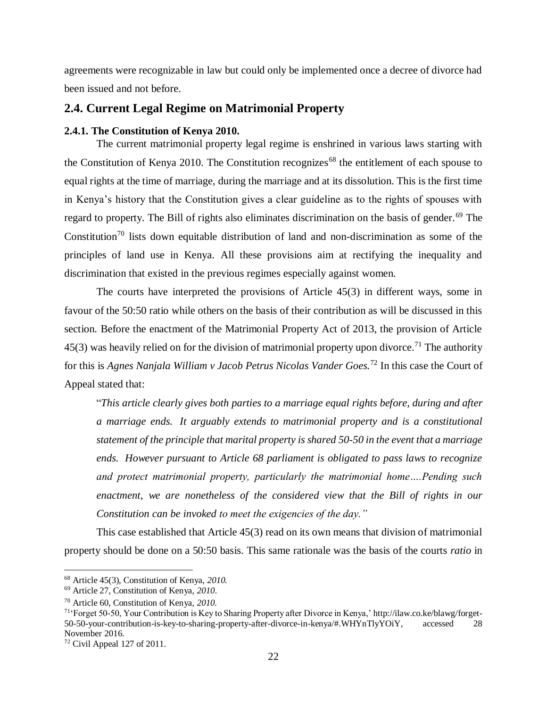agreements were recognizable in law but could only be implemented once a decree of divorce had been issued and not before.

# <span id="page-31-0"></span>**2.4. Current Legal Regime on Matrimonial Property**

# <span id="page-31-1"></span>**2.4.1. The Constitution of Kenya 2010.**

The current matrimonial property legal regime is enshrined in various laws starting with the Constitution of Kenya 2010. The Constitution recognizes<sup>68</sup> the entitlement of each spouse to equal rights at the time of marriage, during the marriage and at its dissolution. This is the first time in Kenya's history that the Constitution gives a clear guideline as to the rights of spouses with regard to property. The Bill of rights also eliminates discrimination on the basis of gender.<sup>69</sup> The Constitution<sup>70</sup> lists down equitable distribution of land and non-discrimination as some of the principles of land use in Kenya. All these provisions aim at rectifying the inequality and discrimination that existed in the previous regimes especially against women.

The courts have interpreted the provisions of Article 45(3) in different ways, some in favour of the 50:50 ratio while others on the basis of their contribution as will be discussed in this section. Before the enactment of the Matrimonial Property Act of 2013, the provision of Article  $45(3)$  was heavily relied on for the division of matrimonial property upon divorce.<sup>71</sup> The authority for this is *Agnes Nanjala William v Jacob Petrus Nicolas Vander Goes.*<sup>72</sup> In this case the Court of Appeal stated that:

"*This article clearly gives both parties to a marriage equal rights before, during and after a marriage ends. It arguably extends to matrimonial property and is a constitutional statement of the principle that marital property is shared 50-50 in the event that a marriage ends. However pursuant to Article 68 parliament is obligated to pass laws to recognize and protect matrimonial property, particularly the matrimonial home….Pending such enactment, we are nonetheless of the considered view that the Bill of rights in our Constitution can be invoked to meet the exigencies of the day."*

This case established that Article 45(3) read on its own means that division of matrimonial property should be done on a 50:50 basis. This same rationale was the basis of the courts *ratio* in

<sup>68</sup> Article 45(3), Constitution of Kenya, *2010.*

<sup>69</sup> Article 27, Constitution of Kenya, *2010*.

<sup>70</sup> Article 60, Constitution of Kenya, *2010.*

<sup>71</sup>'Forget 50-50, Your Contribution is Key to Sharing Property after Divorce in Kenya,' [http://ilaw.co.ke/blawg/forget-](http://ilaw.co.ke/blawg/forget-50-50-your-contribution-is-key-to-sharing-property-after-divorce-in-kenya/#.WHYnTlyYOiY)[50-50-your-contribution-is-key-to-sharing-property-after-divorce-in-kenya/#.WHYnTlyYOiY,](http://ilaw.co.ke/blawg/forget-50-50-your-contribution-is-key-to-sharing-property-after-divorce-in-kenya/#.WHYnTlyYOiY) accessed 28 November 2016.

 $72$  Civil Appeal 127 of 2011.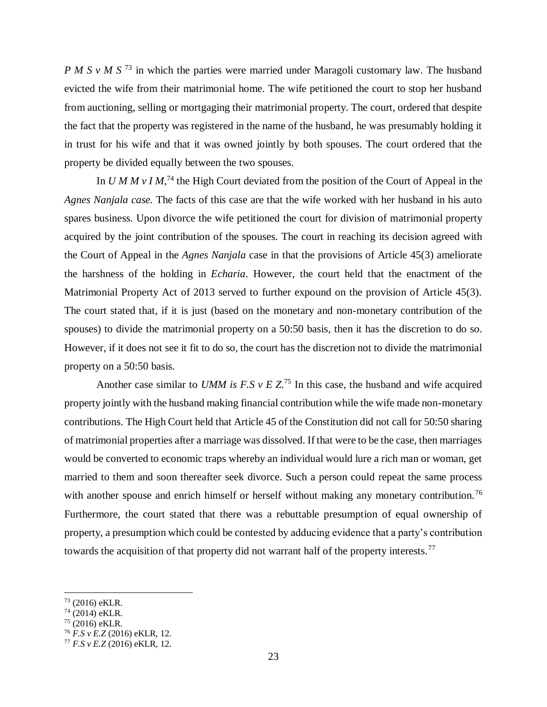*P M S v M S*<sup>73</sup> in which the parties were married under Maragoli customary law. The husband evicted the wife from their matrimonial home. The wife petitioned the court to stop her husband from auctioning, selling or mortgaging their matrimonial property. The court, ordered that despite the fact that the property was registered in the name of the husband, he was presumably holding it in trust for his wife and that it was owned jointly by both spouses. The court ordered that the property be divided equally between the two spouses.

In *U M M v I M*,<sup>74</sup> the High Court deviated from the position of the Court of Appeal in the *Agnes Nanjala case.* The facts of this case are that the wife worked with her husband in his auto spares business. Upon divorce the wife petitioned the court for division of matrimonial property acquired by the joint contribution of the spouses. The court in reaching its decision agreed with the Court of Appeal in the *Agnes Nanjala* case in that the provisions of Article 45(3) ameliorate the harshness of the holding in *Echaria*. However, the court held that the enactment of the Matrimonial Property Act of 2013 served to further expound on the provision of Article 45(3). The court stated that, if it is just (based on the monetary and non-monetary contribution of the spouses) to divide the matrimonial property on a 50:50 basis, then it has the discretion to do so. However, if it does not see it fit to do so, the court has the discretion not to divide the matrimonial property on a 50:50 basis.

Another case similar to *UMM is F.S v E Z*.<sup>75</sup> In this case, the husband and wife acquired property jointly with the husband making financial contribution while the wife made non-monetary contributions. The High Court held that Article 45 of the Constitution did not call for 50:50 sharing of matrimonial properties after a marriage was dissolved. If that were to be the case, then marriages would be converted to economic traps whereby an individual would lure a rich man or woman, get married to them and soon thereafter seek divorce. Such a person could repeat the same process with another spouse and enrich himself or herself without making any monetary contribution.<sup>76</sup> Furthermore, the court stated that there was a rebuttable presumption of equal ownership of property, a presumption which could be contested by adducing evidence that a party's contribution towards the acquisition of that property did not warrant half of the property interests.<sup>77</sup>

 $73$  (2016) eKLR.

 $74(2014)$  eKLR.

 $75$  (2016) eKLR.

<sup>76</sup> *F.S v E.Z* (2016) eKLR, 12.

<sup>77</sup> *F.S v E.Z* (2016) eKLR, 12.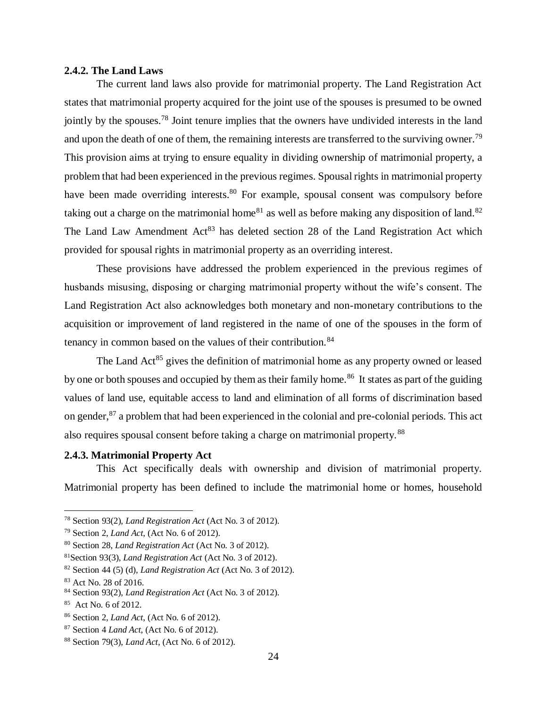#### <span id="page-33-0"></span>**2.4.2. The Land Laws**

The current land laws also provide for matrimonial property. The Land Registration Act states that matrimonial property acquired for the joint use of the spouses is presumed to be owned jointly by the spouses.<sup>78</sup> Joint tenure implies that the owners have undivided interests in the land and upon the death of one of them, the remaining interests are transferred to the surviving owner.<sup>79</sup> This provision aims at trying to ensure equality in dividing ownership of matrimonial property, a problem that had been experienced in the previous regimes. Spousal rights in matrimonial property have been made overriding interests.<sup>80</sup> For example, spousal consent was compulsory before taking out a charge on the matrimonial home<sup>81</sup> as well as before making any disposition of land.<sup>82</sup> The Land Law Amendment  $Act^{83}$  has deleted section 28 of the Land Registration Act which provided for spousal rights in matrimonial property as an overriding interest.

These provisions have addressed the problem experienced in the previous regimes of husbands misusing, disposing or charging matrimonial property without the wife's consent. The Land Registration Act also acknowledges both monetary and non-monetary contributions to the acquisition or improvement of land registered in the name of one of the spouses in the form of tenancy in common based on the values of their contribution.<sup>84</sup>

The Land  $Act^{85}$  gives the definition of matrimonial home as any property owned or leased by one or both spouses and occupied by them as their family home.<sup>86</sup> It states as part of the guiding values of land use, equitable access to land and elimination of all forms of discrimination based on gender,<sup>87</sup> a problem that had been experienced in the colonial and pre-colonial periods. This act also requires spousal consent before taking a charge on matrimonial property.<sup>88</sup>

## <span id="page-33-1"></span>**2.4.3. Matrimonial Property Act**

This Act specifically deals with ownership and division of matrimonial property. Matrimonial property has been defined to include the matrimonial home or homes, household

<sup>78</sup> Section 93(2), *Land Registration Act* (Act No. 3 of 2012).

<sup>79</sup> Section 2, *Land Act*, (Act No. 6 of 2012).

<sup>80</sup> Section 28, *Land Registration Act* (Act No. 3 of 2012).

<sup>81</sup>Section 93(3), *Land Registration Act* (Act No. 3 of 2012).

<sup>82</sup> Section 44 (5) (d), *Land Registration Act* (Act No. 3 of 2012).

<sup>83</sup> Act No. 28 of 2016.

<sup>84</sup> Section 93(2), *Land Registration Act* (Act No. 3 of 2012).

<sup>85</sup> Act No. 6 of 2012.

<sup>86</sup> Section 2*, Land Act*, (Act No. 6 of 2012).

<sup>87</sup> Section 4 *Land Act,* (Act No. 6 of 2012).

<sup>88</sup> Section 79(3), *Land Act,* (Act No. 6 of 2012).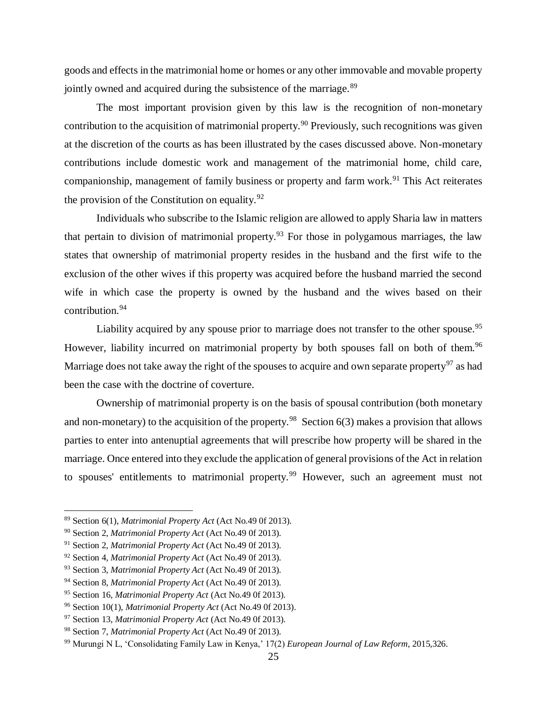goods and effects in the matrimonial home or homes or any other immovable and movable property jointly owned and acquired during the subsistence of the marriage.<sup>89</sup>

The most important provision given by this law is the recognition of non-monetary contribution to the acquisition of matrimonial property.<sup>90</sup> Previously, such recognitions was given at the discretion of the courts as has been illustrated by the cases discussed above. Non-monetary contributions include domestic work and management of the matrimonial home, child care, companionship, management of family business or property and farm work.<sup>91</sup> This Act reiterates the provision of the Constitution on equality. $92$ 

Individuals who subscribe to the Islamic religion are allowed to apply Sharia law in matters that pertain to division of matrimonial property.<sup>93</sup> For those in polygamous marriages, the law states that ownership of matrimonial property resides in the husband and the first wife to the exclusion of the other wives if this property was acquired before the husband married the second wife in which case the property is owned by the husband and the wives based on their contribution.<sup>94</sup>

Liability acquired by any spouse prior to marriage does not transfer to the other spouse.<sup>95</sup> However, liability incurred on matrimonial property by both spouses fall on both of them.<sup>96</sup> Marriage does not take away the right of the spouses to acquire and own separate property<sup>97</sup> as had been the case with the doctrine of coverture.

Ownership of matrimonial property is on the basis of spousal contribution (both monetary and non-monetary) to the acquisition of the property.<sup>98</sup> Section  $6(3)$  makes a provision that allows parties to enter into antenuptial agreements that will prescribe how property will be shared in the marriage. Once entered into they exclude the application of general provisions of the Act in relation to spouses' entitlements to matrimonial property.<sup>99</sup> However, such an agreement must not

<sup>89</sup> Section 6(1), *Matrimonial Property Act* (Act No.49 0f 2013).

<sup>90</sup> Section 2, *Matrimonial Property Act* (Act No.49 0f 2013).

<sup>91</sup> Section 2, *Matrimonial Property Act* (Act No.49 0f 2013).

<sup>92</sup> Section 4, *Matrimonial Property Act* (Act No.49 0f 2013).

<sup>93</sup> Section 3, *Matrimonial Property Act* (Act No.49 0f 2013).

<sup>94</sup> Section 8, *Matrimonial Property Act* (Act No.49 0f 2013).

<sup>95</sup> Section 16, *Matrimonial Property Act* (Act No.49 0f 2013).

<sup>96</sup> Section 10(1), *Matrimonial Property Act* (Act No.49 0f 2013).

<sup>97</sup> Section 13, *Matrimonial Property Act* (Act No.49 0f 2013).

<sup>98</sup> Section 7, *Matrimonial Property Act* (Act No.49 0f 2013).

<sup>99</sup> Murungi N L, 'Consolidating Family Law in Kenya,' 17(2) *European Journal of Law Reform*, 2015,326.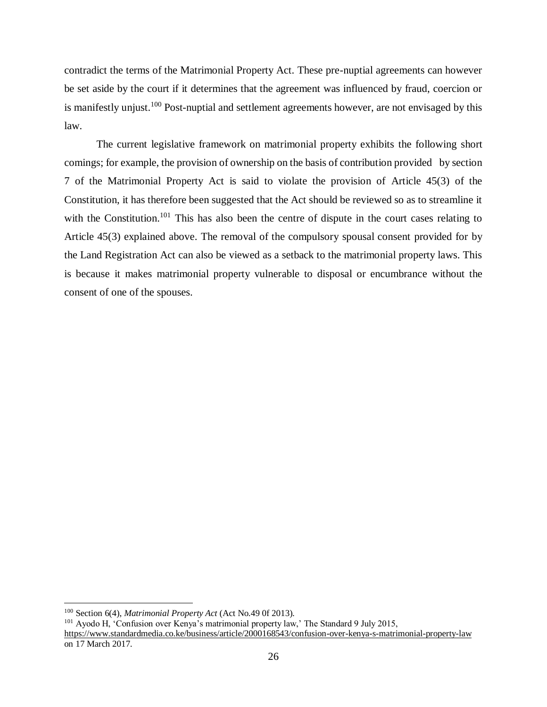contradict the terms of the Matrimonial Property Act. These pre-nuptial agreements can however be set aside by the court if it determines that the agreement was influenced by fraud, coercion or is manifestly unjust.<sup>100</sup> Post-nuptial and settlement agreements however, are not envisaged by this law.

The current legislative framework on matrimonial property exhibits the following short comings; for example, the provision of ownership on the basis of contribution provided by section 7 of the Matrimonial Property Act is said to violate the provision of Article 45(3) of the Constitution, it has therefore been suggested that the Act should be reviewed so as to streamline it with the Constitution.<sup>101</sup> This has also been the centre of dispute in the court cases relating to Article 45(3) explained above. The removal of the compulsory spousal consent provided for by the Land Registration Act can also be viewed as a setback to the matrimonial property laws. This is because it makes matrimonial property vulnerable to disposal or encumbrance without the consent of one of the spouses.

<sup>100</sup> Section 6(4), *Matrimonial Property Act* (Act No.49 0f 2013).

<sup>101</sup> Ayodo H, 'Confusion over Kenya's matrimonial property law,' The Standard 9 July 2015, <https://www.standardmedia.co.ke/business/article/2000168543/confusion-over-kenya-s-matrimonial-property-law> on 17 March 2017.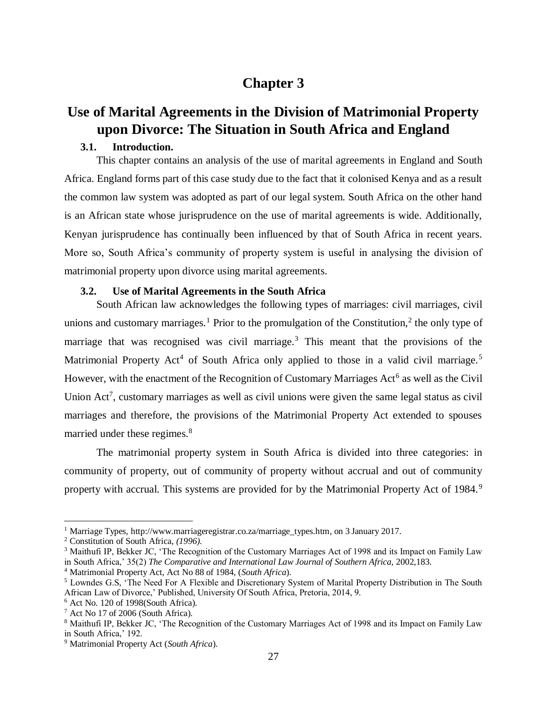# **Chapter 3**

# <span id="page-36-1"></span><span id="page-36-0"></span>**Use of Marital Agreements in the Division of Matrimonial Property upon Divorce: The Situation in South Africa and England**

# **3.1. Introduction.**

<span id="page-36-2"></span>This chapter contains an analysis of the use of marital agreements in England and South Africa. England forms part of this case study due to the fact that it colonised Kenya and as a result the common law system was adopted as part of our legal system. South Africa on the other hand is an African state whose jurisprudence on the use of marital agreements is wide. Additionally, Kenyan jurisprudence has continually been influenced by that of South Africa in recent years. More so, South Africa's community of property system is useful in analysing the division of matrimonial property upon divorce using marital agreements.

## **3.2. Use of Marital Agreements in the South Africa**

<span id="page-36-3"></span>South African law acknowledges the following types of marriages: civil marriages, civil unions and customary marriages.<sup>1</sup> Prior to the promulgation of the Constitution,<sup>2</sup> the only type of marriage that was recognised was civil marriage.<sup>3</sup> This meant that the provisions of the Matrimonial Property Act<sup>4</sup> of South Africa only applied to those in a valid civil marriage.<sup>5</sup> However, with the enactment of the Recognition of Customary Marriages Act<sup>6</sup> as well as the Civil Union Act<sup>7</sup>, customary marriages as well as civil unions were given the same legal status as civil marriages and therefore, the provisions of the Matrimonial Property Act extended to spouses married under these regimes.<sup>8</sup>

The matrimonial property system in South Africa is divided into three categories: in community of property, out of community of property without accrual and out of community property with accrual. This systems are provided for by the Matrimonial Property Act of 1984.<sup>9</sup>

 $\overline{a}$ 

<sup>4</sup> Matrimonial Property Act, Act No 88 of 1984, (*South Africa*).

<sup>1</sup> Marriage Types, [http://www.marriageregistrar.co.za/marriage\\_types.htm,](http://www.marriageregistrar.co.za/marriage_types.htm) on 3 January 2017.

<sup>2</sup> Constitution of South Africa, *(1996).*

<sup>&</sup>lt;sup>3</sup> Maithufi IP, Bekker JC, 'The Recognition of the Customary Marriages Act of 1998 and its Impact on Family Law in South Africa,' 35(2) *The Comparative and International Law Journal of Southern Africa,* 2002,183.

<sup>5</sup> Lowndes G.S, 'The Need For A Flexible and Discretionary System of Marital Property Distribution in The South African Law of Divorce,' Published, University Of South Africa, Pretoria, 2014, 9.

 $6$  Act No. 120 of 1998(South Africa).

<sup>7</sup> Act No 17 of 2006 (South Africa).

<sup>8</sup> Maithufi IP, Bekker JC, 'The Recognition of the Customary Marriages Act of 1998 and its Impact on Family Law in South Africa,' 192.

<sup>9</sup> Matrimonial Property Act (*South Africa*).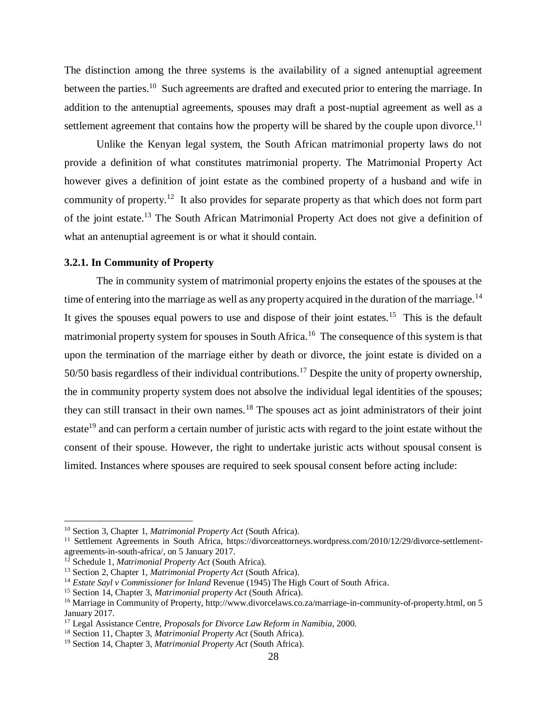The distinction among the three systems is the availability of a signed antenuptial agreement between the parties.<sup>10</sup> Such agreements are drafted and executed prior to entering the marriage. In addition to the antenuptial agreements, spouses may draft a post-nuptial agreement as well as a settlement agreement that contains how the property will be shared by the couple upon divorce.<sup>11</sup>

Unlike the Kenyan legal system, the South African matrimonial property laws do not provide a definition of what constitutes matrimonial property. The Matrimonial Property Act however gives a definition of joint estate as the combined property of a husband and wife in community of property.<sup>12</sup> It also provides for separate property as that which does not form part of the joint estate.<sup>13</sup> The South African Matrimonial Property Act does not give a definition of what an antenuptial agreement is or what it should contain.

### <span id="page-37-0"></span>**3.2.1. In Community of Property**

The in community system of matrimonial property enjoins the estates of the spouses at the time of entering into the marriage as well as any property acquired in the duration of the marriage.<sup>14</sup> It gives the spouses equal powers to use and dispose of their joint estates.<sup>15</sup> This is the default matrimonial property system for spouses in South Africa.<sup>16</sup> The consequence of this system is that upon the termination of the marriage either by death or divorce, the joint estate is divided on a 50/50 basis regardless of their individual contributions.<sup>17</sup> Despite the unity of property ownership, the in community property system does not absolve the individual legal identities of the spouses; they can still transact in their own names.<sup>18</sup> The spouses act as joint administrators of their joint estate<sup>19</sup> and can perform a certain number of juristic acts with regard to the joint estate without the consent of their spouse. However, the right to undertake juristic acts without spousal consent is limited. Instances where spouses are required to seek spousal consent before acting include:

<sup>10</sup> Section 3, Chapter 1, *Matrimonial Property Act* (South Africa).

<sup>&</sup>lt;sup>11</sup> Settlement Agreements in South Africa, [https://divorceattorneys.wordpress.com/2010/12/29/divorce-settlement](https://divorceattorneys.wordpress.com/2010/12/29/divorce-settlement-agreements-in-south-africa/)[agreements-in-south-africa/,](https://divorceattorneys.wordpress.com/2010/12/29/divorce-settlement-agreements-in-south-africa/) on 5 January 2017.

<sup>12</sup> Schedule 1, *Matrimonial Property Act* (South Africa).

<sup>13</sup> Section 2, Chapter 1, *Matrimonial Property Act* (South Africa).

<sup>14</sup> *Estate Sayl v Commissioner for Inland* Revenue (1945) The High Court of South Africa.

<sup>15</sup> Section 14, Chapter 3, *Matrimonial property Act* (South Africa).

<sup>&</sup>lt;sup>16</sup> Marriage in Community of Property, [http://www.divorcelaws.co.za/marriage-in-community-of-property.html,](http://www.divorcelaws.co.za/marriage-in-community-of-property.html) on 5 January 2017.

<sup>17</sup> Legal Assistance Centre, *Proposals for Divorce Law Reform in Namibia*, 2000.

<sup>18</sup> Section 11, Chapter 3, *Matrimonial Property Act* (South Africa).

<sup>19</sup> Section 14, Chapter 3, *Matrimonial Property Act* (South Africa).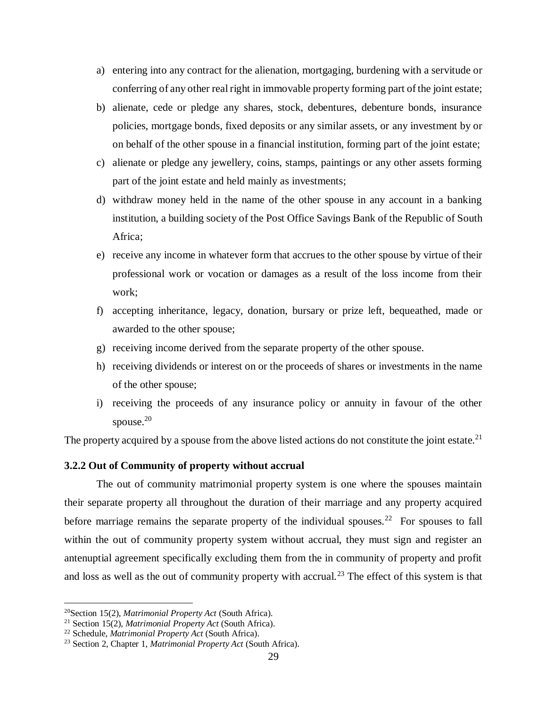- a) entering into any contract for the alienation, mortgaging, burdening with a servitude or conferring of any other real right in immovable property forming part of the joint estate;
- b) alienate, cede or pledge any shares, stock, debentures, debenture bonds, insurance policies, mortgage bonds, fixed deposits or any similar assets, or any investment by or on behalf of the other spouse in a financial institution, forming part of the joint estate;
- c) alienate or pledge any jewellery, coins, stamps, paintings or any other assets forming part of the joint estate and held mainly as investments;
- d) withdraw money held in the name of the other spouse in any account in a banking institution, a building society of the Post Office Savings Bank of the Republic of South Africa;
- e) receive any income in whatever form that accrues to the other spouse by virtue of their professional work or vocation or damages as a result of the loss income from their work;
- f) accepting inheritance, legacy, donation, bursary or prize left, bequeathed, made or awarded to the other spouse;
- g) receiving income derived from the separate property of the other spouse.
- h) receiving dividends or interest on or the proceeds of shares or investments in the name of the other spouse;
- i) receiving the proceeds of any insurance policy or annuity in favour of the other spouse. $20$

The property acquired by a spouse from the above listed actions do not constitute the joint estate.<sup>21</sup>

### <span id="page-38-0"></span>**3.2.2 Out of Community of property without accrual**

The out of community matrimonial property system is one where the spouses maintain their separate property all throughout the duration of their marriage and any property acquired before marriage remains the separate property of the individual spouses.<sup>22</sup> For spouses to fall within the out of community property system without accrual, they must sign and register an antenuptial agreement specifically excluding them from the in community of property and profit and loss as well as the out of community property with accrual.<sup>23</sup> The effect of this system is that

<sup>20</sup>Section 15(2), *Matrimonial Property Act* (South Africa).

<sup>21</sup> Section 15(2), *Matrimonial Property Act* (South Africa).

<sup>22</sup> Schedule, *Matrimonial Property Act* (South Africa).

<sup>23</sup> Section 2, Chapter 1, *Matrimonial Property Act* (South Africa).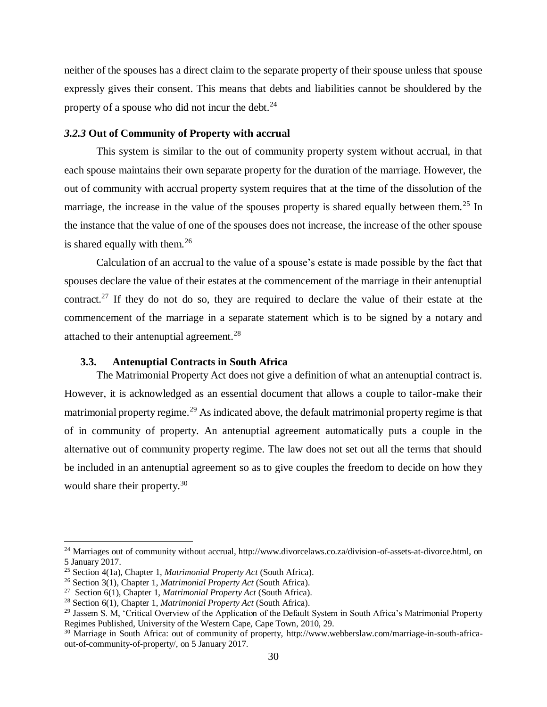neither of the spouses has a direct claim to the separate property of their spouse unless that spouse expressly gives their consent. This means that debts and liabilities cannot be shouldered by the property of a spouse who did not incur the debt. $^{24}$ 

#### <span id="page-39-0"></span>*3.2.3* **Out of Community of Property with accrual**

This system is similar to the out of community property system without accrual, in that each spouse maintains their own separate property for the duration of the marriage. However, the out of community with accrual property system requires that at the time of the dissolution of the marriage, the increase in the value of the spouses property is shared equally between them.<sup>25</sup> In the instance that the value of one of the spouses does not increase, the increase of the other spouse is shared equally with them.<sup>26</sup>

Calculation of an accrual to the value of a spouse's estate is made possible by the fact that spouses declare the value of their estates at the commencement of the marriage in their antenuptial contract.<sup>27</sup> If they do not do so, they are required to declare the value of their estate at the commencement of the marriage in a separate statement which is to be signed by a notary and attached to their antenuptial agreement.<sup>28</sup>

#### **3.3. Antenuptial Contracts in South Africa**

<span id="page-39-1"></span>The Matrimonial Property Act does not give a definition of what an antenuptial contract is. However, it is acknowledged as an essential document that allows a couple to tailor-make their matrimonial property regime.<sup>29</sup> As indicated above, the default matrimonial property regime is that of in community of property. An antenuptial agreement automatically puts a couple in the alternative out of community property regime. The law does not set out all the terms that should be included in an antenuptial agreement so as to give couples the freedom to decide on how they would share their property.<sup>30</sup>

<sup>&</sup>lt;sup>24</sup> Marriages out of community without accrual, http://www.divorcelaws.co.za/division-of-assets-at-divorce.html, on 5 January 2017.

<sup>25</sup> Section 4(1a), Chapter 1, *Matrimonial Property Act* (South Africa).

<sup>26</sup> Section 3(1), Chapter 1, *Matrimonial Property Act* (South Africa).

<sup>27</sup> Section 6(1), Chapter 1, *Matrimonial Property Act* (South Africa).

<sup>28</sup> Section 6(1), Chapter 1, *Matrimonial Property Act* (South Africa).

<sup>&</sup>lt;sup>29</sup> Jassem S. M, 'Critical Overview of the Application of the Default System in South Africa's Matrimonial Property Regimes Published, University of the Western Cape, Cape Town, 2010, 29.

<sup>&</sup>lt;sup>30</sup> Marriage in South Africa: out of community of property, [http://www.webberslaw.com/marriage-in-south-africa](http://www.webberslaw.com/marriage-in-south-africa-out-of-community-of-property/)[out-of-community-of-property/,](http://www.webberslaw.com/marriage-in-south-africa-out-of-community-of-property/) on 5 January 2017.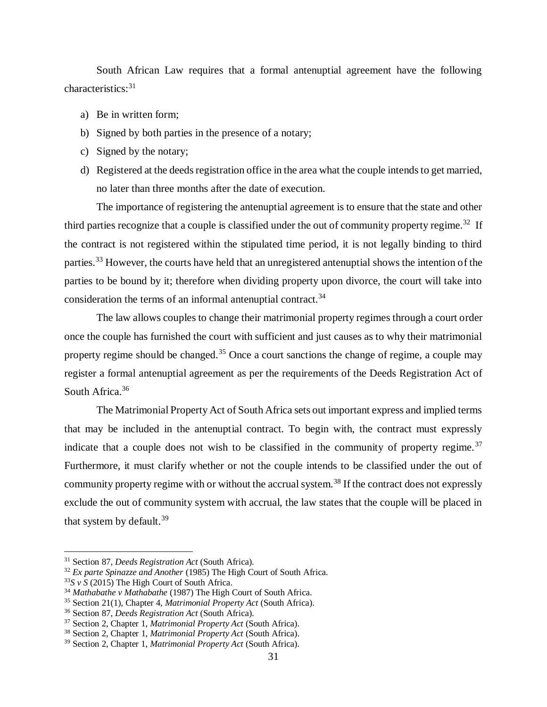South African Law requires that a formal antenuptial agreement have the following characteristics:<sup>31</sup>

- a) Be in written form;
- b) Signed by both parties in the presence of a notary;
- c) Signed by the notary;
- d) Registered at the deeds registration office in the area what the couple intends to get married, no later than three months after the date of execution.

The importance of registering the antenuptial agreement is to ensure that the state and other third parties recognize that a couple is classified under the out of community property regime.<sup>32</sup> If the contract is not registered within the stipulated time period, it is not legally binding to third parties.<sup>33</sup> However, the courts have held that an unregistered antenuptial shows the intention of the parties to be bound by it; therefore when dividing property upon divorce, the court will take into consideration the terms of an informal antenuptial contract.<sup>34</sup>

The law allows couples to change their matrimonial property regimes through a court order once the couple has furnished the court with sufficient and just causes as to why their matrimonial property regime should be changed.<sup>35</sup> Once a court sanctions the change of regime, a couple may register a formal antenuptial agreement as per the requirements of the Deeds Registration Act of South Africa.<sup>36</sup>

The Matrimonial Property Act of South Africa sets out important express and implied terms that may be included in the antenuptial contract. To begin with, the contract must expressly indicate that a couple does not wish to be classified in the community of property regime.<sup>37</sup> Furthermore, it must clarify whether or not the couple intends to be classified under the out of community property regime with or without the accrual system.<sup>38</sup> If the contract does not expressly exclude the out of community system with accrual, the law states that the couple will be placed in that system by default. $39$ 

<sup>31</sup> Section 87, *Deeds Registration Act* (South Africa).

<sup>32</sup> *Ex parte Spinazze and Another* (1985) The High Court of South Africa.

 $33S \text{ y } S$  (2015) The High Court of South Africa.

<sup>34</sup> *Mathabathe v Mathabathe* (1987) The High Court of South Africa.

<sup>35</sup> Section 21(1), Chapter 4*, Matrimonial Property Act* (South Africa).

<sup>36</sup> Section 87, *Deeds Registration Act* (South Africa).

<sup>37</sup> Section 2, Chapter 1, *Matrimonial Property Act* (South Africa).

<sup>38</sup> Section 2, Chapter 1, *Matrimonial Property Act* (South Africa).

<sup>39</sup> Section 2, Chapter 1, *Matrimonial Property Act* (South Africa).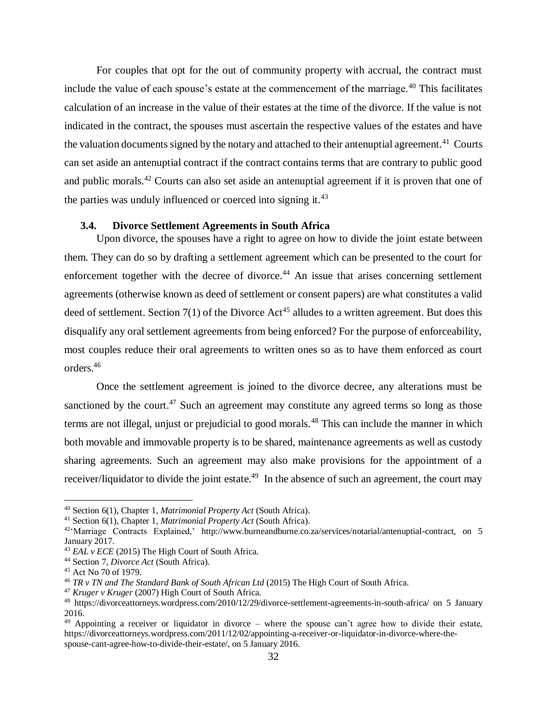For couples that opt for the out of community property with accrual, the contract must include the value of each spouse's estate at the commencement of the marriage.<sup>40</sup> This facilitates calculation of an increase in the value of their estates at the time of the divorce. If the value is not indicated in the contract, the spouses must ascertain the respective values of the estates and have the valuation documents signed by the notary and attached to their antenuptial agreement.<sup>41</sup> Courts can set aside an antenuptial contract if the contract contains terms that are contrary to public good and public morals.<sup>42</sup> Courts can also set aside an antenuptial agreement if it is proven that one of the parties was unduly influenced or coerced into signing it. $^{43}$ 

## **3.4. Divorce Settlement Agreements in South Africa**

<span id="page-41-0"></span>Upon divorce, the spouses have a right to agree on how to divide the joint estate between them. They can do so by drafting a settlement agreement which can be presented to the court for enforcement together with the decree of divorce.<sup>44</sup> An issue that arises concerning settlement agreements (otherwise known as deed of settlement or consent papers) are what constitutes a valid deed of settlement. Section  $7(1)$  of the Divorce Act<sup>45</sup> alludes to a written agreement. But does this disqualify any oral settlement agreements from being enforced? For the purpose of enforceability, most couples reduce their oral agreements to written ones so as to have them enforced as court orders.<sup>46</sup>

Once the settlement agreement is joined to the divorce decree, any alterations must be sanctioned by the court.<sup>47</sup> Such an agreement may constitute any agreed terms so long as those terms are not illegal, unjust or prejudicial to good morals.<sup>48</sup> This can include the manner in which both movable and immovable property is to be shared, maintenance agreements as well as custody sharing agreements. Such an agreement may also make provisions for the appointment of a receiver/liquidator to divide the joint estate.<sup>49</sup> In the absence of such an agreement, the court may

<sup>40</sup> Section 6(1), Chapter 1, *Matrimonial Property Act* (South Africa).

<sup>41</sup> Section 6(1), Chapter 1, *Matrimonial Property Act* (South Africa).

<sup>42</sup>'Marriage Contracts Explained,' [http://www.burneandburne.co.za/services/notarial/antenuptial-contract,](http://www.burneandburne.co.za/services/notarial/antenuptial-contract) on 5 January 2017.

<sup>&</sup>lt;sup>43</sup> *EAL v ECE* (2015) The High Court of South Africa.

<sup>44</sup> Section 7, *Divorce Act* (South Africa).

<sup>45</sup> Act No 70 of 1979.

<sup>46</sup> *TR v TN and The Standard Bank of South African Ltd* (2015) The High Court of South Africa.

<sup>47</sup> *Kruger v Kruger* (2007) High Court of South Africa.

<sup>48</sup> <https://divorceattorneys.wordpress.com/2010/12/29/divorce-settlement-agreements-in-south-africa/> on 5 January 2016.

<sup>&</sup>lt;sup>49</sup> Appointing a receiver or liquidator in divorce – where the spouse can't agree how to divide their estate, [https://divorceattorneys.wordpress.com/2011/12/02/appointing-a-receiver-or-liquidator-in-divorce-where-the](https://divorceattorneys.wordpress.com/2011/12/02/appointing-a-receiver-or-liquidator-in-divorce-where-the-spouse-cant-agree-how-to-divide-their-estate/)[spouse-cant-agree-how-to-divide-their-estate/,](https://divorceattorneys.wordpress.com/2011/12/02/appointing-a-receiver-or-liquidator-in-divorce-where-the-spouse-cant-agree-how-to-divide-their-estate/) on 5 January 2016.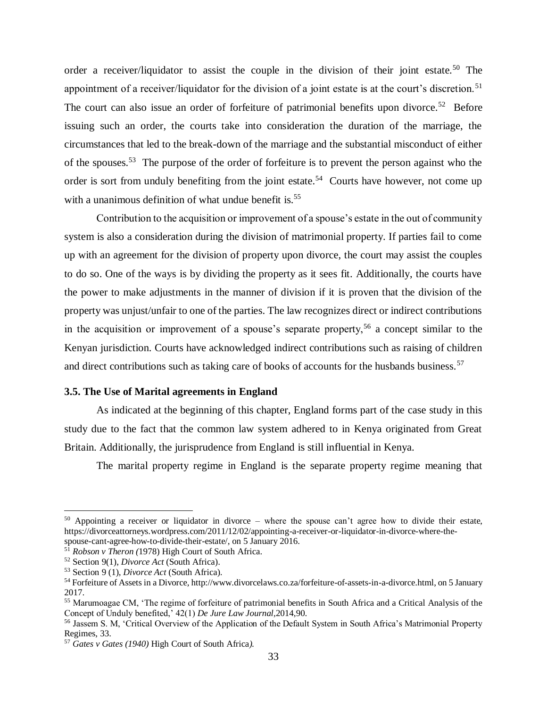order a receiver/liquidator to assist the couple in the division of their joint estate.<sup>50</sup> The appointment of a receiver/liquidator for the division of a joint estate is at the court's discretion.<sup>51</sup> The court can also issue an order of forfeiture of patrimonial benefits upon divorce.<sup>52</sup> Before issuing such an order, the courts take into consideration the duration of the marriage, the circumstances that led to the break-down of the marriage and the substantial misconduct of either of the spouses.<sup>53</sup> The purpose of the order of forfeiture is to prevent the person against who the order is sort from unduly benefiting from the joint estate.<sup>54</sup> Courts have however, not come up with a unanimous definition of what undue benefit is.<sup>55</sup>

Contribution to the acquisition or improvement of a spouse's estate in the out of community system is also a consideration during the division of matrimonial property. If parties fail to come up with an agreement for the division of property upon divorce, the court may assist the couples to do so. One of the ways is by dividing the property as it sees fit. Additionally, the courts have the power to make adjustments in the manner of division if it is proven that the division of the property was unjust/unfair to one of the parties. The law recognizes direct or indirect contributions in the acquisition or improvement of a spouse's separate property,<sup>56</sup> a concept similar to the Kenyan jurisdiction. Courts have acknowledged indirect contributions such as raising of children and direct contributions such as taking care of books of accounts for the husbands business.<sup>57</sup>

### <span id="page-42-0"></span>**3.5. The Use of Marital agreements in England**

As indicated at the beginning of this chapter, England forms part of the case study in this study due to the fact that the common law system adhered to in Kenya originated from Great Britain. Additionally, the jurisprudence from England is still influential in Kenya.

The marital property regime in England is the separate property regime meaning that

 $50$  Appointing a receiver or liquidator in divorce – where the spouse can't agree how to divide their estate, [https://divorceattorneys.wordpress.com/2011/12/02/appointing-a-receiver-or-liquidator-in-divorce-where-the](https://divorceattorneys.wordpress.com/2011/12/02/appointing-a-receiver-or-liquidator-in-divorce-where-the-spouse-cant-agree-how-to-divide-their-estate/)[spouse-cant-agree-how-to-divide-their-estate/,](https://divorceattorneys.wordpress.com/2011/12/02/appointing-a-receiver-or-liquidator-in-divorce-where-the-spouse-cant-agree-how-to-divide-their-estate/) on 5 January 2016.

<sup>51</sup> *Robson v Theron (*1978) High Court of South Africa.

<sup>52</sup> Section 9(1), *Divorce Act* (South Africa).

<sup>53</sup> Section 9 (1), *Divorce Act* (South Africa).

<sup>54</sup> Forfeiture of Assets in a Divorce[, http://www.divorcelaws.co.za/forfeiture-of-assets-in-a-divorce.html,](http://www.divorcelaws.co.za/forfeiture-of-assets-in-a-divorce.html) on 5 January 2017.

<sup>55</sup> Marumoagae CM, 'The regime of forfeiture of patrimonial benefits in South Africa and a Critical Analysis of the Concept of Unduly benefited,' 42(1) *De Jure Law Journal,*2014,90.

<sup>56</sup> Jassem S. M, 'Critical Overview of the Application of the Default System in South Africa's Matrimonial Property Regimes, 33.

<sup>57</sup> *Gates v Gates (1940)* High Court of South Africa*).*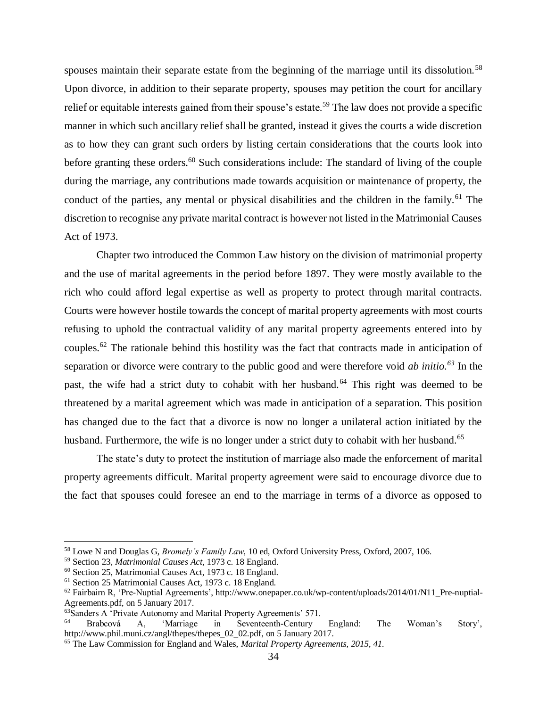spouses maintain their separate estate from the beginning of the marriage until its dissolution.<sup>58</sup> Upon divorce, in addition to their separate property, spouses may petition the court for ancillary relief or equitable interests gained from their spouse's estate.<sup>59</sup> The law does not provide a specific manner in which such ancillary relief shall be granted, instead it gives the courts a wide discretion as to how they can grant such orders by listing certain considerations that the courts look into before granting these orders.<sup>60</sup> Such considerations include: The standard of living of the couple during the marriage, any contributions made towards acquisition or maintenance of property, the conduct of the parties, any mental or physical disabilities and the children in the family.<sup>61</sup> The discretion to recognise any private marital contract is however not listed in the Matrimonial Causes Act of 1973.

Chapter two introduced the Common Law history on the division of matrimonial property and the use of marital agreements in the period before 1897. They were mostly available to the rich who could afford legal expertise as well as property to protect through marital contracts. Courts were however hostile towards the concept of marital property agreements with most courts refusing to uphold the contractual validity of any marital property agreements entered into by couples.<sup>62</sup> The rationale behind this hostility was the fact that contracts made in anticipation of separation or divorce were contrary to the public good and were therefore void *ab initio.<sup>63</sup>* In the past, the wife had a strict duty to cohabit with her husband.<sup>64</sup> This right was deemed to be threatened by a marital agreement which was made in anticipation of a separation. This position has changed due to the fact that a divorce is now no longer a unilateral action initiated by the husband. Furthermore, the wife is no longer under a strict duty to cohabit with her husband.<sup>65</sup>

The state's duty to protect the institution of marriage also made the enforcement of marital property agreements difficult. Marital property agreement were said to encourage divorce due to the fact that spouses could foresee an end to the marriage in terms of a divorce as opposed to

<sup>58</sup> Lowe N and Douglas G, *Bromely's Family Law*, 10 ed, Oxford University Press, Oxford, 2007, 106.

<sup>59</sup> Section 23, *Matrimonial Causes Act*, 1973 c. 18 England.

<sup>60</sup> Section 25, Matrimonial Causes Act, 1973 c. 18 England.

<sup>61</sup> Section 25 Matrimonial Causes Act, 1973 c. 18 England.

<sup>62</sup> Fairbairn R, 'Pre-Nuptial Agreements', [http://www.onepaper.co.uk/wp-content/uploads/2014/01/N11\\_Pre-nuptial-](http://www.onepaper.co.uk/wp-content/uploads/2014/01/N11_Pre-nuptial-Agreements.pdf)[Agreements.pdf,](http://www.onepaper.co.uk/wp-content/uploads/2014/01/N11_Pre-nuptial-Agreements.pdf) on 5 January 2017.

<sup>&</sup>lt;sup>63</sup>Sanders A 'Private Autonomy and Marital Property Agreements' 571.

<sup>64</sup> Brabcová A, 'Marriage in Seventeenth-Century England: The Woman's Story', [http://www.phil.muni.cz/angl/thepes/thepes\\_02\\_02.pdf,](http://www.phil.muni.cz/angl/thepes/thepes_02_02.pdf) on 5 January 2017.

<sup>65</sup> The Law Commission for England and Wales, *Marital Property Agreements, 2015, 41.*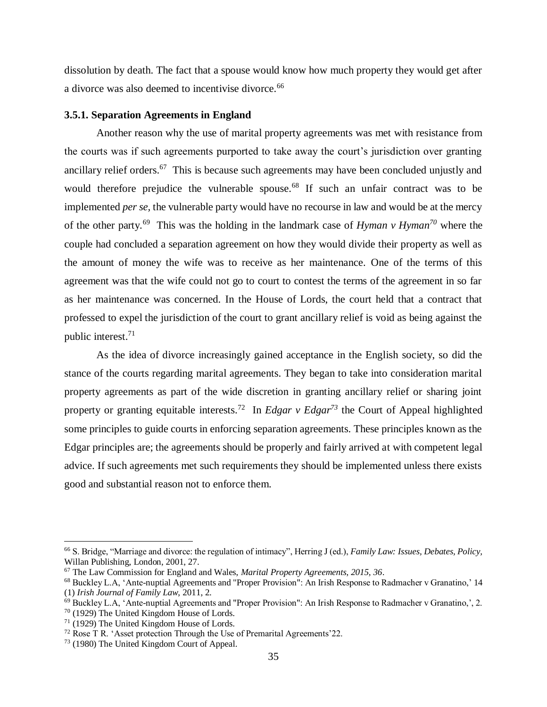dissolution by death. The fact that a spouse would know how much property they would get after a divorce was also deemed to incentivise divorce.<sup>66</sup>

### <span id="page-44-0"></span>**3.5.1. Separation Agreements in England**

Another reason why the use of marital property agreements was met with resistance from the courts was if such agreements purported to take away the court's jurisdiction over granting ancillary relief orders.<sup>67</sup> This is because such agreements may have been concluded unjustly and would therefore prejudice the vulnerable spouse.<sup>68</sup> If such an unfair contract was to be implemented *per se,* the vulnerable party would have no recourse in law and would be at the mercy of the other party.<sup>69</sup> This was the holding in the landmark case of *Hyman v Hyman<sup>70</sup>* where the couple had concluded a separation agreement on how they would divide their property as well as the amount of money the wife was to receive as her maintenance*.* One of the terms of this agreement was that the wife could not go to court to contest the terms of the agreement in so far as her maintenance was concerned. In the House of Lords, the court held that a contract that professed to expel the jurisdiction of the court to grant ancillary relief is void as being against the public interest.<sup>71</sup>

As the idea of divorce increasingly gained acceptance in the English society, so did the stance of the courts regarding marital agreements. They began to take into consideration marital property agreements as part of the wide discretion in granting ancillary relief or sharing joint property or granting equitable interests.<sup>72</sup> In *Edgar*  $\nu$  *Edgar*<sup>73</sup> the Court of Appeal highlighted some principles to guide courts in enforcing separation agreements. These principles known as the Edgar principles are; the agreements should be properly and fairly arrived at with competent legal advice. If such agreements met such requirements they should be implemented unless there exists good and substantial reason not to enforce them.

<sup>66</sup> S. Bridge, "Marriage and divorce: the regulation of intimacy", Herring J (ed.), *Family Law: Issues, Debates, Policy,*  Willan Publishing, London, 2001, 27.

<sup>67</sup> The Law Commission for England and Wales, *Marital Property Agreements, 2015, 36*.

<sup>68</sup> Buckley L.A, 'Ante-nuptial Agreements and "Proper Provision": An Irish Response to Radmacher v Granatino,' 14 (1) *Irish Journal of Family Law*, 2011, 2.

 $^{69}$  Buckley L.A, 'Ante-nuptial Agreements and "Proper Provision": An Irish Response to Radmacher v Granatino,', 2.

<sup>70</sup> (1929) The United Kingdom House of Lords.

<sup>71</sup> (1929) The United Kingdom House of Lords.

<sup>72</sup> Rose T R. 'Asset protection Through the Use of Premarital Agreements'22.

<sup>73</sup> (1980) The United Kingdom Court of Appeal.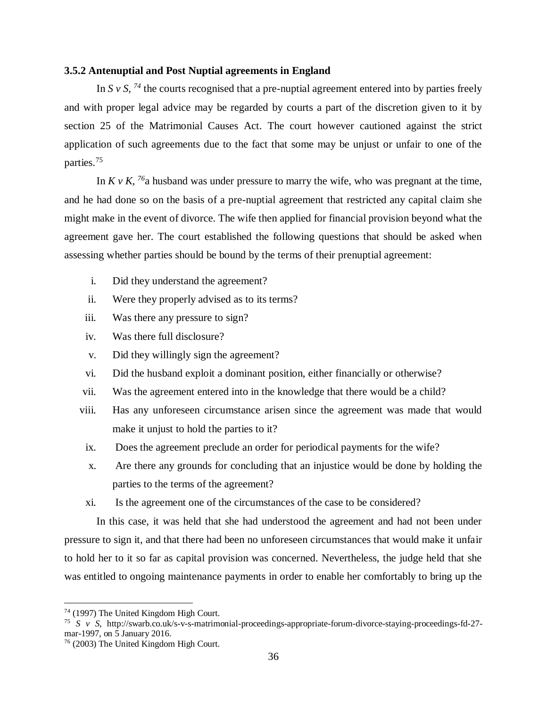#### <span id="page-45-0"></span>**3.5.2 Antenuptial and Post Nuptial agreements in England**

In S  $v$  S,  $^{74}$  the courts recognised that a pre-nuptial agreement entered into by parties freely and with proper legal advice may be regarded by courts a part of the discretion given to it by section 25 of the Matrimonial Causes Act. The court however cautioned against the strict application of such agreements due to the fact that some may be unjust or unfair to one of the parties.<sup>75</sup>

In  $K v K$ , <sup>76</sup>a husband was under pressure to marry the wife, who was pregnant at the time, and he had done so on the basis of a pre-nuptial agreement that restricted any capital claim she might make in the event of divorce. The wife then applied for financial provision beyond what the agreement gave her. The court established the following questions that should be asked when assessing whether parties should be bound by the terms of their prenuptial agreement:

- i. Did they understand the agreement?
- ii. Were they properly advised as to its terms?
- iii. Was there any pressure to sign?
- iv. Was there full disclosure?
- v. Did they willingly sign the agreement?
- vi. Did the husband exploit a dominant position, either financially or otherwise?
- vii. Was the agreement entered into in the knowledge that there would be a child?
- viii. Has any unforeseen circumstance arisen since the agreement was made that would make it unjust to hold the parties to it?
- ix. Does the agreement preclude an order for periodical payments for the wife?
- x. Are there any grounds for concluding that an injustice would be done by holding the parties to the terms of the agreement?
- xi. Is the agreement one of the circumstances of the case to be considered?

In this case, it was held that she had understood the agreement and had not been under pressure to sign it, and that there had been no unforeseen circumstances that would make it unfair to hold her to it so far as capital provision was concerned. Nevertheless, the judge held that she was entitled to ongoing maintenance payments in order to enable her comfortably to bring up the

<sup>74</sup> (1997) The United Kingdom High Court.

<sup>75</sup> *S v S*, [http://swarb.co.uk/s-v-s-matrimonial-proceedings-appropriate-forum-divorce-staying-proceedings-fd-27](http://swarb.co.uk/s-v-s-matrimonial-proceedings-appropriate-forum-divorce-staying-proceedings-fd-27-mar-1997) [mar-1997,](http://swarb.co.uk/s-v-s-matrimonial-proceedings-appropriate-forum-divorce-staying-proceedings-fd-27-mar-1997) on 5 January 2016.

<sup>76</sup> (2003) The United Kingdom High Court.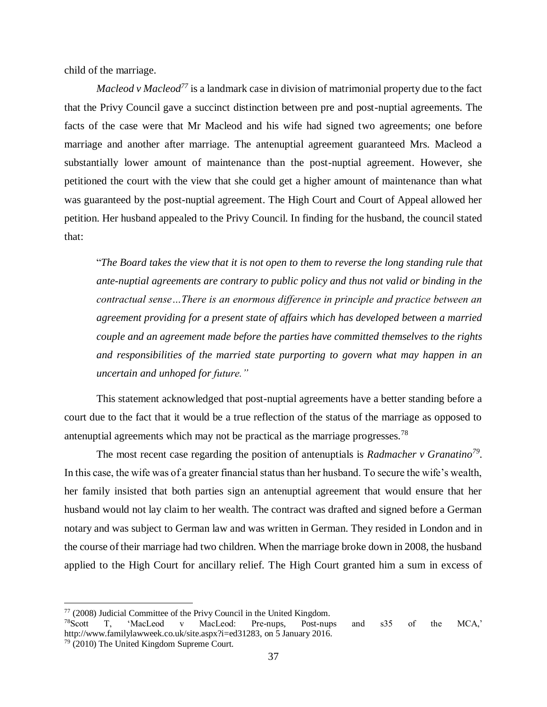child of the marriage.

*Macleod v Macleod<sup>77</sup>* is a landmark case in division of matrimonial property due to the fact that the Privy Council gave a succinct distinction between pre and post-nuptial agreements. The facts of the case were that Mr Macleod and his wife had signed two agreements; one before marriage and another after marriage. The antenuptial agreement guaranteed Mrs. Macleod a substantially lower amount of maintenance than the post-nuptial agreement. However, she petitioned the court with the view that she could get a higher amount of maintenance than what was guaranteed by the post-nuptial agreement. The High Court and Court of Appeal allowed her petition. Her husband appealed to the Privy Council. In finding for the husband, the council stated that:

"*The Board takes the view that it is not open to them to reverse the long standing rule that ante-nuptial agreements are contrary to public policy and thus not valid or binding in the contractual sense…There is an enormous difference in principle and practice between an agreement providing for a present state of affairs which has developed between a married couple and an agreement made before the parties have committed themselves to the rights and responsibilities of the married state purporting to govern what may happen in an uncertain and unhoped for future."*

This statement acknowledged that post-nuptial agreements have a better standing before a court due to the fact that it would be a true reflection of the status of the marriage as opposed to antenuptial agreements which may not be practical as the marriage progresses.<sup>78</sup>

The most recent case regarding the position of antenuptials is *Radmacher v Granatino<sup>79</sup> .*  In this case, the wife was of a greater financial status than her husband. To secure the wife's wealth, her family insisted that both parties sign an antenuptial agreement that would ensure that her husband would not lay claim to her wealth. The contract was drafted and signed before a German notary and was subject to German law and was written in German. They resided in London and in the course of their marriage had two children. When the marriage broke down in 2008, the husband applied to the High Court for ancillary relief. The High Court granted him a sum in excess of

 $77$  (2008) Judicial Committee of the Privy Council in the United Kingdom.

<sup>78</sup>Scott T, 'MacLeod v MacLeod: Pre-nups, Post-nups and s35 of the MCA,' [http://www.familylawweek.co.uk/site.aspx?i=ed31283,](http://www.familylawweek.co.uk/site.aspx?i=ed31283) on 5 January 2016.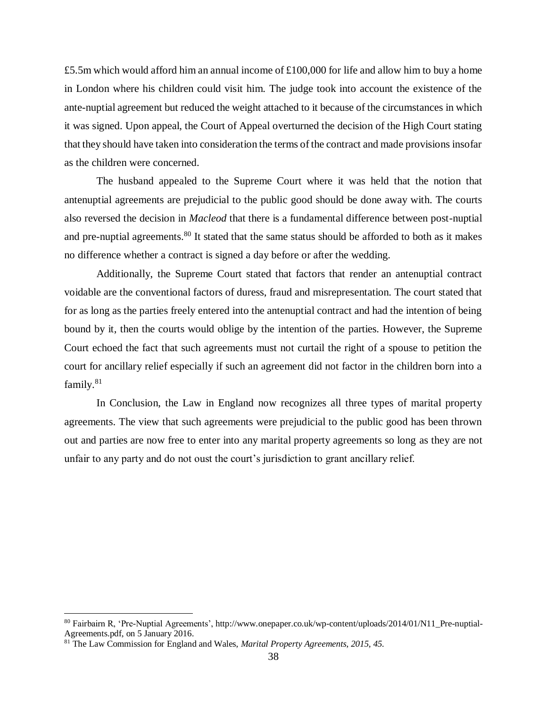£5.5m which would afford him an annual income of £100,000 for life and allow him to buy a home in London where his children could visit him. The judge took into account the existence of the ante-nuptial agreement but reduced the weight attached to it because of the circumstances in which it was signed. Upon appeal, the Court of Appeal overturned the decision of the High Court stating that they should have taken into consideration the terms of the contract and made provisions insofar as the children were concerned.

The husband appealed to the Supreme Court where it was held that the notion that antenuptial agreements are prejudicial to the public good should be done away with. The courts also reversed the decision in *Macleod* that there is a fundamental difference between post-nuptial and pre-nuptial agreements.<sup>80</sup> It stated that the same status should be afforded to both as it makes no difference whether a contract is signed a day before or after the wedding.

Additionally, the Supreme Court stated that factors that render an antenuptial contract voidable are the conventional factors of duress, fraud and misrepresentation. The court stated that for as long as the parties freely entered into the antenuptial contract and had the intention of being bound by it, then the courts would oblige by the intention of the parties. However, the Supreme Court echoed the fact that such agreements must not curtail the right of a spouse to petition the court for ancillary relief especially if such an agreement did not factor in the children born into a family.<sup>81</sup>

In Conclusion, the Law in England now recognizes all three types of marital property agreements. The view that such agreements were prejudicial to the public good has been thrown out and parties are now free to enter into any marital property agreements so long as they are not unfair to any party and do not oust the court's jurisdiction to grant ancillary relief.

<sup>80</sup> Fairbairn R, 'Pre-Nuptial Agreements', [http://www.onepaper.co.uk/wp-content/uploads/2014/01/N11\\_Pre-nuptial-](http://www.onepaper.co.uk/wp-content/uploads/2014/01/N11_Pre-nuptial-Agreements.pdf)[Agreements.pdf,](http://www.onepaper.co.uk/wp-content/uploads/2014/01/N11_Pre-nuptial-Agreements.pdf) on 5 January 2016.

<sup>81</sup> The Law Commission for England and Wales, *Marital Property Agreements, 2015, 45.*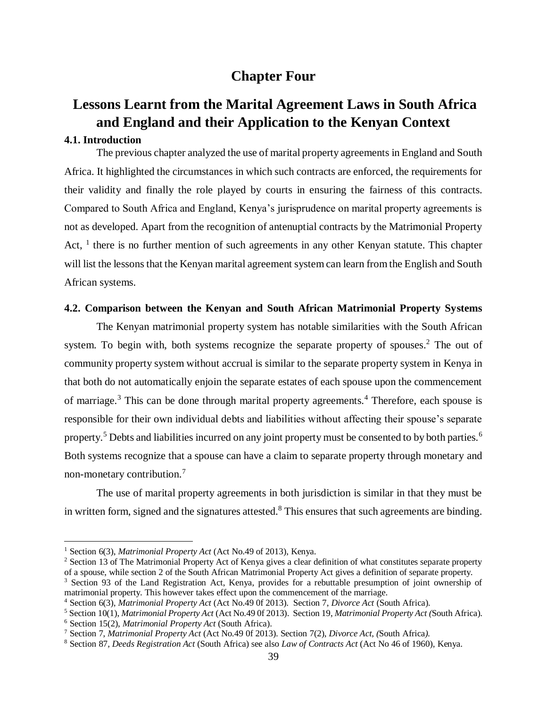# **Chapter Four**

# <span id="page-48-1"></span><span id="page-48-0"></span>**Lessons Learnt from the Marital Agreement Laws in South Africa and England and their Application to the Kenyan Context**

# <span id="page-48-2"></span>**4.1. Introduction**

 $\overline{a}$ 

The previous chapter analyzed the use of marital property agreements in England and South Africa. It highlighted the circumstances in which such contracts are enforced, the requirements for their validity and finally the role played by courts in ensuring the fairness of this contracts. Compared to South Africa and England, Kenya's jurisprudence on marital property agreements is not as developed. Apart from the recognition of antenuptial contracts by the Matrimonial Property Act,  $<sup>1</sup>$  there is no further mention of such agreements in any other Kenyan statute. This chapter</sup> will list the lessons that the Kenyan marital agreement system can learn from the English and South African systems.

## <span id="page-48-3"></span>**4.2. Comparison between the Kenyan and South African Matrimonial Property Systems**

The Kenyan matrimonial property system has notable similarities with the South African system. To begin with, both systems recognize the separate property of spouses.<sup>2</sup> The out of community property system without accrual is similar to the separate property system in Kenya in that both do not automatically enjoin the separate estates of each spouse upon the commencement of marriage.<sup>3</sup> This can be done through marital property agreements.<sup>4</sup> Therefore, each spouse is responsible for their own individual debts and liabilities without affecting their spouse's separate property.<sup>5</sup> Debts and liabilities incurred on any joint property must be consented to by both parties.<sup>6</sup> Both systems recognize that a spouse can have a claim to separate property through monetary and non-monetary contribution.<sup>7</sup>

The use of marital property agreements in both jurisdiction is similar in that they must be in written form, signed and the signatures attested.<sup>8</sup> This ensures that such agreements are binding.

<sup>1</sup> Section 6(3), *Matrimonial Property Act* (Act No.49 of 2013), Kenya.

<sup>&</sup>lt;sup>2</sup> Section 13 of The Matrimonial Property Act of Kenya gives a clear definition of what constitutes separate property of a spouse, while section 2 of the South African Matrimonial Property Act gives a definition of separate property.

<sup>&</sup>lt;sup>3</sup> Section 93 of the Land Registration Act, Kenya, provides for a rebuttable presumption of joint ownership of matrimonial property. This however takes effect upon the commencement of the marriage.

<sup>4</sup> Section 6(3), *Matrimonial Property Act* (Act No.49 0f 2013). Section 7, *Divorce Act* (South Africa).

<sup>5</sup> Section 10(1), *Matrimonial Property Act* (Act No.49 0f 2013). Section 19, *Matrimonial Property Act (*South Africa). <sup>6</sup> Section 15(2), *Matrimonial Property Act* (South Africa).

<sup>7</sup> Section 7, *Matrimonial Property Act* (Act No.49 0f 2013). Section 7(2), *Divorce Act*, *(*South Africa*).*

<sup>8</sup> Section 87*, Deeds Registration Act* (South Africa) see also *Law of Contracts Act* (Act No 46 of 1960), Kenya.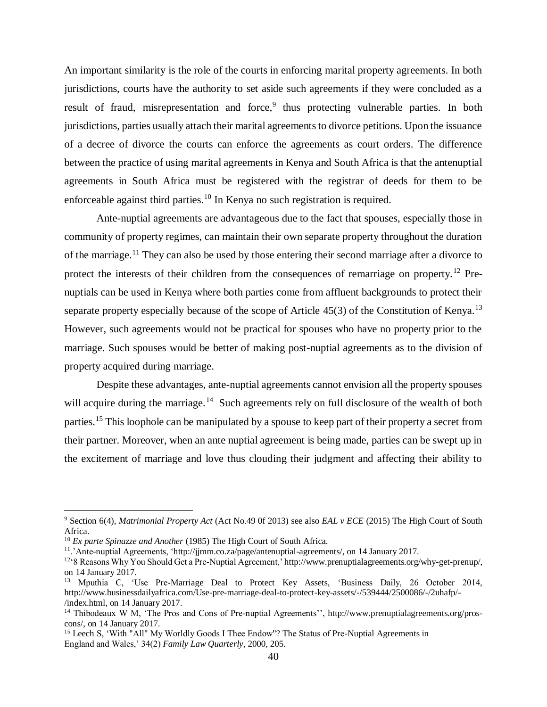An important similarity is the role of the courts in enforcing marital property agreements. In both jurisdictions, courts have the authority to set aside such agreements if they were concluded as a result of fraud, misrepresentation and force,<sup>9</sup> thus protecting vulnerable parties. In both jurisdictions, parties usually attach their marital agreements to divorce petitions. Upon the issuance of a decree of divorce the courts can enforce the agreements as court orders. The difference between the practice of using marital agreements in Kenya and South Africa is that the antenuptial agreements in South Africa must be registered with the registrar of deeds for them to be enforceable against third parties.<sup>10</sup> In Kenya no such registration is required.

Ante-nuptial agreements are advantageous due to the fact that spouses, especially those in community of property regimes, can maintain their own separate property throughout the duration of the marriage.<sup>11</sup> They can also be used by those entering their second marriage after a divorce to protect the interests of their children from the consequences of remarriage on property.<sup>12</sup> Prenuptials can be used in Kenya where both parties come from affluent backgrounds to protect their separate property especially because of the scope of Article  $45(3)$  of the Constitution of Kenya.<sup>13</sup> However, such agreements would not be practical for spouses who have no property prior to the marriage. Such spouses would be better of making post-nuptial agreements as to the division of property acquired during marriage.

Despite these advantages, ante-nuptial agreements cannot envision all the property spouses will acquire during the marriage.<sup>14</sup> Such agreements rely on full disclosure of the wealth of both parties.<sup>15</sup> This loophole can be manipulated by a spouse to keep part of their property a secret from their partner. Moreover, when an ante nuptial agreement is being made, parties can be swept up in the excitement of marriage and love thus clouding their judgment and affecting their ability to

<sup>9</sup> Section 6(4), *Matrimonial Property Act* (Act No.49 0f 2013) see also *EAL v ECE* (2015) The High Court of South Africa.

<sup>&</sup>lt;sup>10</sup> *Ex parte Spinazze and Another* (1985) The High Court of South Africa.

<sup>&</sup>lt;sup>11</sup>.'Ante-nuptial Agreements, 'http://jimm.co.za/page/antenuptial-agreements/, on 14 January 2017.

<sup>12</sup>'8 Reasons Why You Should Get a Pre-Nuptial Agreement,[' http://www.prenuptialagreements.org/why-get-prenup/,](http://www.prenuptialagreements.org/why-get-prenup/) on 14 January 2017.

<sup>&</sup>lt;sup>13</sup> Mputhia C, 'Use Pre-Marriage Deal to Protect Key Assets, 'Business Daily, 26 October 2014, [http://www.businessdailyafrica.com/Use-pre-marriage-deal-to-protect-key-assets/-/539444/2500086/-/2uhafp/-](http://www.businessdailyafrica.com/Use-pre-marriage-deal-to-protect-key-assets/-/539444/2500086/-/2uhafp/-/index.html) [/index.html,](http://www.businessdailyafrica.com/Use-pre-marriage-deal-to-protect-key-assets/-/539444/2500086/-/2uhafp/-/index.html) on 14 January 2017.

<sup>&</sup>lt;sup>14</sup> Thibodeaux W M, 'The Pros and Cons of Pre-nuptial Agreements'', [http://www.prenuptialagreements.org/pros](http://www.prenuptialagreements.org/pros-cons/)[cons/,](http://www.prenuptialagreements.org/pros-cons/) on 14 January 2017.

<sup>&</sup>lt;sup>15</sup> Leech S, 'With "All" My Worldly Goods I Thee Endow"? The Status of Pre-Nuptial Agreements in England and Wales,' 34(2) *Family Law Quarterly,* 2000, 205.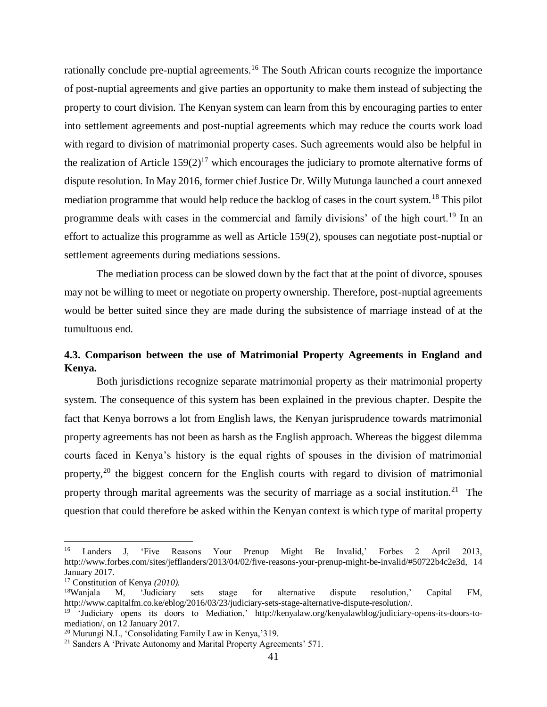rationally conclude pre-nuptial agreements.<sup>16</sup> The South African courts recognize the importance of post-nuptial agreements and give parties an opportunity to make them instead of subjecting the property to court division. The Kenyan system can learn from this by encouraging parties to enter into settlement agreements and post-nuptial agreements which may reduce the courts work load with regard to division of matrimonial property cases. Such agreements would also be helpful in the realization of Article  $159(2)^{17}$  which encourages the judiciary to promote alternative forms of dispute resolution. In May 2016, former chief Justice Dr. Willy Mutunga launched a court annexed mediation programme that would help reduce the backlog of cases in the court system.<sup>18</sup> This pilot programme deals with cases in the commercial and family divisions' of the high court.<sup>19</sup> In an effort to actualize this programme as well as Article 159(2), spouses can negotiate post-nuptial or settlement agreements during mediations sessions.

The mediation process can be slowed down by the fact that at the point of divorce, spouses may not be willing to meet or negotiate on property ownership. Therefore, post-nuptial agreements would be better suited since they are made during the subsistence of marriage instead of at the tumultuous end.

# <span id="page-50-0"></span>**4.3. Comparison between the use of Matrimonial Property Agreements in England and Kenya.**

Both jurisdictions recognize separate matrimonial property as their matrimonial property system. The consequence of this system has been explained in the previous chapter. Despite the fact that Kenya borrows a lot from English laws, the Kenyan jurisprudence towards matrimonial property agreements has not been as harsh as the English approach. Whereas the biggest dilemma courts faced in Kenya's history is the equal rights of spouses in the division of matrimonial property,<sup>20</sup> the biggest concern for the English courts with regard to division of matrimonial property through marital agreements was the security of marriage as a social institution.<sup>21</sup> The question that could therefore be asked within the Kenyan context is which type of marital property

<sup>&</sup>lt;sup>16</sup> Landers J, 'Five Reasons Your Prenup Might Be Invalid,' Forbes 2 April 2013, [http://www.forbes.com/sites/jefflanders/2013/04/02/five-reasons-your-prenup-might-be-invalid/#50722b4c2e3d,](http://www.forbes.com/sites/jefflanders/2013/04/02/five-reasons-your-prenup-might-be-invalid/#50722b4c2e3d) 14 January 2017.

<sup>17</sup> Constitution of Kenya *(2010).*

<sup>18</sup>Wanjala M, 'Judiciary sets stage for alternative dispute resolution,' Capital FM, http://www.capitalfm.co.ke/eblog/2016/03/23/judiciary-sets-stage-alternative-dispute-resolution/.

<sup>19</sup> 'Judiciary opens its doors to Mediation,' [http://kenyalaw.org/kenyalawblog/judiciary-opens-its-doors-to](http://kenyalaw.org/kenyalawblog/judiciary-opens-its-doors-to-mediation/)[mediation/,](http://kenyalaw.org/kenyalawblog/judiciary-opens-its-doors-to-mediation/) on 12 January 2017.

<sup>20</sup> Murungi N.L, 'Consolidating Family Law in Kenya,'319.

<sup>&</sup>lt;sup>21</sup> Sanders A 'Private Autonomy and Marital Property Agreements' 571.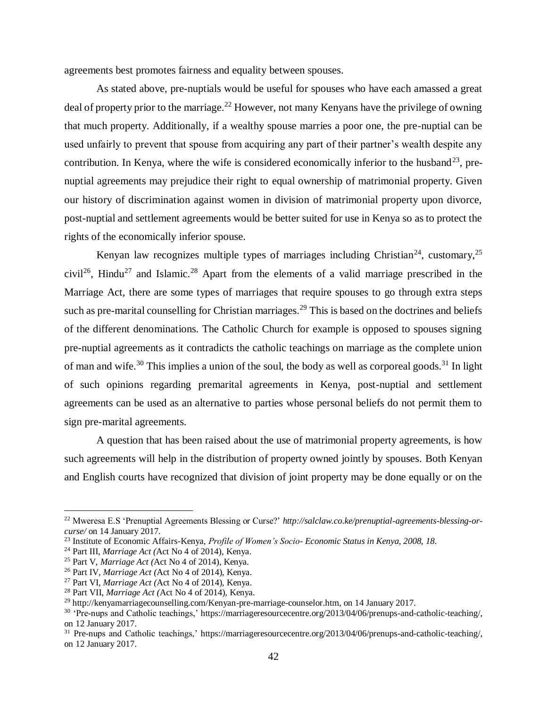agreements best promotes fairness and equality between spouses.

As stated above, pre-nuptials would be useful for spouses who have each amassed a great deal of property prior to the marriage.<sup>22</sup> However, not many Kenyans have the privilege of owning that much property. Additionally, if a wealthy spouse marries a poor one, the pre-nuptial can be used unfairly to prevent that spouse from acquiring any part of their partner's wealth despite any contribution. In Kenya, where the wife is considered economically inferior to the husband<sup>23</sup>, prenuptial agreements may prejudice their right to equal ownership of matrimonial property. Given our history of discrimination against women in division of matrimonial property upon divorce, post-nuptial and settlement agreements would be better suited for use in Kenya so as to protect the rights of the economically inferior spouse.

Kenyan law recognizes multiple types of marriages including Christian<sup>24</sup>, customary,  $2^5$ civil<sup>26</sup>, Hindu<sup>27</sup> and Islamic.<sup>28</sup> Apart from the elements of a valid marriage prescribed in the Marriage Act, there are some types of marriages that require spouses to go through extra steps such as pre-marital counselling for Christian marriages.<sup>29</sup> This is based on the doctrines and beliefs of the different denominations. The Catholic Church for example is opposed to spouses signing pre-nuptial agreements as it contradicts the catholic teachings on marriage as the complete union of man and wife.<sup>30</sup> This implies a union of the soul, the body as well as corporeal goods.<sup>31</sup> In light of such opinions regarding premarital agreements in Kenya, post-nuptial and settlement agreements can be used as an alternative to parties whose personal beliefs do not permit them to sign pre-marital agreements.

A question that has been raised about the use of matrimonial property agreements, is how such agreements will help in the distribution of property owned jointly by spouses. Both Kenyan and English courts have recognized that division of joint property may be done equally or on the

<sup>22</sup> Mweresa E.S 'Prenuptial Agreements Blessing or Curse?' *http://salclaw.co.ke/prenuptial-agreements-blessing-orcurse/* on 14 January 2017*.*

<sup>23</sup> Institute of Economic Affairs-Kenya, *Profile of Women's Socio- Economic Status in Kenya, 2008, 18.*

<sup>24</sup> Part III, *Marriage Act (*Act No 4 of 2014), Kenya.

<sup>25</sup> Part V, *Marriage Act (*Act No 4 of 2014), Kenya.

<sup>26</sup> Part IV, *Marriage Act (*Act No 4 of 2014), Kenya.

<sup>27</sup> Part VI, *Marriage Act (*Act No 4 of 2014), Kenya.

<sup>28</sup> Part VII, *Marriage Act (*Act No 4 of 2014), Kenya.

<sup>&</sup>lt;sup>29</sup> [http://kenyamarriagecounselling.com/Kenyan-pre-marriage-counselor.htm,](http://kenyamarriagecounselling.com/Kenyan-pre-marriage-counselor.htm) on 14 January 2017.

<sup>30</sup> 'Pre-nups and Catholic teachings,' [https://marriageresourcecentre.org/2013/04/06/prenups-and-catholic-teaching/,](https://marriageresourcecentre.org/2013/04/06/prenups-and-catholic-teaching/) on 12 January 2017.

<sup>&</sup>lt;sup>31</sup> Pre-nups and Catholic teachings,' [https://marriageresourcecentre.org/2013/04/06/prenups-and-catholic-teaching/,](https://marriageresourcecentre.org/2013/04/06/prenups-and-catholic-teaching/) on 12 January 2017.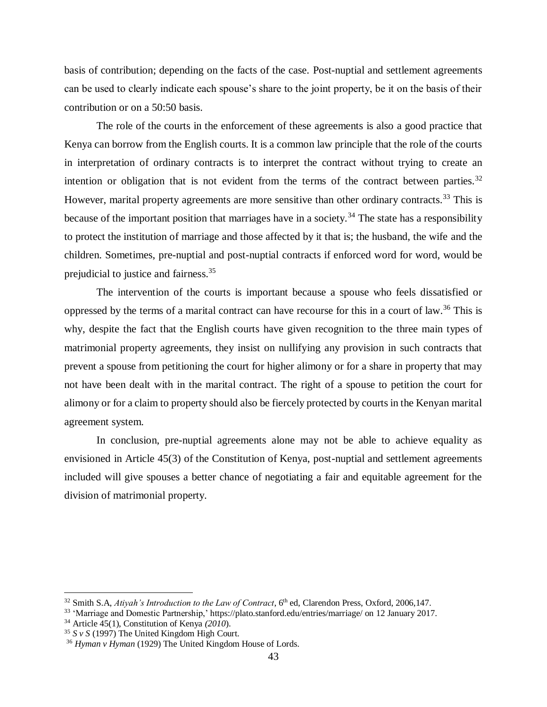basis of contribution; depending on the facts of the case. Post-nuptial and settlement agreements can be used to clearly indicate each spouse's share to the joint property, be it on the basis of their contribution or on a 50:50 basis.

The role of the courts in the enforcement of these agreements is also a good practice that Kenya can borrow from the English courts. It is a common law principle that the role of the courts in interpretation of ordinary contracts is to interpret the contract without trying to create an intention or obligation that is not evident from the terms of the contract between parties.<sup>32</sup> However, marital property agreements are more sensitive than other ordinary contracts.<sup>33</sup> This is because of the important position that marriages have in a society.<sup>34</sup> The state has a responsibility to protect the institution of marriage and those affected by it that is; the husband, the wife and the children. Sometimes, pre-nuptial and post-nuptial contracts if enforced word for word, would be prejudicial to justice and fairness.<sup>35</sup>

The intervention of the courts is important because a spouse who feels dissatisfied or oppressed by the terms of a marital contract can have recourse for this in a court of law.<sup>36</sup> This is why, despite the fact that the English courts have given recognition to the three main types of matrimonial property agreements, they insist on nullifying any provision in such contracts that prevent a spouse from petitioning the court for higher alimony or for a share in property that may not have been dealt with in the marital contract. The right of a spouse to petition the court for alimony or for a claim to property should also be fiercely protected by courts in the Kenyan marital agreement system.

In conclusion, pre-nuptial agreements alone may not be able to achieve equality as envisioned in Article 45(3) of the Constitution of Kenya, post-nuptial and settlement agreements included will give spouses a better chance of negotiating a fair and equitable agreement for the division of matrimonial property.

 $32$  Smith S.A, *Atiyah's Introduction to the Law of Contract*,  $6<sup>th</sup>$  ed, Clarendon Press, Oxford, 2006,147.

<sup>33</sup> 'Marriage and Domestic Partnership,[' https://plato.stanford.edu/entries/marriage/](https://plato.stanford.edu/entries/marriage/) on 12 January 2017.

<sup>34</sup> Article 45(1), Constitution of Kenya *(2010*).

<sup>35</sup> *S v S* (1997) The United Kingdom High Court.

<sup>36</sup> *Hyman v Hyman* (1929) The United Kingdom House of Lords.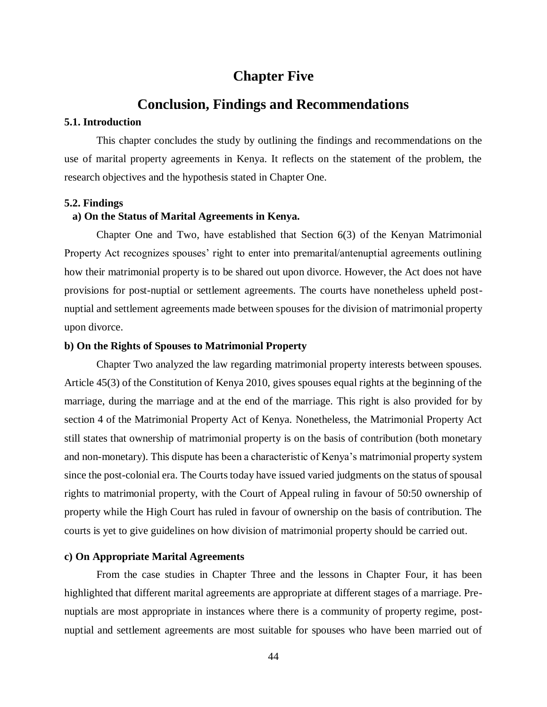# **Chapter Five**

# **Conclusion, Findings and Recommendations**

### <span id="page-53-2"></span><span id="page-53-1"></span><span id="page-53-0"></span>**5.1. Introduction**

This chapter concludes the study by outlining the findings and recommendations on the use of marital property agreements in Kenya. It reflects on the statement of the problem, the research objectives and the hypothesis stated in Chapter One.

#### <span id="page-53-3"></span>**5.2. Findings**

### **a) On the Status of Marital Agreements in Kenya.**

Chapter One and Two, have established that Section 6(3) of the Kenyan Matrimonial Property Act recognizes spouses' right to enter into premarital/antenuptial agreements outlining how their matrimonial property is to be shared out upon divorce. However, the Act does not have provisions for post-nuptial or settlement agreements. The courts have nonetheless upheld postnuptial and settlement agreements made between spouses for the division of matrimonial property upon divorce.

#### **b) On the Rights of Spouses to Matrimonial Property**

Chapter Two analyzed the law regarding matrimonial property interests between spouses. Article 45(3) of the Constitution of Kenya 2010, gives spouses equal rights at the beginning of the marriage, during the marriage and at the end of the marriage. This right is also provided for by section 4 of the Matrimonial Property Act of Kenya. Nonetheless, the Matrimonial Property Act still states that ownership of matrimonial property is on the basis of contribution (both monetary and non-monetary). This dispute has been a characteristic of Kenya's matrimonial property system since the post-colonial era. The Courts today have issued varied judgments on the status of spousal rights to matrimonial property, with the Court of Appeal ruling in favour of 50:50 ownership of property while the High Court has ruled in favour of ownership on the basis of contribution. The courts is yet to give guidelines on how division of matrimonial property should be carried out.

### **c) On Appropriate Marital Agreements**

From the case studies in Chapter Three and the lessons in Chapter Four, it has been highlighted that different marital agreements are appropriate at different stages of a marriage. Prenuptials are most appropriate in instances where there is a community of property regime, postnuptial and settlement agreements are most suitable for spouses who have been married out of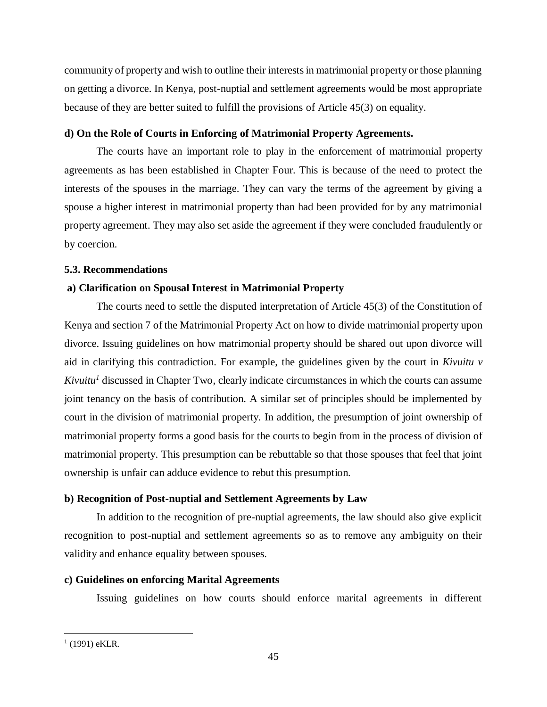community of property and wish to outline their interests in matrimonial property or those planning on getting a divorce. In Kenya, post-nuptial and settlement agreements would be most appropriate because of they are better suited to fulfill the provisions of Article 45(3) on equality.

# **d) On the Role of Courts in Enforcing of Matrimonial Property Agreements.**

The courts have an important role to play in the enforcement of matrimonial property agreements as has been established in Chapter Four. This is because of the need to protect the interests of the spouses in the marriage. They can vary the terms of the agreement by giving a spouse a higher interest in matrimonial property than had been provided for by any matrimonial property agreement. They may also set aside the agreement if they were concluded fraudulently or by coercion.

# <span id="page-54-0"></span>**5.3. Recommendations**

# **a) Clarification on Spousal Interest in Matrimonial Property**

The courts need to settle the disputed interpretation of Article 45(3) of the Constitution of Kenya and section 7 of the Matrimonial Property Act on how to divide matrimonial property upon divorce. Issuing guidelines on how matrimonial property should be shared out upon divorce will aid in clarifying this contradiction. For example, the guidelines given by the court in *Kivuitu v Kivuitu<sup>1</sup>* discussed in Chapter Two, clearly indicate circumstances in which the courts can assume joint tenancy on the basis of contribution. A similar set of principles should be implemented by court in the division of matrimonial property. In addition, the presumption of joint ownership of matrimonial property forms a good basis for the courts to begin from in the process of division of matrimonial property. This presumption can be rebuttable so that those spouses that feel that joint ownership is unfair can adduce evidence to rebut this presumption.

# **b) Recognition of Post-nuptial and Settlement Agreements by Law**

In addition to the recognition of pre-nuptial agreements, the law should also give explicit recognition to post-nuptial and settlement agreements so as to remove any ambiguity on their validity and enhance equality between spouses.

# **c) Guidelines on enforcing Marital Agreements**

Issuing guidelines on how courts should enforce marital agreements in different

 $(1991)$  eKLR.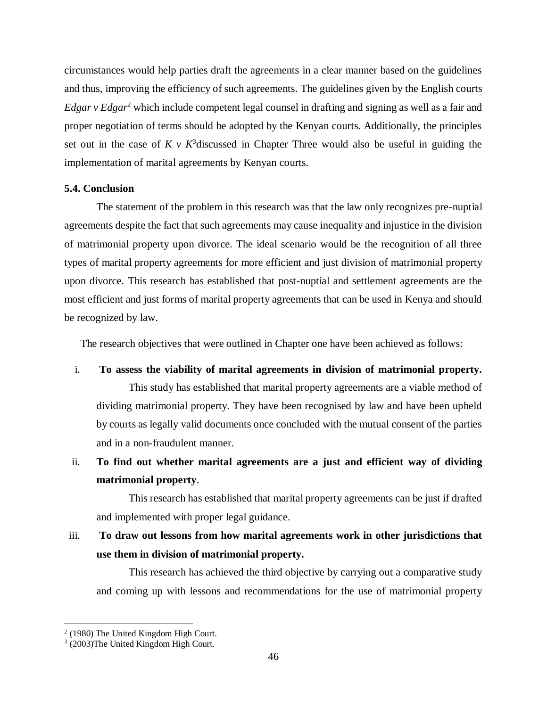circumstances would help parties draft the agreements in a clear manner based on the guidelines and thus, improving the efficiency of such agreements. The guidelines given by the English courts *Edgar v Edgar*<sup>2</sup> which include competent legal counsel in drafting and signing as well as a fair and proper negotiation of terms should be adopted by the Kenyan courts. Additionally, the principles set out in the case of  $K \vee K^3$  discussed in Chapter Three would also be useful in guiding the implementation of marital agreements by Kenyan courts.

## <span id="page-55-0"></span>**5.4. Conclusion**

The statement of the problem in this research was that the law only recognizes pre-nuptial agreements despite the fact that such agreements may cause inequality and injustice in the division of matrimonial property upon divorce. The ideal scenario would be the recognition of all three types of marital property agreements for more efficient and just division of matrimonial property upon divorce. This research has established that post-nuptial and settlement agreements are the most efficient and just forms of marital property agreements that can be used in Kenya and should be recognized by law.

The research objectives that were outlined in Chapter one have been achieved as follows:

i. **To assess the viability of marital agreements in division of matrimonial property.**  This study has established that marital property agreements are a viable method of dividing matrimonial property. They have been recognised by law and have been upheld by courts as legally valid documents once concluded with the mutual consent of the parties and in a non-fraudulent manner.

# ii. **To find out whether marital agreements are a just and efficient way of dividing matrimonial property**.

This research has established that marital property agreements can be just if drafted and implemented with proper legal guidance.

# iii. **To draw out lessons from how marital agreements work in other jurisdictions that use them in division of matrimonial property.**

This research has achieved the third objective by carrying out a comparative study and coming up with lessons and recommendations for the use of matrimonial property

<sup>&</sup>lt;sup>2</sup> (1980) The United Kingdom High Court.

<sup>&</sup>lt;sup>3</sup> (2003)The United Kingdom High Court.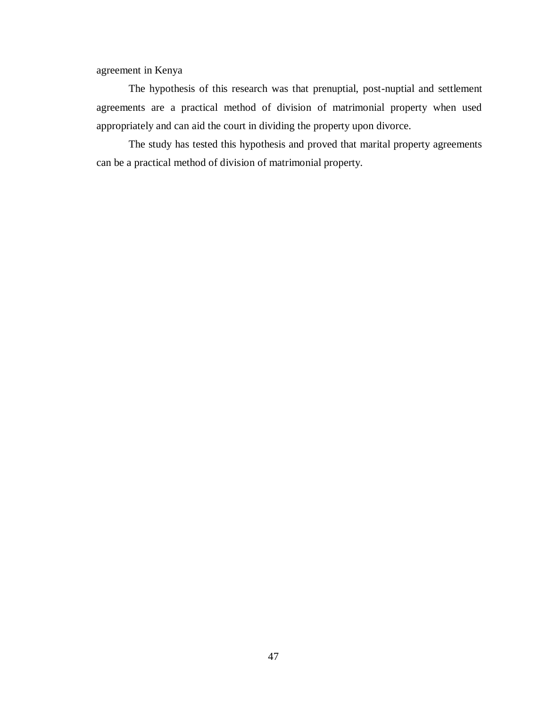agreement in Kenya

The hypothesis of this research was that prenuptial, post-nuptial and settlement agreements are a practical method of division of matrimonial property when used appropriately and can aid the court in dividing the property upon divorce.

The study has tested this hypothesis and proved that marital property agreements can be a practical method of division of matrimonial property.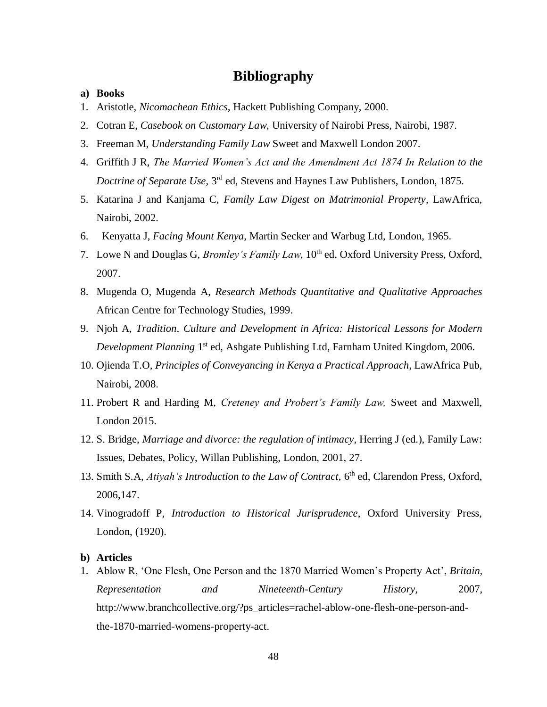# **Bibliography**

- <span id="page-57-1"></span><span id="page-57-0"></span>**a) Books**
- 1. Aristotle, *Nicomachean Ethics,* Hackett Publishing Company, 2000.
- 2. Cotran E, *Casebook on Customary Law*, University of Nairobi Press, Nairobi, 1987.
- 3. Freeman M, *Understanding Family Law* Sweet and Maxwell London 2007.
- 4. Griffith J R, *The Married Women's Act and the Amendment Act 1874 In Relation to the Doctrine of Separate Use*, 3rd ed, Stevens and Haynes Law Publishers, London, 1875.
- 5. Katarina J and Kanjama C, *Family Law Digest on Matrimonial Property*, LawAfrica, Nairobi, 2002.
- 6. Kenyatta J, *Facing Mount Kenya*, Martin Secker and Warbug Ltd, London, 1965.
- 7. Lowe N and Douglas G, *Bromley's Family Law*, 10<sup>th</sup> ed, Oxford University Press, Oxford, 2007.
- 8. Mugenda O, Mugenda A, *Research Methods Quantitative and Qualitative Approaches* African Centre for Technology Studies, 1999.
- 9. Njoh A, *Tradition, Culture and Development in Africa: Historical Lessons for Modern*  Development Planning 1<sup>st</sup> ed, Ashgate Publishing Ltd, Farnham United Kingdom, 2006.
- 10. Ojienda T.O, *Principles of Conveyancing in Kenya a Practical Approach*, LawAfrica Pub, Nairobi, 2008.
- 11. Probert R and Harding M, *Creteney and Probert's Family Law,* Sweet and Maxwell, London 2015.
- 12. S. Bridge, *Marriage and divorce: the regulation of intimacy*, Herring J (ed.), Family Law: Issues, Debates, Policy, Willan Publishing, London, 2001, 27.
- 13. Smith S.A, *Atiyah's Introduction to the Law of Contract*, 6<sup>th</sup> ed, Clarendon Press, Oxford, 2006,147.
- 14. Vinogradoff P, *Introduction to Historical Jurisprudence*, Oxford University Press, London, (1920).

### <span id="page-57-2"></span>**b) Articles**

1. Ablow R, 'One Flesh, One Person and the 1870 Married Women's Property Act', *Britain, Representation and Nineteenth-Century History,* 2007, http://www.branchcollective.org/?ps\_articles=rachel-ablow-one-flesh-one-person-andthe-1870-married-womens-property-act.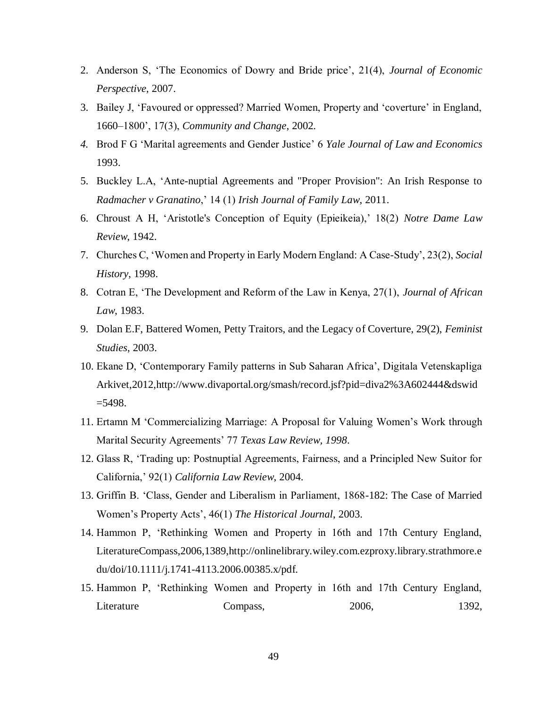- 2. Anderson S, 'The Economics of Dowry and Bride price', 21(4), *Journal of Economic Perspective*, 2007.
- 3. Bailey J, 'Favoured or oppressed? Married Women, Property and 'coverture' in England, 1660–1800', 17(3), *Community and Change*, 2002.
- *4.* Brod F G 'Marital agreements and Gender Justice' 6 *Yale Journal of Law and Economics*  1993.
- 5. Buckley L.A, 'Ante-nuptial Agreements and "Proper Provision": An Irish Response to *Radmacher v Granatino*,' 14 (1) *Irish Journal of Family Law*, 2011.
- 6. Chroust A H, 'Aristotle's Conception of Equity (Epieikeia),' 18(2) *Notre Dame Law Review*, 1942.
- 7. Churches C, 'Women and Property in Early Modern England: A Case-Study', 23(2), *Social History*, 1998.
- 8. Cotran E, 'The Development and Reform of the Law in Kenya, 27(1), *Journal of African Law*, 1983.
- 9. Dolan E.F, Battered Women, Petty Traitors, and the Legacy of Coverture, 29(2), *Feminist Studies*, 2003.
- 10. Ekane D, 'Contemporary Family patterns in Sub Saharan Africa', Digitala Vetenskapliga Arkivet,2012,http://www.divaportal.org/smash/record.jsf?pid=diva2%3A602444&dswid  $=$  5498.
- 11. Ertamn M 'Commercializing Marriage: A Proposal for Valuing Women's Work through Marital Security Agreements' 77 *Texas Law Review, 1998*.
- 12. Glass R, 'Trading up: Postnuptial Agreements, Fairness, and a Principled New Suitor for California,' 92(1) *California Law Review*, 2004.
- 13. Griffin B. 'Class, Gender and Liberalism in Parliament, 1868-182: The Case of Married Women's Property Acts', 46(1) *The Historical Journal*, 2003.
- 14. Hammon P, 'Rethinking Women and Property in 16th and 17th Century England, LiteratureCompass,2006,1389,http://onlinelibrary.wiley.com.ezproxy.library.strathmore.e du/doi/10.1111/j.1741-4113.2006.00385.x/pdf.
- 15. Hammon P, 'Rethinking Women and Property in 16th and 17th Century England, Literature Compass, 2006, 1392,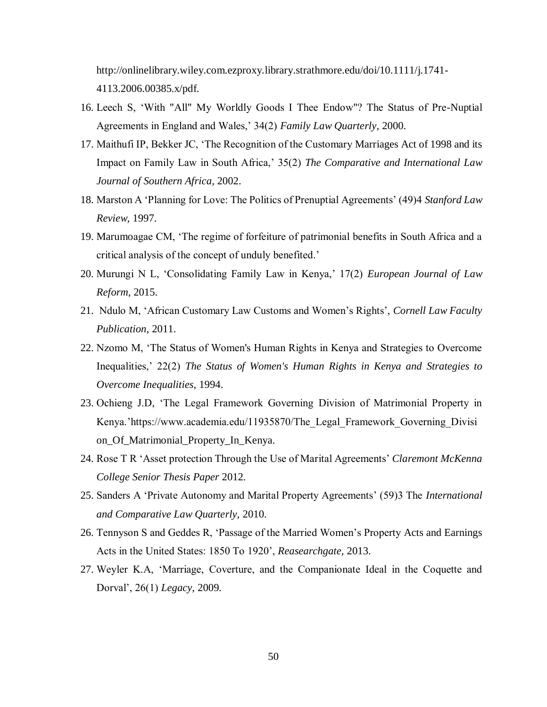http://onlinelibrary.wiley.com.ezproxy.library.strathmore.edu/doi/10.1111/j.1741- 4113.2006.00385.x/pdf.

- 16. Leech S, 'With "All" My Worldly Goods I Thee Endow"? The Status of Pre-Nuptial Agreements in England and Wales,' 34(2) *Family Law Quarterly*, 2000.
- 17. Maithufi IP, Bekker JC, 'The Recognition of the Customary Marriages Act of 1998 and its Impact on Family Law in South Africa,' 35(2) *The Comparative and International Law Journal of Southern Africa*, 2002.
- 18. Marston A 'Planning for Love: The Politics of Prenuptial Agreements' (49)4 *Stanford Law Review,* 1997.
- 19. Marumoagae CM, 'The regime of forfeiture of patrimonial benefits in South Africa and a critical analysis of the concept of unduly benefited.'
- 20. Murungi N L, 'Consolidating Family Law in Kenya,' 17(2) *European Journal of Law Reform*, 2015.
- 21. Ndulo M, 'African Customary Law Customs and Women's Rights', *Cornell Law Faculty Publication*, 2011.
- 22. Nzomo M, 'The Status of Women's Human Rights in Kenya and Strategies to Overcome Inequalities,' 22(2) *The Status of Women's Human Rights in Kenya and Strategies to Overcome Inequalities*, 1994.
- 23. Ochieng J.D, 'The Legal Framework Governing Division of Matrimonial Property in Kenya.'https://www.academia.edu/11935870/The\_Legal\_Framework\_Governing\_Divisi on\_Of\_Matrimonial\_Property\_In\_Kenya.
- 24. Rose T R 'Asset protection Through the Use of Marital Agreements' *Claremont McKenna College Senior Thesis Paper* 2012*.*
- 25. Sanders A 'Private Autonomy and Marital Property Agreements' (59)3 The *International and Comparative Law Quarterly,* 2010.
- 26. Tennyson S and Geddes R, 'Passage of the Married Women's Property Acts and Earnings Acts in the United States: 1850 To 1920', *Reasearchgate,* 2013.
- 27. Weyler K.A, 'Marriage, Coverture, and the Companionate Ideal in the Coquette and Dorval', 26(1) *Legacy*, 2009.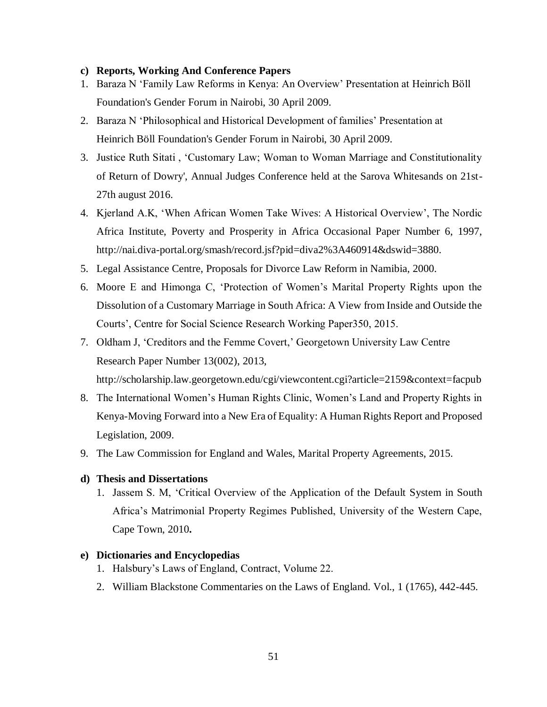## <span id="page-60-0"></span>**c) Reports, Working And Conference Papers**

- 1. Baraza N 'Family Law Reforms in Kenya: An Overview' Presentation at Heinrich Böll Foundation's Gender Forum in Nairobi, 30 April 2009.
- 2. Baraza N 'Philosophical and Historical Development of families' Presentation at Heinrich Böll Foundation's Gender Forum in Nairobi, 30 April 2009.
- 3. Justice Ruth Sitati , 'Customary Law; Woman to Woman Marriage and Constitutionality of Return of Dowry', Annual Judges Conference held at the Sarova Whitesands on 21st-27th august 2016.
- 4. Kjerland A.K, 'When African Women Take Wives: A Historical Overview', The Nordic Africa Institute, Poverty and Prosperity in Africa Occasional Paper Number 6, 1997, http://nai.diva-portal.org/smash/record.jsf?pid=diva2%3A460914&dswid=3880.
- 5. Legal Assistance Centre, Proposals for Divorce Law Reform in Namibia, 2000.
- 6. Moore E and Himonga C, 'Protection of Women's Marital Property Rights upon the Dissolution of a Customary Marriage in South Africa: A View from Inside and Outside the Courts', Centre for Social Science Research Working Paper350, 2015.
- 7. Oldham J, 'Creditors and the Femme Covert,' Georgetown University Law Centre Research Paper Number 13(002), 2013,

http://scholarship.law.georgetown.edu/cgi/viewcontent.cgi?article=2159&context=facpub

- 8. The International Women's Human Rights Clinic, Women's Land and Property Rights in Kenya-Moving Forward into a New Era of Equality: A Human Rights Report and Proposed Legislation, 2009.
- 9. The Law Commission for England and Wales, Marital Property Agreements, 2015.

### <span id="page-60-1"></span>**d) Thesis and Dissertations**

1. Jassem S. M, 'Critical Overview of the Application of the Default System in South Africa's Matrimonial Property Regimes Published, University of the Western Cape, Cape Town, 2010**.**

### <span id="page-60-2"></span>**e) Dictionaries and Encyclopedias**

- 1. Halsbury's Laws of England, Contract, Volume 22.
- 2. William Blackstone Commentaries on the Laws of England. Vol., 1 (1765), 442-445.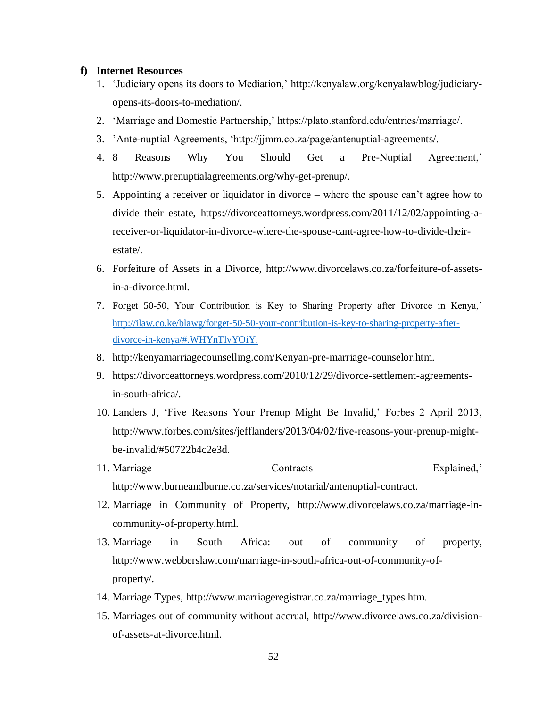## <span id="page-61-0"></span>**f) Internet Resources**

- 1. 'Judiciary opens its doors to Mediation,' http://kenyalaw.org/kenyalawblog/judiciaryopens-its-doors-to-mediation/.
- 2. 'Marriage and Domestic Partnership,' https://plato.stanford.edu/entries/marriage/.
- 3. 'Ante-nuptial Agreements, 'http://jjmm.co.za/page/antenuptial-agreements/.
- 4. 8 Reasons Why You Should Get a Pre-Nuptial Agreement,' http://www.prenuptialagreements.org/why-get-prenup/.
- 5. Appointing a receiver or liquidator in divorce where the spouse can't agree how to divide their estate, https://divorceattorneys.wordpress.com/2011/12/02/appointing-areceiver-or-liquidator-in-divorce-where-the-spouse-cant-agree-how-to-divide-theirestate/.
- 6. Forfeiture of Assets in a Divorce, http://www.divorcelaws.co.za/forfeiture-of-assetsin-a-divorce.html.
- 7. Forget 50-50, Your Contribution is Key to Sharing Property after Divorce in Kenya,' [http://ilaw.co.ke/blawg/forget-50-50-your-contribution-is-key-to-sharing-property-after](http://ilaw.co.ke/blawg/forget-50-50-your-contribution-is-key-to-sharing-property-after-divorce-in-kenya/#.WHYnTlyYOiY)[divorce-in-kenya/#.WHYnTlyYOiY.](http://ilaw.co.ke/blawg/forget-50-50-your-contribution-is-key-to-sharing-property-after-divorce-in-kenya/#.WHYnTlyYOiY)
- 8. http://kenyamarriagecounselling.com/Kenyan-pre-marriage-counselor.htm.
- 9. https://divorceattorneys.wordpress.com/2010/12/29/divorce-settlement-agreementsin-south-africa/.
- 10. Landers J, 'Five Reasons Your Prenup Might Be Invalid,' Forbes 2 April 2013, http://www.forbes.com/sites/jefflanders/2013/04/02/five-reasons-your-prenup-mightbe-invalid/#50722b4c2e3d.
- 11. Marriage Contracts Explained,' http://www.burneandburne.co.za/services/notarial/antenuptial-contract.
- 12. Marriage in Community of Property, http://www.divorcelaws.co.za/marriage-incommunity-of-property.html.
- 13. Marriage in South Africa: out of community of property, http://www.webberslaw.com/marriage-in-south-africa-out-of-community-ofproperty/.
- 14. Marriage Types, http://www.marriageregistrar.co.za/marriage\_types.htm.
- 15. Marriages out of community without accrual, http://www.divorcelaws.co.za/divisionof-assets-at-divorce.html.